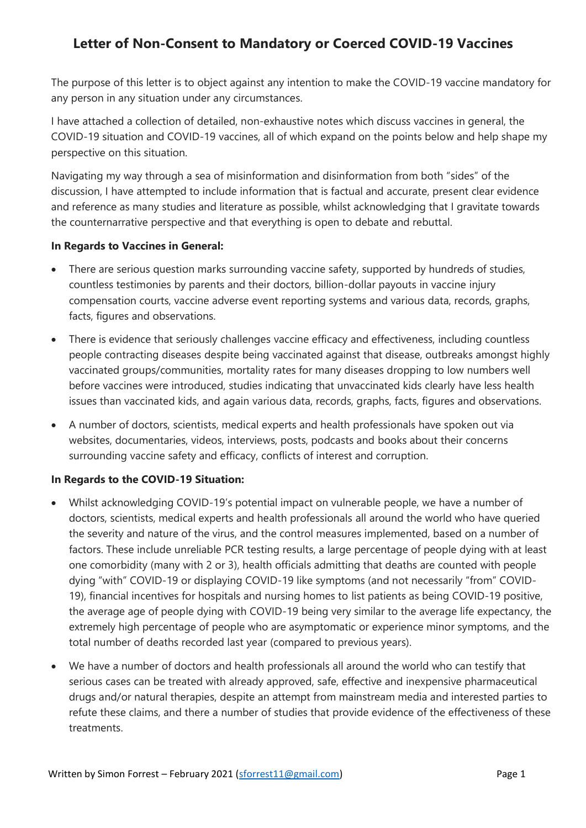# **Letter of Non-Consent to Mandatory or Coerced COVID-19 Vaccines**

The purpose of this letter is to object against any intention to make the COVID-19 vaccine mandatory for any person in any situation under any circumstances.

I have attached a collection of detailed, non-exhaustive notes which discuss vaccines in general, the COVID-19 situation and COVID-19 vaccines, all of which expand on the points below and help shape my perspective on this situation.

Navigating my way through a sea of misinformation and disinformation from both "sides" of the discussion, I have attempted to include information that is factual and accurate, present clear evidence and reference as many studies and literature as possible, whilst acknowledging that I gravitate towards the counternarrative perspective and that everything is open to debate and rebuttal.

#### **In Regards to Vaccines in General:**

- There are serious question marks surrounding vaccine safety, supported by hundreds of studies, countless testimonies by parents and their doctors, billion-dollar payouts in vaccine injury compensation courts, vaccine adverse event reporting systems and various data, records, graphs, facts, figures and observations.
- There is evidence that seriously challenges vaccine efficacy and effectiveness, including countless people contracting diseases despite being vaccinated against that disease, outbreaks amongst highly vaccinated groups/communities, mortality rates for many diseases dropping to low numbers well before vaccines were introduced, studies indicating that unvaccinated kids clearly have less health issues than vaccinated kids, and again various data, records, graphs, facts, figures and observations.
- A number of doctors, scientists, medical experts and health professionals have spoken out via websites, documentaries, videos, interviews, posts, podcasts and books about their concerns surrounding vaccine safety and efficacy, conflicts of interest and corruption.

#### **In Regards to the COVID-19 Situation:**

- Whilst acknowledging COVID-19's potential impact on vulnerable people, we have a number of doctors, scientists, medical experts and health professionals all around the world who have queried the severity and nature of the virus, and the control measures implemented, based on a number of factors. These include unreliable PCR testing results, a large percentage of people dying with at least one comorbidity (many with 2 or 3), health officials admitting that deaths are counted with people dying "with" COVID-19 or displaying COVID-19 like symptoms (and not necessarily "from" COVID-19), financial incentives for hospitals and nursing homes to list patients as being COVID-19 positive, the average age of people dying with COVID-19 being very similar to the average life expectancy, the extremely high percentage of people who are asymptomatic or experience minor symptoms, and the total number of deaths recorded last year (compared to previous years).
- We have a number of doctors and health professionals all around the world who can testify that serious cases can be treated with already approved, safe, effective and inexpensive pharmaceutical drugs and/or natural therapies, despite an attempt from mainstream media and interested parties to refute these claims, and there a number of studies that provide evidence of the effectiveness of these treatments.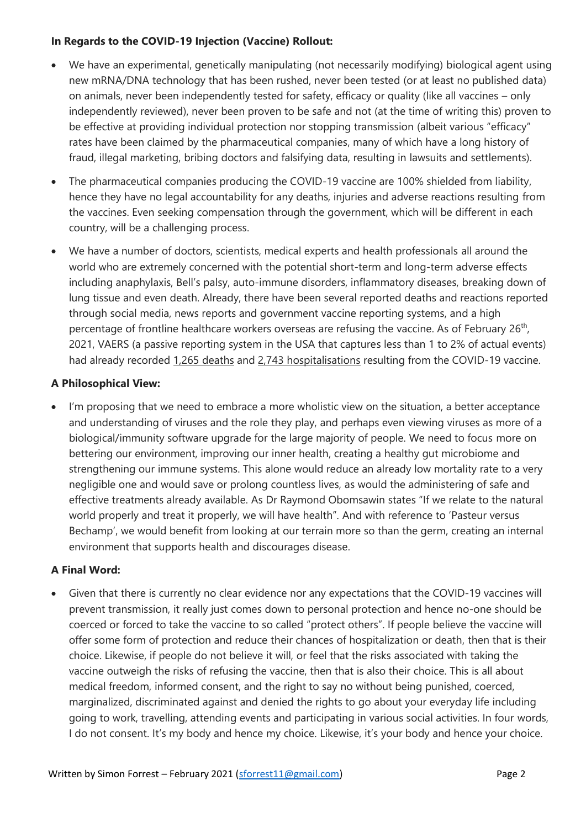#### **In Regards to the COVID-19 Injection (Vaccine) Rollout:**

- We have an experimental, genetically manipulating (not necessarily modifying) biological agent using new mRNA/DNA technology that has been rushed, never been tested (or at least no published data) on animals, never been independently tested for safety, efficacy or quality (like all vaccines – only independently reviewed), never been proven to be safe and not (at the time of writing this) proven to be effective at providing individual protection nor stopping transmission (albeit various "efficacy" rates have been claimed by the pharmaceutical companies, many of which have a long history of fraud, illegal marketing, bribing doctors and falsifying data, resulting in lawsuits and settlements).
- The pharmaceutical companies producing the COVID-19 vaccine are 100% shielded from liability, hence they have no legal accountability for any deaths, injuries and adverse reactions resulting from the vaccines. Even seeking compensation through the government, which will be different in each country, will be a challenging process.
- We have a number of doctors, scientists, medical experts and health professionals all around the world who are extremely concerned with the potential short-term and long-term adverse effects including anaphylaxis, Bell's palsy, auto-immune disorders, inflammatory diseases, breaking down of lung tissue and even death. Already, there have been several reported deaths and reactions reported through social media, news reports and government vaccine reporting systems, and a high percentage of frontline healthcare workers overseas are refusing the vaccine. As of February 26<sup>th</sup>, 2021, VAERS (a passive reporting system in the USA that captures less than 1 to 2% of actual events) had already recorded 1,265 deaths and 2,743 hospitalisations resulting from the COVID-19 vaccine.

#### **A Philosophical View:**

I'm proposing that we need to embrace a more wholistic view on the situation, a better acceptance and understanding of viruses and the role they play, and perhaps even viewing viruses as more of a biological/immunity software upgrade for the large majority of people. We need to focus more on bettering our environment, improving our inner health, creating a healthy gut microbiome and strengthening our immune systems. This alone would reduce an already low mortality rate to a very negligible one and would save or prolong countless lives, as would the administering of safe and effective treatments already available. As Dr Raymond Obomsawin states "If we relate to the natural world properly and treat it properly, we will have health". And with reference to 'Pasteur versus Bechamp', we would benefit from looking at our terrain more so than the germ, creating an internal environment that supports health and discourages disease.

#### **A Final Word:**

• Given that there is currently no clear evidence nor any expectations that the COVID-19 vaccines will prevent transmission, it really just comes down to personal protection and hence no-one should be coerced or forced to take the vaccine to so called "protect others". If people believe the vaccine will offer some form of protection and reduce their chances of hospitalization or death, then that is their choice. Likewise, if people do not believe it will, or feel that the risks associated with taking the vaccine outweigh the risks of refusing the vaccine, then that is also their choice. This is all about medical freedom, informed consent, and the right to say no without being punished, coerced, marginalized, discriminated against and denied the rights to go about your everyday life including going to work, travelling, attending events and participating in various social activities. In four words, I do not consent. It's my body and hence my choice. Likewise, it's your body and hence your choice.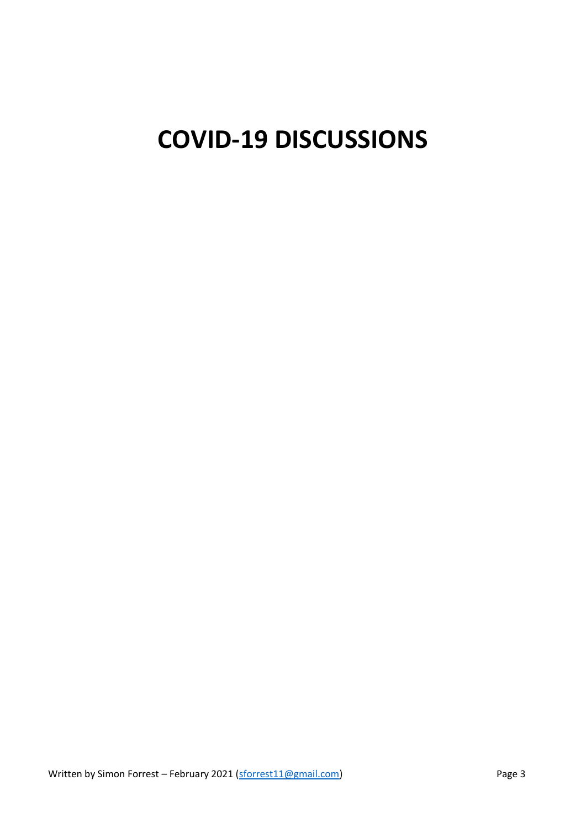# **COVID-19 DISCUSSIONS**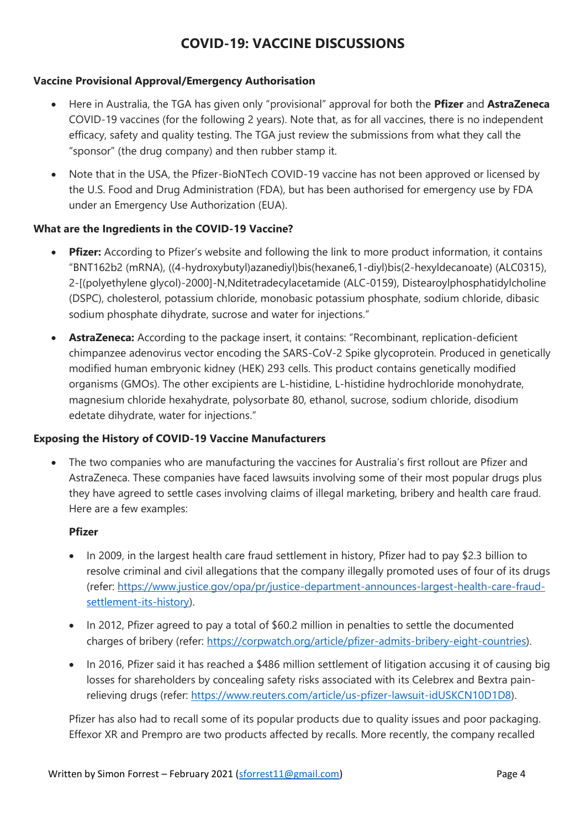## **COVID-19: VACCINE DISCUSSIONS**

#### **Vaccine Provisional Approval/Emergency Authorisation**

- Here in Australia, the TGA has given only "provisional" approval for both the **Pfizer** and **AstraZeneca** COVID-19 vaccines (for the following 2 years). Note that, as for all vaccines, there is no independent efficacy, safety and quality testing. The TGA just review the submissions from what they call the "sponsor" (the drug company) and then rubber stamp it.
- Note that in the USA, the Pfizer-BioNTech COVID-19 vaccine has not been approved or licensed by the U.S. Food and Drug Administration (FDA), but has been authorised for emergency use by FDA under an Emergency Use Authorization (EUA).

#### **What are the Ingredients in the COVID-19 Vaccine?**

- **Pfizer:** According to Pfizer's website and following the link to more product information, it contains "BNT162b2 (mRNA), ((4-hydroxybutyl)azanediyl)bis(hexane6,1-diyl)bis(2-hexyldecanoate) (ALC0315), 2-[(polyethylene glycol)-2000]-N,Nditetradecylacetamide (ALC-0159), Distearoylphosphatidylcholine (DSPC), cholesterol, potassium chloride, monobasic potassium phosphate, sodium chloride, dibasic sodium phosphate dihydrate, sucrose and water for injections."
- **AstraZeneca:** According to the package insert, it contains: "Recombinant, replication-deficient chimpanzee adenovirus vector encoding the SARS-CoV-2 Spike glycoprotein. Produced in genetically modified human embryonic kidney (HEK) 293 cells. This product contains genetically modified organisms (GMOs). The other excipients are L-histidine, L-histidine hydrochloride monohydrate, magnesium chloride hexahydrate, polysorbate 80, ethanol, sucrose, sodium chloride, disodium edetate dihydrate, water for injections."

#### **Exposing the History of COVID-19 Vaccine Manufacturers**

• The two companies who are manufacturing the vaccines for Australia's first rollout are Pfizer and AstraZeneca. These companies have faced lawsuits involving some of their most popular drugs plus they have agreed to settle cases involving claims of illegal marketing, bribery and health care fraud. Here are a few examples:

#### **Pfizer**

- In 2009, in the largest health care fraud settlement in history, Pfizer had to pay \$2.3 billion to resolve criminal and civil allegations that the company illegally promoted uses of four of its drugs (refer: [https://www.justice.gov/opa/pr/justice-department-announces-largest-health-care-fraud](https://www.justice.gov/opa/pr/justice-department-announces-largest-health-care-fraud-settlement-its-history)[settlement-its-history\)](https://www.justice.gov/opa/pr/justice-department-announces-largest-health-care-fraud-settlement-its-history).
- In 2012, Pfizer agreed to pay a total of \$60.2 million in penalties to settle the documented charges of bribery (refer: [https://corpwatch.org/article/pfizer-admits-bribery-eight-countries\)](https://corpwatch.org/article/pfizer-admits-bribery-eight-countries).
- In 2016, Pfizer said it has reached a \$486 million settlement of litigation accusing it of causing big losses for shareholders by concealing safety risks associated with its Celebrex and Bextra painrelieving drugs (refer: [https://www.reuters.com/article/us-pfizer-lawsuit-idUSKCN10D1D8\)](https://www.reuters.com/article/us-pfizer-lawsuit-idUSKCN10D1D8).

Pfizer has also had to recall some of its popular products due to quality issues and poor packaging. Effexor XR and Prempro are two products affected by recalls. More recently, the company recalled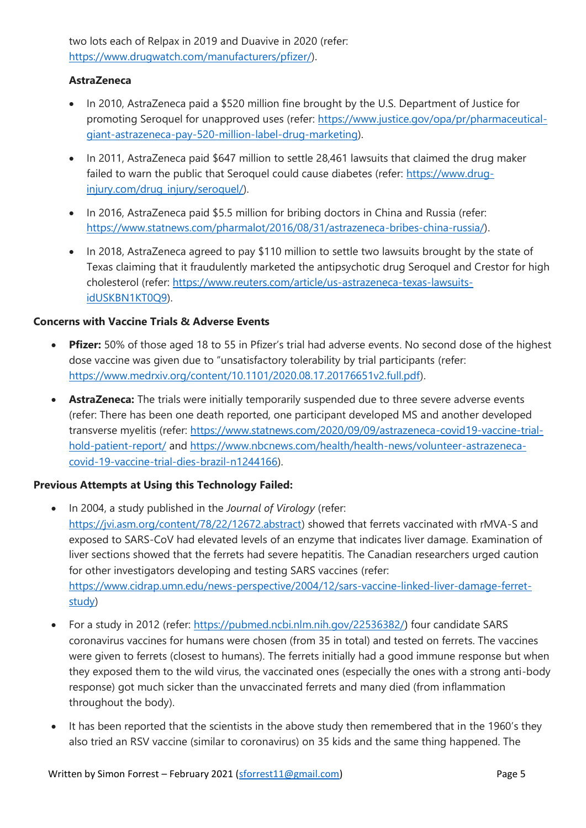two lots each of Relpax in 2019 and Duavive in 2020 (refer: [https://www.drugwatch.com/manufacturers/pfizer/\)](https://www.drugwatch.com/manufacturers/pfizer/).

#### **AstraZeneca**

- In 2010, AstraZeneca paid a \$520 million fine brought by the U.S. Department of Justice for promoting Seroquel for unapproved uses (refer: [https://www.justice.gov/opa/pr/pharmaceutical](https://www.justice.gov/opa/pr/pharmaceutical-giant-astrazeneca-pay-520-million-label-drug-marketing)[giant-astrazeneca-pay-520-million-label-drug-marketing\)](https://www.justice.gov/opa/pr/pharmaceutical-giant-astrazeneca-pay-520-million-label-drug-marketing).
- In 2011, AstraZeneca paid \$647 million to settle 28,461 lawsuits that claimed the drug maker failed to warn the public that Seroquel could cause diabetes (refer: [https://www.drug](https://www.drug-injury.com/drug_injury/seroquel/)[injury.com/drug\\_injury/seroquel/\)](https://www.drug-injury.com/drug_injury/seroquel/).
- In 2016, AstraZeneca paid \$5.5 million for bribing doctors in China and Russia (refer: [https://www.statnews.com/pharmalot/2016/08/31/astrazeneca-bribes-china-russia/\)](https://www.statnews.com/pharmalot/2016/08/31/astrazeneca-bribes-china-russia/).
- In 2018, AstraZeneca agreed to pay \$110 million to settle two lawsuits brought by the state of Texas claiming that it fraudulently marketed the antipsychotic drug Seroquel and Crestor for high cholesterol (refer: [https://www.reuters.com/article/us-astrazeneca-texas-lawsuits](https://www.reuters.com/article/us-astrazeneca-texas-lawsuits-idUSKBN1KT0Q9)[idUSKBN1KT0Q9\)](https://www.reuters.com/article/us-astrazeneca-texas-lawsuits-idUSKBN1KT0Q9).

#### **Concerns with Vaccine Trials & Adverse Events**

- **Pfizer:** 50% of those aged 18 to 55 in Pfizer's trial had adverse events. No second dose of the highest dose vaccine was given due to "unsatisfactory tolerability by trial participants (refer: [https://www.medrxiv.org/content/10.1101/2020.08.17.20176651v2.full.pdf\)](https://www.medrxiv.org/content/10.1101/2020.08.17.20176651v2.full.pdf).
- **AstraZeneca:** The trials were initially temporarily suspended due to three severe adverse events (refer: There has been one death reported, one participant developed MS and another developed transverse myelitis (refer: [https://www.statnews.com/2020/09/09/astrazeneca-covid19-vaccine-trial](https://www.statnews.com/2020/09/09/astrazeneca-covid19-vaccine-trial-hold-patient-report/)[hold-patient-report/](https://www.statnews.com/2020/09/09/astrazeneca-covid19-vaccine-trial-hold-patient-report/) and [https://www.nbcnews.com/health/health-news/volunteer-astrazeneca](https://www.nbcnews.com/health/health-news/volunteer-astrazeneca-covid-19-vaccine-trial-dies-brazil-n1244166)[covid-19-vaccine-trial-dies-brazil-n1244166\)](https://www.nbcnews.com/health/health-news/volunteer-astrazeneca-covid-19-vaccine-trial-dies-brazil-n1244166).

#### **Previous Attempts at Using this Technology Failed:**

- In 2004, a study published in the *Journal of Virology* (refer: [https://jvi.asm.org/content/78/22/12672.abstract\)](https://jvi.asm.org/content/78/22/12672.abstract) showed that ferrets vaccinated with rMVA-S and exposed to SARS-CoV had elevated levels of an enzyme that indicates liver damage. Examination of liver sections showed that the ferrets had severe hepatitis. The Canadian researchers urged caution for other investigators developing and testing SARS vaccines (refer: [https://www.cidrap.umn.edu/news-perspective/2004/12/sars-vaccine-linked-liver-damage-ferret](https://www.cidrap.umn.edu/news-perspective/2004/12/sars-vaccine-linked-liver-damage-ferret-study)[study\)](https://www.cidrap.umn.edu/news-perspective/2004/12/sars-vaccine-linked-liver-damage-ferret-study)
- For a study in 2012 (refer: [https://pubmed.ncbi.nlm.nih.gov/22536382/\)](https://pubmed.ncbi.nlm.nih.gov/22536382/) four candidate SARS coronavirus vaccines for humans were chosen (from 35 in total) and tested on ferrets. The vaccines were given to ferrets (closest to humans). The ferrets initially had a good immune response but when they exposed them to the wild virus, the vaccinated ones (especially the ones with a strong anti-body response) got much sicker than the unvaccinated ferrets and many died (from inflammation throughout the body).
- It has been reported that the scientists in the above study then remembered that in the 1960's they also tried an RSV vaccine (similar to coronavirus) on 35 kids and the same thing happened. The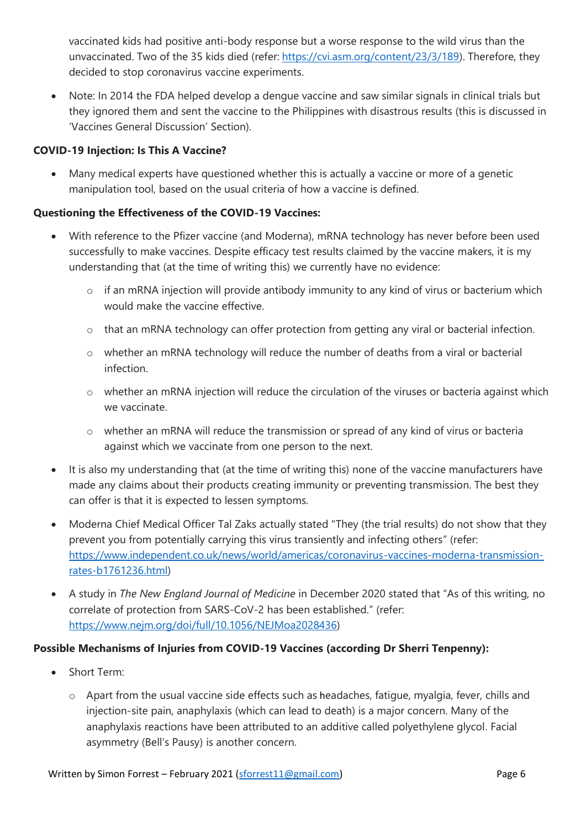vaccinated kids had positive anti-body response but a worse response to the wild virus than the unvaccinated. Two of the 35 kids died (refer: [https://cvi.asm.org/content/23/3/189\)](https://cvi.asm.org/content/23/3/189). Therefore, they decided to stop coronavirus vaccine experiments.

• Note: In 2014 the FDA helped develop a dengue vaccine and saw similar signals in clinical trials but they ignored them and sent the vaccine to the Philippines with disastrous results (this is discussed in 'Vaccines General Discussion' Section).

#### **COVID-19 Injection: Is This A Vaccine?**

• Many medical experts have questioned whether this is actually a vaccine or more of a genetic manipulation tool, based on the usual criteria of how a vaccine is defined.

#### **Questioning the Effectiveness of the COVID-19 Vaccines:**

- With reference to the Pfizer vaccine (and Moderna), mRNA technology has never before been used successfully to make vaccines. Despite efficacy test results claimed by the vaccine makers, it is my understanding that (at the time of writing this) we currently have no evidence:
	- o if an mRNA injection will provide antibody immunity to any kind of virus or bacterium which would make the vaccine effective.
	- o that an mRNA technology can offer protection from getting any viral or bacterial infection.
	- o whether an mRNA technology will reduce the number of deaths from a viral or bacterial infection.
	- o whether an mRNA injection will reduce the circulation of the viruses or bacteria against which we vaccinate.
	- o whether an mRNA will reduce the transmission or spread of any kind of virus or bacteria against which we vaccinate from one person to the next.
- It is also my understanding that (at the time of writing this) none of the vaccine manufacturers have made any claims about their products creating immunity or preventing transmission. The best they can offer is that it is expected to lessen symptoms.
- Moderna Chief Medical Officer Tal Zaks actually stated "They (the trial results) do not show that they prevent you from potentially carrying this virus transiently and infecting others" (refer: [https://www.independent.co.uk/news/world/americas/coronavirus-vaccines-moderna-transmission](https://www.independent.co.uk/news/world/americas/coronavirus-vaccines-moderna-transmission-rates-b1761236.html)[rates-b1761236.html\)](https://www.independent.co.uk/news/world/americas/coronavirus-vaccines-moderna-transmission-rates-b1761236.html)
- A study in *The New England Journal of Medicine* in December 2020 stated that "As of this writing, no correlate of protection from SARS-CoV-2 has been established." (refer: [https://www.nejm.org/doi/full/10.1056/NEJMoa2028436\)](https://www.nejm.org/doi/full/10.1056/NEJMoa2028436)

#### **Possible Mechanisms of Injuries from COVID-19 Vaccines (according Dr Sherri Tenpenny):**

- Short Term:
	- o Apart from the usual vaccine side effects such as headaches, fatigue, myalgia, fever, chills and injection-site pain, anaphylaxis (which can lead to death) is a major concern. Many of the anaphylaxis reactions have been attributed to an additive called polyethylene glycol. Facial asymmetry (Bell's Pausy) is another concern.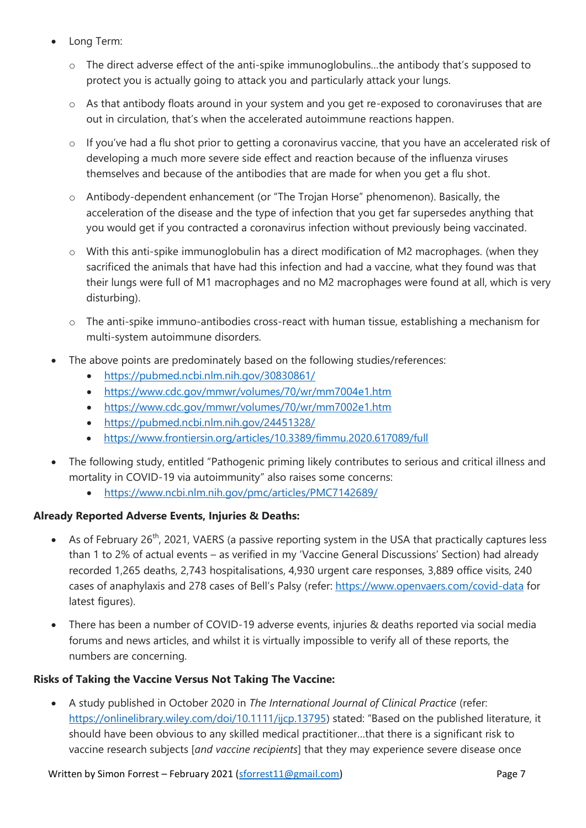- Long Term:
	- o The direct adverse effect of the anti-spike immunoglobulins…the antibody that's supposed to protect you is actually going to attack you and particularly attack your lungs.
	- o As that antibody floats around in your system and you get re-exposed to coronaviruses that are out in circulation, that's when the accelerated autoimmune reactions happen.
	- o If you've had a flu shot prior to getting a coronavirus vaccine, that you have an accelerated risk of developing a much more severe side effect and reaction because of the influenza viruses themselves and because of the antibodies that are made for when you get a flu shot.
	- o Antibody-dependent enhancement (or "The Trojan Horse" phenomenon). Basically, the acceleration of the disease and the type of infection that you get far supersedes anything that you would get if you contracted a coronavirus infection without previously being vaccinated.
	- o With this anti-spike immunoglobulin has a direct modification of M2 macrophages. (when they sacrificed the animals that have had this infection and had a vaccine, what they found was that their lungs were full of M1 macrophages and no M2 macrophages were found at all, which is very disturbing).
	- o The anti-spike immuno-antibodies cross-react with human tissue, establishing a mechanism for multi-system autoimmune disorders.
- The above points are predominately based on the following studies/references:
	- <https://pubmed.ncbi.nlm.nih.gov/30830861/>
	- <https://www.cdc.gov/mmwr/volumes/70/wr/mm7004e1.htm>
	- <https://www.cdc.gov/mmwr/volumes/70/wr/mm7002e1.htm>
	- <https://pubmed.ncbi.nlm.nih.gov/24451328/>
	- <https://www.frontiersin.org/articles/10.3389/fimmu.2020.617089/full>
- The following study, entitled "Pathogenic priming likely contributes to serious and critical illness and mortality in COVID-19 via autoimmunity" also raises some concerns:
	- <https://www.ncbi.nlm.nih.gov/pmc/articles/PMC7142689/>

#### **Already Reported Adverse Events, Injuries & Deaths:**

- As of February 26<sup>th</sup>, 2021, VAERS (a passive reporting system in the USA that practically captures less than 1 to 2% of actual events – as verified in my 'Vaccine General Discussions' Section) had already recorded 1,265 deaths, 2,743 hospitalisations, 4,930 urgent care responses, 3,889 office visits, 240 cases of anaphylaxis and 278 cases of Bell's Palsy (refer:<https://www.openvaers.com/covid-data> for latest figures).
- There has been a number of COVID-19 adverse events, injuries & deaths reported via social media forums and news articles, and whilst it is virtually impossible to verify all of these reports, the numbers are concerning.

#### **Risks of Taking the Vaccine Versus Not Taking The Vaccine:**

• A study published in October 2020 in *The International Journal of Clinical Practice* (refer: [https://onlinelibrary.wiley.com/doi/10.1111/ijcp.13795\)](https://onlinelibrary.wiley.com/doi/10.1111/ijcp.13795) stated: "Based on the published literature, it should have been obvious to any skilled medical practitioner…that there is a significant risk to vaccine research subjects [*and vaccine recipients*] that they may experience severe disease once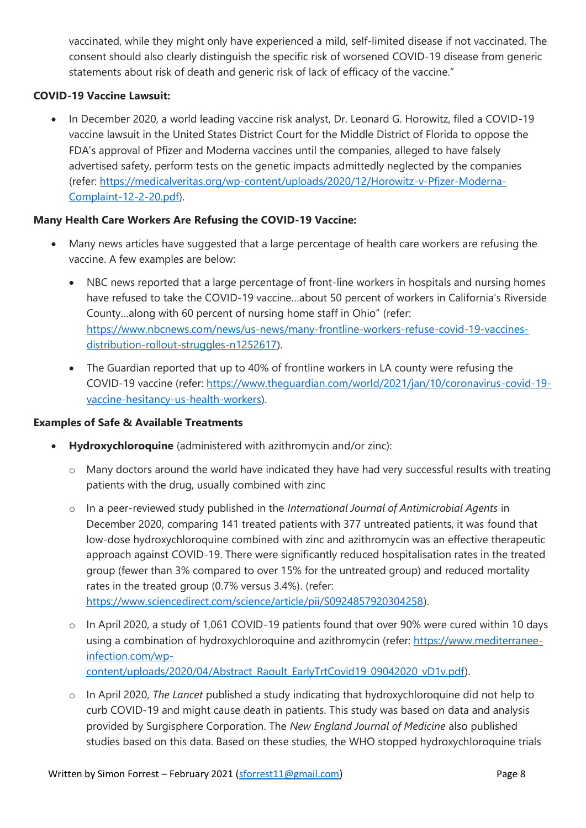vaccinated, while they might only have experienced a mild, self‐limited disease if not vaccinated. The consent should also clearly distinguish the specific risk of worsened COVID‐19 disease from generic statements about risk of death and generic risk of lack of efficacy of the vaccine."

#### **COVID-19 Vaccine Lawsuit:**

• In December 2020, a world leading vaccine risk analyst, Dr. Leonard G. Horowitz, filed a COVID-19 vaccine lawsuit in the United States District Court for the Middle District of Florida to oppose the FDA's approval of Pfizer and Moderna vaccines until the companies, alleged to have falsely advertised safety, perform tests on the genetic impacts admittedly neglected by the companies (refer: [https://medicalveritas.org/wp-content/uploads/2020/12/Horowitz-v-Pfizer-Moderna-](https://medicalveritas.org/wp-content/uploads/2020/12/Horowitz-v-Pfizer-Moderna-Complaint-12-2-20.pdf)[Complaint-12-2-20.pdf\)](https://medicalveritas.org/wp-content/uploads/2020/12/Horowitz-v-Pfizer-Moderna-Complaint-12-2-20.pdf).

#### **Many Health Care Workers Are Refusing the COVID-19 Vaccine:**

- Many news articles have suggested that a large percentage of health care workers are refusing the vaccine. A few examples are below:
	- NBC news reported that a large percentage of front-line workers in hospitals and nursing homes have refused to take the COVID-19 vaccine…about 50 percent of workers in California's Riverside County…along with 60 percent of nursing home staff in Ohio" (refer: [https://www.nbcnews.com/news/us-news/many-frontline-workers-refuse-covid-19-vaccines](https://www.nbcnews.com/news/us-news/many-frontline-workers-refuse-covid-19-vaccines-distribution-rollout-struggles-n1252617)[distribution-rollout-struggles-n1252617\)](https://www.nbcnews.com/news/us-news/many-frontline-workers-refuse-covid-19-vaccines-distribution-rollout-struggles-n1252617).
	- The Guardian reported that up to 40% of frontline workers in LA county were refusing the COVID-19 vaccine (refer: [https://www.theguardian.com/world/2021/jan/10/coronavirus-covid-19](https://www.theguardian.com/world/2021/jan/10/coronavirus-covid-19-vaccine-hesitancy-us-health-workers) [vaccine-hesitancy-us-health-workers\)](https://www.theguardian.com/world/2021/jan/10/coronavirus-covid-19-vaccine-hesitancy-us-health-workers).

#### **Examples of Safe & Available Treatments**

- **Hydroxychloroquine** (administered with azithromycin and/or zinc):
	- o Many doctors around the world have indicated they have had very successful results with treating patients with the drug, usually combined with zinc
	- o In a peer-reviewed study published in the *International Journal of Antimicrobial Agents* in December 2020, comparing 141 treated patients with 377 untreated patients, it was found that low-dose hydroxychloroquine combined with zinc and azithromycin was an effective therapeutic approach against COVID-19. There were significantly reduced hospitalisation rates in the treated group (fewer than 3% compared to over 15% for the untreated group) and reduced mortality rates in the treated group (0.7% versus 3.4%). (refer: [https://www.sciencedirect.com/science/article/pii/S0924857920304258\)](https://www.sciencedirect.com/science/article/pii/S0924857920304258).
	- o In April 2020, a study of 1,061 COVID-19 patients found that over 90% were cured within 10 days using a combination of hydroxychloroquine and azithromycin (refer: [https://www.mediterranee](https://www.mediterranee-infection.com/wp-content/uploads/2020/04/Abstract_Raoult_EarlyTrtCovid19_09042020_vD1v.pdf)[infection.com/wp](https://www.mediterranee-infection.com/wp-content/uploads/2020/04/Abstract_Raoult_EarlyTrtCovid19_09042020_vD1v.pdf)[content/uploads/2020/04/Abstract\\_Raoult\\_EarlyTrtCovid19\\_09042020\\_vD1v.pdf\)](https://www.mediterranee-infection.com/wp-content/uploads/2020/04/Abstract_Raoult_EarlyTrtCovid19_09042020_vD1v.pdf).
	- o In April 2020, *The Lancet* published a study indicating that hydroxychloroquine did not help to curb COVID-19 and might cause death in patients. This study was based on data and analysis provided by Surgisphere Corporation. The *New England Journal of Medicine* also published studies based on this data. Based on these studies, the WHO stopped hydroxychloroquine trials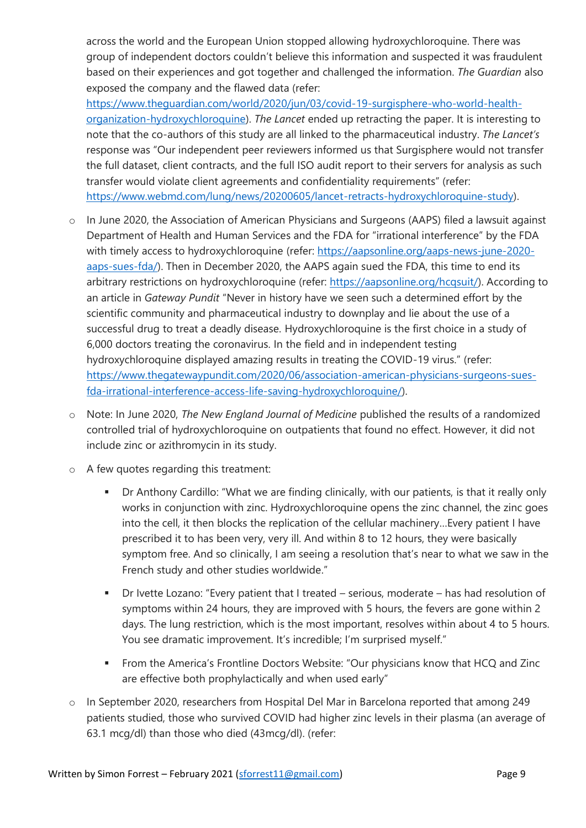across the world and the European Union stopped allowing hydroxychloroquine. There was group of independent doctors couldn't believe this information and suspected it was fraudulent based on their experiences and got together and challenged the information. *The Guardian* also exposed the company and the flawed data (refer:

[https://www.theguardian.com/world/2020/jun/03/covid-19-surgisphere-who-world-health](https://www.theguardian.com/world/2020/jun/03/covid-19-surgisphere-who-world-health-organization-hydroxychloroquine)[organization-hydroxychloroquine\)](https://www.theguardian.com/world/2020/jun/03/covid-19-surgisphere-who-world-health-organization-hydroxychloroquine). *The Lancet* ended up retracting the paper. It is interesting to note that the co-authors of this study are all linked to the pharmaceutical industry. *The Lancet's* response was "Our independent peer reviewers informed us that Surgisphere would not transfer the full dataset, client contracts, and the full ISO audit report to their servers for analysis as such transfer would violate client agreements and confidentiality requirements" (refer: [https://www.webmd.com/lung/news/20200605/lancet-retracts-hydroxychloroquine-study\)](https://www.webmd.com/lung/news/20200605/lancet-retracts-hydroxychloroquine-study).

- In June 2020, the Association of American Physicians and Surgeons (AAPS) filed a lawsuit against Department of Health and Human Services and the FDA for "irrational interference" by the FDA with timely access to hydroxychloroquine (refer: [https://aapsonline.org/aaps-news-june-2020](https://aapsonline.org/aaps-news-june-2020-aaps-sues-fda/) [aaps-sues-fda/\)](https://aapsonline.org/aaps-news-june-2020-aaps-sues-fda/). Then in December 2020, the AAPS again sued the FDA, this time to end its arbitrary restrictions on hydroxychloroquine (refer: [https://aapsonline.org/hcqsuit/\)](https://aapsonline.org/hcqsuit/). According to an article in *Gateway Pundit* "Never in history have we seen such a determined effort by the scientific community and pharmaceutical industry to downplay and lie about the use of a successful drug to treat a deadly disease. Hydroxychloroquine is the first choice in a study of 6,000 doctors treating the coronavirus. In the field and in independent testing hydroxychloroquine displayed amazing results in treating the COVID-19 virus." (refer: [https://www.thegatewaypundit.com/2020/06/association-american-physicians-surgeons-sues](https://www.thegatewaypundit.com/2020/06/association-american-physicians-surgeons-sues-fda-irrational-interference-access-life-saving-hydroxychloroquine/)[fda-irrational-interference-access-life-saving-hydroxychloroquine/\)](https://www.thegatewaypundit.com/2020/06/association-american-physicians-surgeons-sues-fda-irrational-interference-access-life-saving-hydroxychloroquine/).
- o Note: In June 2020, *The New England Journal of Medicine* published the results of a randomized controlled trial of hydroxychloroquine on outpatients that found no effect. However, it did not include zinc or azithromycin in its study.
- o A few quotes regarding this treatment:
	- Dr Anthony Cardillo: "What we are finding clinically, with our patients, is that it really only works in conjunction with zinc. Hydroxychloroquine opens the zinc channel, the zinc goes into the cell, it then blocks the replication of the cellular machinery…Every patient I have prescribed it to has been very, very ill. And within 8 to 12 hours, they were basically symptom free. And so clinically, I am seeing a resolution that's near to what we saw in the French study and other studies worldwide."
	- Dr Ivette Lozano: "Every patient that I treated serious, moderate has had resolution of symptoms within 24 hours, they are improved with 5 hours, the fevers are gone within 2 days. The lung restriction, which is the most important, resolves within about 4 to 5 hours. You see dramatic improvement. It's incredible; I'm surprised myself."
	- **•** From the America's Frontline Doctors Website: "Our physicians know that HCQ and Zinc are effective both prophylactically and when used early"
- o In September 2020, researchers from Hospital Del Mar in Barcelona reported that among 249 patients studied, those who survived COVID had higher zinc levels in their plasma (an average of 63.1 mcg/dl) than those who died (43mcg/dl). (refer: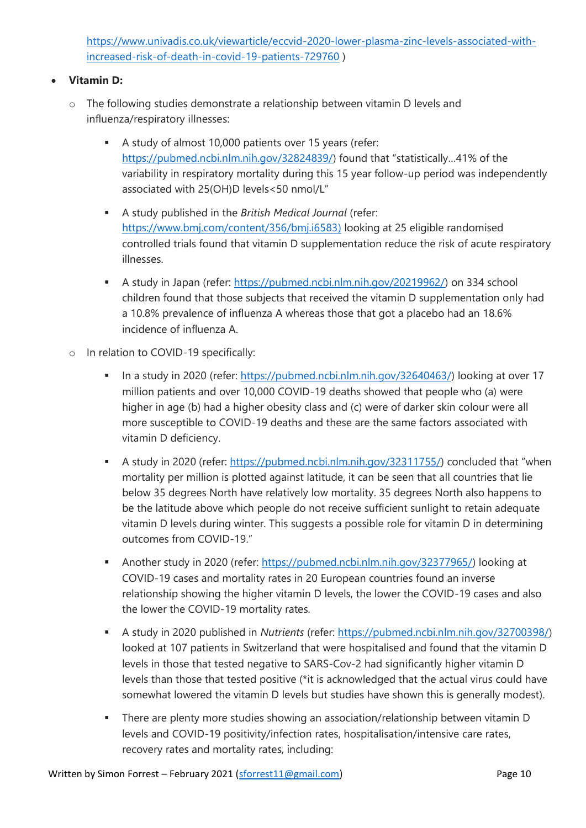[https://www.univadis.co.uk/viewarticle/eccvid-2020-lower-plasma-zinc-levels-associated-with](https://www.univadis.co.uk/viewarticle/eccvid-2020-lower-plasma-zinc-levels-associated-with-increased-risk-of-death-in-covid-19-patients-729760)[increased-risk-of-death-in-covid-19-patients-729760](https://www.univadis.co.uk/viewarticle/eccvid-2020-lower-plasma-zinc-levels-associated-with-increased-risk-of-death-in-covid-19-patients-729760) )

#### • **Vitamin D:**

- o The following studies demonstrate a relationship between vitamin D levels and influenza/respiratory illnesses:
	- A study of almost 10,000 patients over 15 years (refer: [https://pubmed.ncbi.nlm.nih.gov/32824839/\)](https://pubmed.ncbi.nlm.nih.gov/32824839/) found that "statistically…41% of the variability in respiratory mortality during this 15 year follow-up period was independently associated with 25(OH)D levels<50 nmol/L"
	- A study published in the *British Medical Journal* (refer: [https://www.bmj.com/content/356/bmj.i6583\)](https://www.bmj.com/content/356/bmj.i6583) looking at 25 eligible randomised controlled trials found that vitamin D supplementation reduce the risk of acute respiratory illnesses.
	- A study in Japan (refer: [https://pubmed.ncbi.nlm.nih.gov/20219962/\)](https://pubmed.ncbi.nlm.nih.gov/20219962/) on 334 school children found that those subjects that received the vitamin D supplementation only had a 10.8% prevalence of influenza A whereas those that got a placebo had an 18.6% incidence of influenza A.
- o In relation to COVID-19 specifically:
	- **■** In a study in 2020 (refer: [https://pubmed.ncbi.nlm.nih.gov/32640463/\)](https://pubmed.ncbi.nlm.nih.gov/32640463/) looking at over 17 million patients and over 10,000 COVID-19 deaths showed that people who (a) were higher in age (b) had a higher obesity class and (c) were of darker skin colour were all more susceptible to COVID-19 deaths and these are the same factors associated with vitamin D deficiency.
	- A study in 2020 (refer: <https://pubmed.ncbi.nlm.nih.gov/32311755/>) concluded that "when mortality per million is plotted against latitude, it can be seen that all countries that lie below 35 degrees North have relatively low mortality. 35 degrees North also happens to be the latitude above which people do not receive sufficient sunlight to retain adequate vitamin D levels during winter. This suggests a possible role for vitamin D in determining outcomes from COVID-19."
	- Another study in 2020 (refer: [https://pubmed.ncbi.nlm.nih.gov/32377965/\)](https://pubmed.ncbi.nlm.nih.gov/32377965/) looking at COVID-19 cases and mortality rates in 20 European countries found an inverse relationship showing the higher vitamin D levels, the lower the COVID-19 cases and also the lower the COVID-19 mortality rates.
	- A study in 2020 published in *Nutrients* (refer: [https://pubmed.ncbi.nlm.nih.gov/32700398/\)](https://pubmed.ncbi.nlm.nih.gov/32700398/) looked at 107 patients in Switzerland that were hospitalised and found that the vitamin D levels in those that tested negative to SARS-Cov-2 had significantly higher vitamin D levels than those that tested positive (\*it is acknowledged that the actual virus could have somewhat lowered the vitamin D levels but studies have shown this is generally modest).
	- **EXECT** There are plenty more studies showing an association/relationship between vitamin D levels and COVID-19 positivity/infection rates, hospitalisation/intensive care rates, recovery rates and mortality rates, including: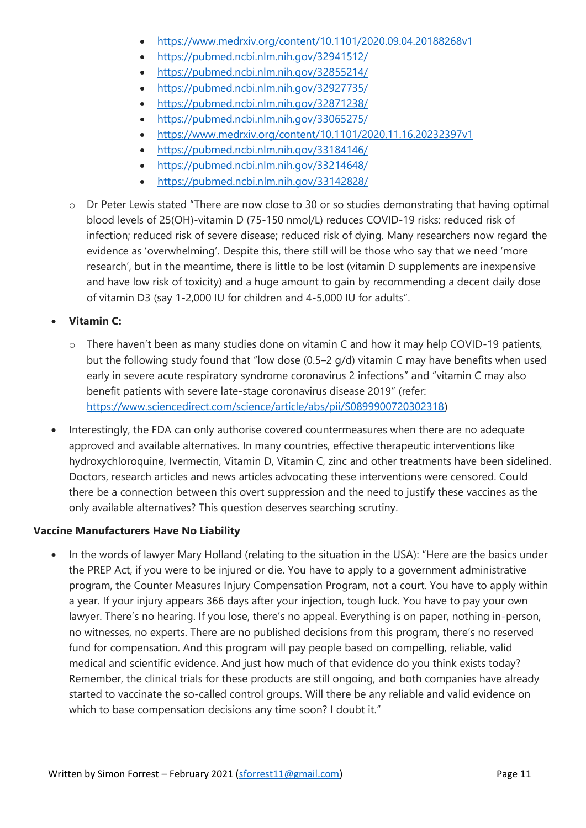- <https://www.medrxiv.org/content/10.1101/2020.09.04.20188268v1>
- <https://pubmed.ncbi.nlm.nih.gov/32941512/>
- <https://pubmed.ncbi.nlm.nih.gov/32855214/>
- <https://pubmed.ncbi.nlm.nih.gov/32927735/>
- <https://pubmed.ncbi.nlm.nih.gov/32871238/>
- <https://pubmed.ncbi.nlm.nih.gov/33065275/>
- <https://www.medrxiv.org/content/10.1101/2020.11.16.20232397v1>
- <https://pubmed.ncbi.nlm.nih.gov/33184146/>
- <https://pubmed.ncbi.nlm.nih.gov/33214648/>
- <https://pubmed.ncbi.nlm.nih.gov/33142828/>
- o Dr Peter Lewis stated "There are now close to 30 or so studies demonstrating that having optimal blood levels of 25(OH)-vitamin D (75-150 nmol/L) reduces COVID-19 risks: reduced risk of infection; reduced risk of severe disease; reduced risk of dying. Many researchers now regard the evidence as 'overwhelming'. Despite this, there still will be those who say that we need 'more research', but in the meantime, there is little to be lost (vitamin D supplements are inexpensive and have low risk of toxicity) and a huge amount to gain by recommending a decent daily dose of vitamin D3 (say 1-2,000 IU for children and 4-5,000 IU for adults".
- **Vitamin C:**
	- o There haven't been as many studies done on vitamin C and how it may help COVID-19 patients, but the following study found that "low dose (0.5–2 g/d) vitamin C may have benefits when used early in severe acute respiratory syndrome coronavirus 2 infections" and "vitamin C may also benefit patients with severe late-stage coronavirus disease 2019" (refer: [https://www.sciencedirect.com/science/article/abs/pii/S0899900720302318\)](https://www.sciencedirect.com/science/article/abs/pii/S0899900720302318)
- Interestingly, the FDA can only authorise covered countermeasures when there are no adequate approved and available alternatives. In many countries, effective therapeutic interventions like hydroxychloroquine, Ivermectin, Vitamin D, Vitamin C, zinc and other treatments have been sidelined. Doctors, research articles and news articles advocating these interventions were censored. Could there be a connection between this overt suppression and the need to justify these vaccines as the only available alternatives? This question deserves searching scrutiny.

#### **Vaccine Manufacturers Have No Liability**

• In the words of lawyer Mary Holland (relating to the situation in the USA): "Here are the basics under the PREP Act, if you were to be injured or die. You have to apply to a government administrative program, the Counter Measures Injury Compensation Program, not a court. You have to apply within a year. If your injury appears 366 days after your injection, tough luck. You have to pay your own lawyer. There's no hearing. If you lose, there's no appeal. Everything is on paper, nothing in-person, no witnesses, no experts. There are no published decisions from this program, there's no reserved fund for compensation. And this program will pay people based on compelling, reliable, valid medical and scientific evidence. And just how much of that evidence do you think exists today? Remember, the clinical trials for these products are still ongoing, and both companies have already started to vaccinate the so-called control groups. Will there be any reliable and valid evidence on which to base compensation decisions any time soon? I doubt it."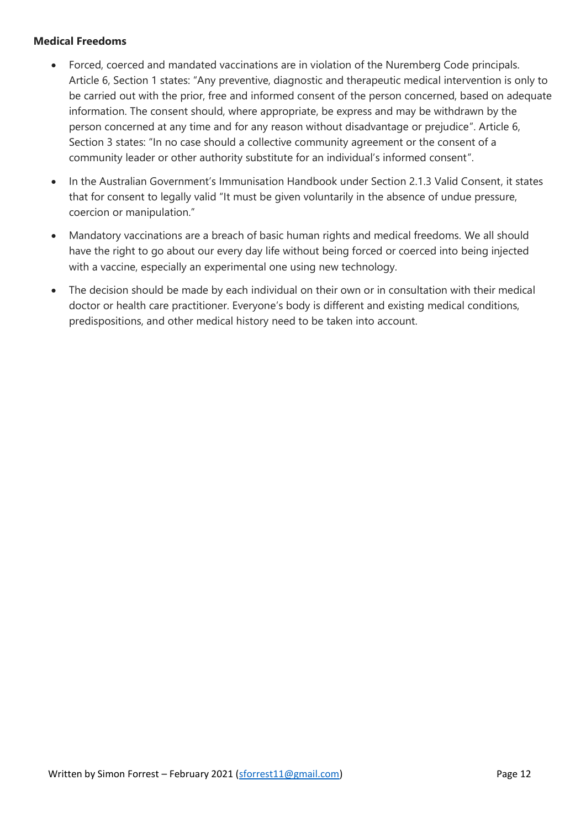#### **Medical Freedoms**

- Forced, coerced and mandated vaccinations are in violation of the Nuremberg Code principals. Article 6, Section 1 states: "Any preventive, diagnostic and therapeutic medical intervention is only to be carried out with the prior, free and informed consent of the person concerned, based on adequate information. The consent should, where appropriate, be express and may be withdrawn by the person concerned at any time and for any reason without disadvantage or prejudice". Article 6, Section 3 states: "In no case should a collective community agreement or the consent of a community leader or other authority substitute for an individual's informed consent".
- In the Australian Government's Immunisation Handbook under Section 2.1.3 Valid Consent, it states that for consent to legally valid "It must be given voluntarily in the absence of undue pressure, coercion or manipulation."
- Mandatory vaccinations are a breach of basic human rights and medical freedoms. We all should have the right to go about our every day life without being forced or coerced into being injected with a vaccine, especially an experimental one using new technology.
- The decision should be made by each individual on their own or in consultation with their medical doctor or health care practitioner. Everyone's body is different and existing medical conditions, predispositions, and other medical history need to be taken into account.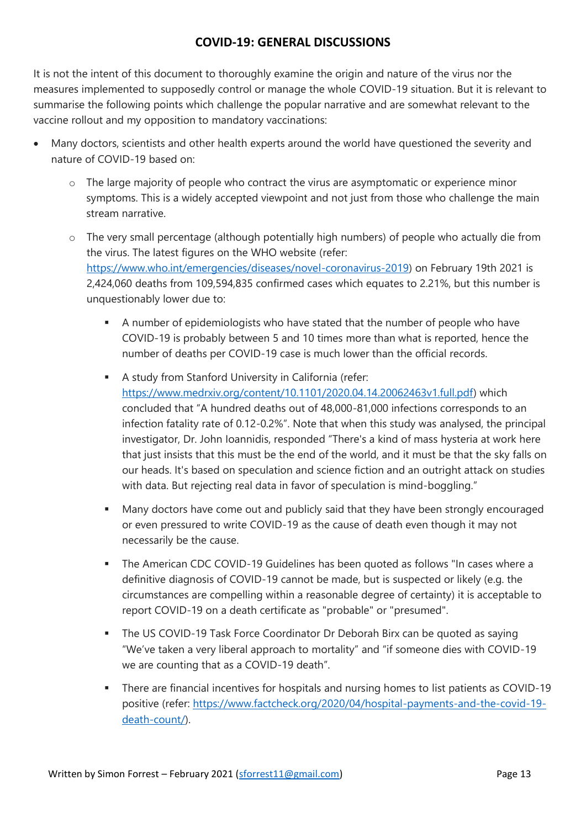#### **COVID-19: GENERAL DISCUSSIONS**

It is not the intent of this document to thoroughly examine the origin and nature of the virus nor the measures implemented to supposedly control or manage the whole COVID-19 situation. But it is relevant to summarise the following points which challenge the popular narrative and are somewhat relevant to the vaccine rollout and my opposition to mandatory vaccinations:

- Many doctors, scientists and other health experts around the world have questioned the severity and nature of COVID-19 based on:
	- o The large majority of people who contract the virus are asymptomatic or experience minor symptoms. This is a widely accepted viewpoint and not just from those who challenge the main stream narrative.
	- o The very small percentage (although potentially high numbers) of people who actually die from the virus. The latest figures on the WHO website (refer: [https://www.who.int/emergencies/diseases/novel-coronavirus-2019\)](https://www.who.int/emergencies/diseases/novel-coronavirus-2019) on February 19th 2021 is 2,424,060 deaths from 109,594,835 confirmed cases which equates to 2.21%, but this number is unquestionably lower due to:
		- A number of epidemiologists who have stated that the number of people who have COVID-19 is probably between 5 and 10 times more than what is reported, hence the number of deaths per COVID-19 case is much lower than the official records.
		- A study from Stanford University in California (refer: [https://www.medrxiv.org/content/10.1101/2020.04.14.20062463v1.full.pdf\)](https://www.medrxiv.org/content/10.1101/2020.04.14.20062463v1.full.pdf) which concluded that "A hundred deaths out of 48,000-81,000 infections corresponds to an infection fatality rate of 0.12-0.2%". Note that when this study was analysed, the principal investigator, Dr. John Ioannidis, responded "There's a kind of mass hysteria at work here that just insists that this must be the end of the world, and it must be that the sky falls on our heads. It's based on speculation and science fiction and an outright attack on studies with data. But rejecting real data in favor of speculation is mind-boggling."
		- Many doctors have come out and publicly said that they have been strongly encouraged or even pressured to write COVID-19 as the cause of death even though it may not necessarily be the cause.
		- **•** The American CDC COVID-19 Guidelines has been quoted as follows "In cases where a definitive diagnosis of COVID-19 cannot be made, but is suspected or likely (e.g. the circumstances are compelling within a reasonable degree of certainty) it is acceptable to report COVID-19 on a death certificate as "probable" or "presumed".
		- **The US COVID-19 Task Force Coordinator Dr Deborah Birx can be quoted as saying** "We've taken a very liberal approach to mortality" and "if someone dies with COVID-19 we are counting that as a COVID-19 death".
		- There are financial incentives for hospitals and nursing homes to list patients as COVID-19 positive (refer: [https://www.factcheck.org/2020/04/hospital-payments-and-the-covid-19](https://www.factcheck.org/2020/04/hospital-payments-and-the-covid-19-death-count/) [death-count/\)](https://www.factcheck.org/2020/04/hospital-payments-and-the-covid-19-death-count/).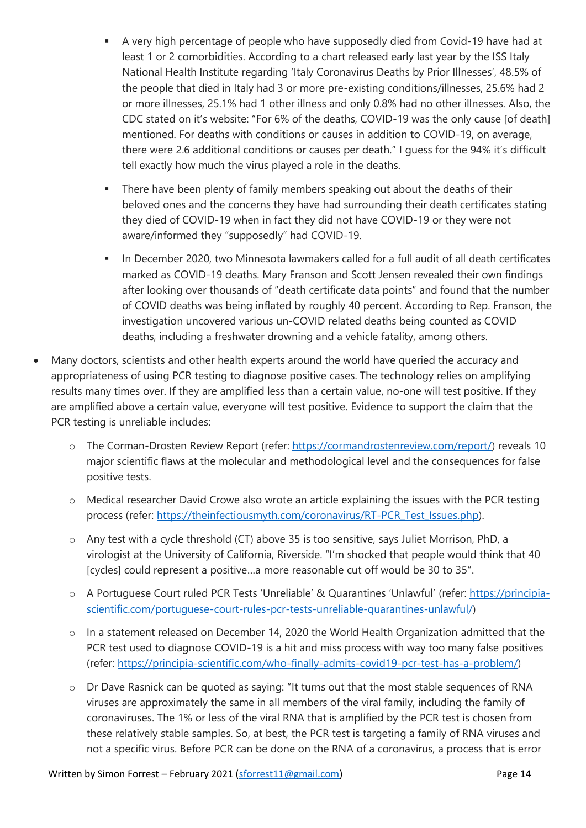- A very high percentage of people who have supposedly died from Covid-19 have had at least 1 or 2 comorbidities. According to a chart released early last year by the ISS Italy National Health Institute regarding 'Italy Coronavirus Deaths by Prior Illnesses', 48.5% of the people that died in Italy had 3 or more pre-existing conditions/illnesses, 25.6% had 2 or more illnesses, 25.1% had 1 other illness and only 0.8% had no other illnesses. Also, the CDC stated on it's website: "For 6% of the deaths, COVID-19 was the only cause [of death] mentioned. For deaths with conditions or causes in addition to COVID-19, on average, there were 2.6 additional conditions or causes per death." I guess for the 94% it's difficult tell exactly how much the virus played a role in the deaths.
- **EXECT** There have been plenty of family members speaking out about the deaths of their beloved ones and the concerns they have had surrounding their death certificates stating they died of COVID-19 when in fact they did not have COVID-19 or they were not aware/informed they "supposedly" had COVID-19.
- In December 2020, two Minnesota lawmakers called for a full audit of all death certificates marked as COVID-19 deaths. Mary Franson and Scott Jensen revealed their own findings after looking over thousands of "death certificate data points" and found that the number of COVID deaths was being inflated by roughly 40 percent. According to Rep. Franson, the investigation uncovered various un-COVID related deaths being counted as COVID deaths, including a freshwater drowning and a vehicle fatality, among others.
- Many doctors, scientists and other health experts around the world have queried the accuracy and appropriateness of using PCR testing to diagnose positive cases. The technology relies on amplifying results many times over. If they are amplified less than a certain value, no-one will test positive. If they are amplified above a certain value, everyone will test positive. Evidence to support the claim that the PCR testing is unreliable includes:
	- o The Corman-Drosten Review Report (refer: [https://cormandrostenreview.com/report/\)](https://cormandrostenreview.com/report/) reveals 10 major scientific flaws at the molecular and methodological level and the consequences for false positive tests.
	- o Medical researcher David Crowe also wrote an article explaining the issues with the PCR testing process (refer: [https://theinfectiousmyth.com/coronavirus/RT-PCR\\_Test\\_Issues.php\)](https://theinfectiousmyth.com/coronavirus/RT-PCR_Test_Issues.php).
	- o Any test with a cycle threshold (CT) above 35 is too sensitive, says Juliet Morrison, PhD, a virologist at the University of California, Riverside. "I'm shocked that people would think that 40 [cycles] could represent a positive...a more reasonable cut off would be 30 to 35".
	- o A Portuguese Court ruled PCR Tests 'Unreliable' & Quarantines 'Unlawful' (refer: [https://principia](https://principia-scientific.com/portuguese-court-rules-pcr-tests-unreliable-quarantines-unlawful/)[scientific.com/portuguese-court-rules-pcr-tests-unreliable-quarantines-unlawful/\)](https://principia-scientific.com/portuguese-court-rules-pcr-tests-unreliable-quarantines-unlawful/)
	- o In a statement released on December 14, 2020 the World Health Organization admitted that the PCR test used to diagnose COVID-19 is a hit and miss process with way too many false positives (refer: [https://principia-scientific.com/who-finally-admits-covid19-pcr-test-has-a-problem/\)](https://principia-scientific.com/who-finally-admits-covid19-pcr-test-has-a-problem/)
	- o Dr Dave Rasnick can be quoted as saying: "It turns out that the most stable sequences of RNA viruses are approximately the same in all members of the viral family, including the family of coronaviruses. The 1% or less of the viral RNA that is amplified by the PCR test is chosen from these relatively stable samples. So, at best, the PCR test is targeting a family of RNA viruses and not a specific virus. Before PCR can be done on the RNA of a coronavirus, a process that is error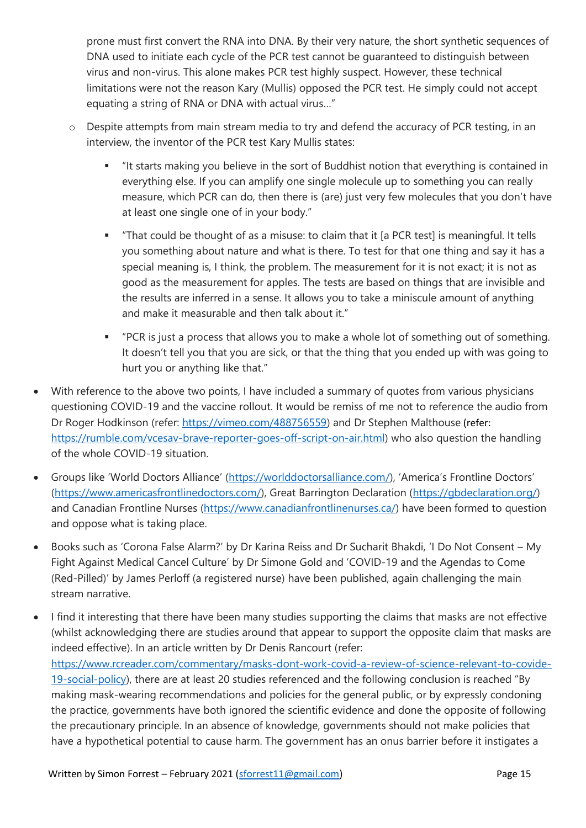prone must first convert the RNA into DNA. By their very nature, the short synthetic sequences of DNA used to initiate each cycle of the PCR test cannot be guaranteed to distinguish between virus and non-virus. This alone makes PCR test highly suspect. However, these technical limitations were not the reason Kary (Mullis) opposed the PCR test. He simply could not accept equating a string of RNA or DNA with actual virus…"

- o Despite attempts from main stream media to try and defend the accuracy of PCR testing, in an interview, the inventor of the PCR test Kary Mullis states:
	- It starts making you believe in the sort of Buddhist notion that everything is contained in everything else. If you can amplify one single molecule up to something you can really measure, which PCR can do, then there is (are) just very few molecules that you don't have at least one single one of in your body."
	- "That could be thought of as a misuse: to claim that it [a PCR test] is meaningful. It tells you something about nature and what is there. To test for that one thing and say it has a special meaning is, I think, the problem. The measurement for it is not exact; it is not as good as the measurement for apples. The tests are based on things that are invisible and the results are inferred in a sense. It allows you to take a miniscule amount of anything and make it measurable and then talk about it."
	- "PCR is just a process that allows you to make a whole lot of something out of something. It doesn't tell you that you are sick, or that the thing that you ended up with was going to hurt you or anything like that."
- With reference to the above two points, I have included a summary of quotes from various physicians questioning COVID-19 and the vaccine rollout. It would be remiss of me not to reference the audio from Dr Roger Hodkinson (refer: [https://vimeo.com/488756559\)](https://vimeo.com/488756559) and Dr Stephen Malthouse (refer: [https://rumble.com/vcesav-brave-reporter-goes-off-script-on-air.html\)](https://rumble.com/vcesav-brave-reporter-goes-off-script-on-air.html) who also question the handling of the whole COVID-19 situation.
- Groups like 'World Doctors Alliance' ([https://worlddoctorsalliance.com/\)](https://worlddoctorsalliance.com/), 'America's Frontline Doctors' [\(https://www.americasfrontlinedoctors.com/\)](https://www.americasfrontlinedoctors.com/), Great Barrington Declaration [\(https://gbdeclaration.org/\)](https://gbdeclaration.org/) and Canadian Frontline Nurses [\(https://www.canadianfrontlinenurses.ca/\)](https://www.canadianfrontlinenurses.ca/) have been formed to question and oppose what is taking place.
- Books such as 'Corona False Alarm?' by Dr Karina Reiss and Dr Sucharit Bhakdi, 'I Do Not Consent My Fight Against Medical Cancel Culture' by Dr Simone Gold and 'COVID-19 and the Agendas to Come (Red-Pilled)' by James Perloff (a registered nurse) have been published, again challenging the main stream narrative.
- I find it interesting that there have been many studies supporting the claims that masks are not effective (whilst acknowledging there are studies around that appear to support the opposite claim that masks are indeed effective). In an article written by Dr Denis Rancourt (refer: [https://www.rcreader.com/commentary/masks-dont-work-covid-a-review-of-science-relevant-to-covide-](https://www.rcreader.com/commentary/masks-dont-work-covid-a-review-of-science-relevant-to-covide-19-social-policy)[19-social-policy\)](https://www.rcreader.com/commentary/masks-dont-work-covid-a-review-of-science-relevant-to-covide-19-social-policy), there are at least 20 studies referenced and the following conclusion is reached "By making mask-wearing recommendations and policies for the general public, or by expressly condoning the practice, governments have both ignored the scientific evidence and done the opposite of following the precautionary principle. In an absence of knowledge, governments should not make policies that have a hypothetical potential to cause harm. The government has an onus barrier before it instigates a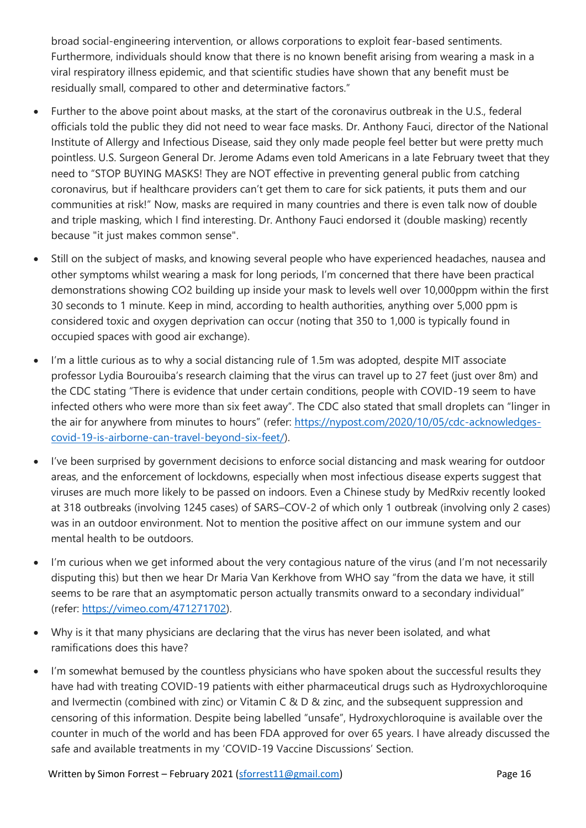broad social-engineering intervention, or allows corporations to exploit fear-based sentiments. Furthermore, individuals should know that there is no known benefit arising from wearing a mask in a viral respiratory illness epidemic, and that scientific studies have shown that any benefit must be residually small, compared to other and determinative factors."

- Further to the above point about masks, at the start of the coronavirus outbreak in the U.S., federal officials told the public they did not need to wear face masks. Dr. Anthony Fauci, director of the National Institute of Allergy and Infectious Disease, said they only made people feel better but were pretty much pointless. U.S. Surgeon General Dr. Jerome Adams even told Americans in a late February tweet that they need to "STOP BUYING MASKS! They are NOT effective in preventing general public from catching coronavirus, but if healthcare providers can't get them to care for sick patients, it puts them and our communities at risk!" Now, masks are required in many countries and there is even talk now of double and triple masking, which I find interesting. Dr. Anthony Fauci endorsed it (double masking) recently because "it just makes common sense".
- Still on the subject of masks, and knowing several people who have experienced headaches, nausea and other symptoms whilst wearing a mask for long periods, I'm concerned that there have been practical demonstrations showing CO2 building up inside your mask to levels well over 10,000ppm within the first 30 seconds to 1 minute. Keep in mind, according to health authorities, anything over 5,000 ppm is considered toxic and oxygen deprivation can occur (noting that 350 to 1,000 is typically found in occupied spaces with good air exchange).
- I'm a little curious as to why a social distancing rule of 1.5m was adopted, despite MIT associate professor Lydia Bourouiba's research claiming that the virus can travel up to 27 feet (just over 8m) and the CDC stating "There is evidence that under certain conditions, people with COVID-19 seem to have infected others who were more than six feet away". The CDC also stated that small droplets can "linger in the air for anywhere from minutes to hours" (refer: [https://nypost.com/2020/10/05/cdc-acknowledges](https://nypost.com/2020/10/05/cdc-acknowledges-covid-19-is-airborne-can-travel-beyond-six-feet/)[covid-19-is-airborne-can-travel-beyond-six-feet/\)](https://nypost.com/2020/10/05/cdc-acknowledges-covid-19-is-airborne-can-travel-beyond-six-feet/).
- I've been surprised by government decisions to enforce social distancing and mask wearing for outdoor areas, and the enforcement of lockdowns, especially when most infectious disease experts suggest that viruses are much more likely to be passed on indoors. Even a Chinese study by MedRxiv recently looked at 318 outbreaks (involving 1245 cases) of SARS–COV-2 of which only 1 outbreak (involving only 2 cases) was in an outdoor environment. Not to mention the positive affect on our immune system and our mental health to be outdoors.
- I'm curious when we get informed about the very contagious nature of the virus (and I'm not necessarily disputing this) but then we hear Dr Maria Van Kerkhove from WHO say "from the data we have, it still seems to be rare that an asymptomatic person actually transmits onward to a secondary individual" (refer: [https://vimeo.com/471271702\)](https://vimeo.com/471271702).
- Why is it that many physicians are declaring that the virus has never been isolated, and what ramifications does this have?
- I'm somewhat bemused by the countless physicians who have spoken about the successful results they have had with treating COVID-19 patients with either pharmaceutical drugs such as Hydroxychloroquine and Ivermectin (combined with zinc) or Vitamin C & D & zinc, and the subsequent suppression and censoring of this information. Despite being labelled "unsafe", Hydroxychloroquine is available over the counter in much of the world and has been FDA approved for over 65 years. I have already discussed the safe and available treatments in my 'COVID-19 Vaccine Discussions' Section.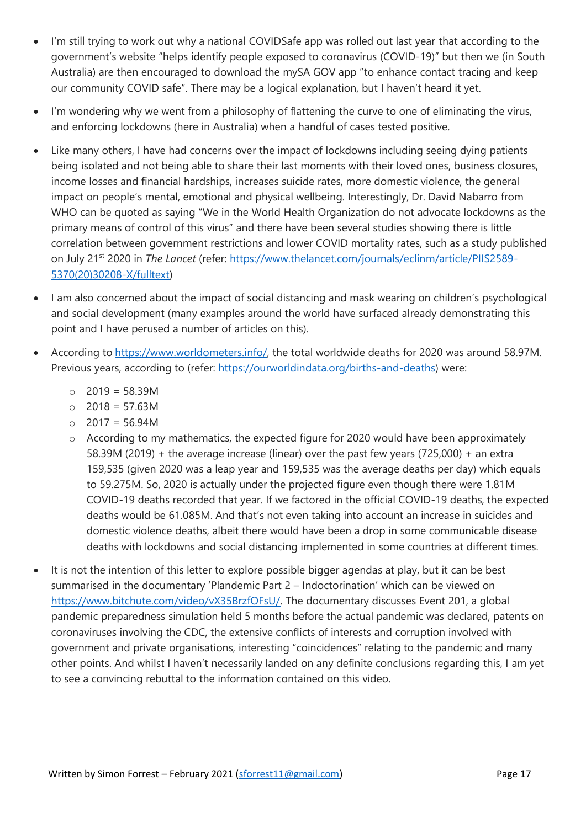- I'm still trying to work out why a national COVIDSafe app was rolled out last year that according to the government's website "helps identify people exposed to coronavirus (COVID-19)" but then we (in South Australia) are then encouraged to download the mySA GOV app "to enhance contact tracing and keep our community COVID safe". There may be a logical explanation, but I haven't heard it yet.
- I'm wondering why we went from a philosophy of flattening the curve to one of eliminating the virus, and enforcing lockdowns (here in Australia) when a handful of cases tested positive.
- Like many others, I have had concerns over the impact of lockdowns including seeing dying patients being isolated and not being able to share their last moments with their loved ones, business closures, income losses and financial hardships, increases suicide rates, more domestic violence, the general impact on people's mental, emotional and physical wellbeing. Interestingly, Dr. David Nabarro from WHO can be quoted as saying "We in the World Health Organization do not advocate lockdowns as the primary means of control of this virus" and there have been several studies showing there is little correlation between government restrictions and lower COVID mortality rates, such as a study published on July 21st 2020 in *The Lancet* (refer: [https://www.thelancet.com/journals/eclinm/article/PIIS2589-](https://www.thelancet.com/journals/eclinm/article/PIIS2589-5370(20)30208-X/fulltext) [5370\(20\)30208-X/fulltext\)](https://www.thelancet.com/journals/eclinm/article/PIIS2589-5370(20)30208-X/fulltext)
- I am also concerned about the impact of social distancing and mask wearing on children's psychological and social development (many examples around the world have surfaced already demonstrating this point and I have perused a number of articles on this).
- According to [https://www.worldometers.info/,](https://www.worldometers.info/) the total worldwide deaths for 2020 was around 58.97M. Previous years, according to (refer: [https://ourworldindata.org/births-and-deaths\)](https://ourworldindata.org/births-and-deaths) were:
	- o 2019 = 58.39M
	- o 2018 = 57.63M
	- $\circ$  2017 = 56.94M
	- o According to my mathematics, the expected figure for 2020 would have been approximately 58.39M (2019) + the average increase (linear) over the past few years (725,000) + an extra 159,535 (given 2020 was a leap year and 159,535 was the average deaths per day) which equals to 59.275M. So, 2020 is actually under the projected figure even though there were 1.81M COVID-19 deaths recorded that year. If we factored in the official COVID-19 deaths, the expected deaths would be 61.085M. And that's not even taking into account an increase in suicides and domestic violence deaths, albeit there would have been a drop in some communicable disease deaths with lockdowns and social distancing implemented in some countries at different times.
- It is not the intention of this letter to explore possible bigger agendas at play, but it can be best summarised in the documentary 'Plandemic Part 2 – Indoctorination' which can be viewed on [https://www.bitchute.com/video/vX35BrzfOFsU/.](https://www.bitchute.com/video/vX35BrzfOFsU/) The documentary discusses Event 201, a global pandemic preparedness simulation held 5 months before the actual pandemic was declared, patents on coronaviruses involving the CDC, the extensive conflicts of interests and corruption involved with government and private organisations, interesting "coincidences" relating to the pandemic and many other points. And whilst I haven't necessarily landed on any definite conclusions regarding this, I am yet to see a convincing rebuttal to the information contained on this video.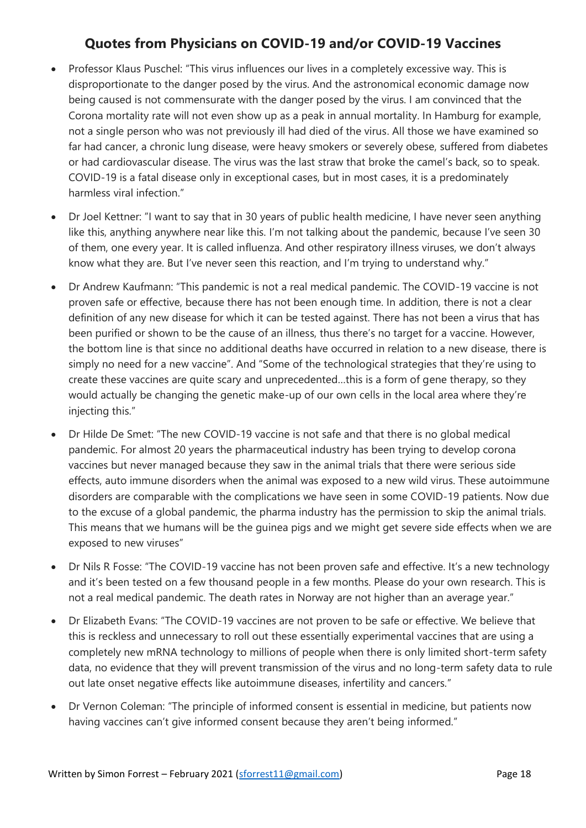## **Quotes from Physicians on COVID-19 and/or COVID-19 Vaccines**

- Professor Klaus Puschel: "This virus influences our lives in a completely excessive way. This is disproportionate to the danger posed by the virus. And the astronomical economic damage now being caused is not commensurate with the danger posed by the virus. I am convinced that the Corona mortality rate will not even show up as a peak in annual mortality. In Hamburg for example, not a single person who was not previously ill had died of the virus. All those we have examined so far had cancer, a chronic lung disease, were heavy smokers or severely obese, suffered from diabetes or had cardiovascular disease. The virus was the last straw that broke the camel's back, so to speak. COVID-19 is a fatal disease only in exceptional cases, but in most cases, it is a predominately harmless viral infection."
- Dr Joel Kettner: "I want to say that in 30 years of public health medicine, I have never seen anything like this, anything anywhere near like this. I'm not talking about the pandemic, because I've seen 30 of them, one every year. It is called influenza. And other respiratory illness viruses, we don't always know what they are. But I've never seen this reaction, and I'm trying to understand why."
- Dr Andrew Kaufmann: "This pandemic is not a real medical pandemic. The COVID-19 vaccine is not proven safe or effective, because there has not been enough time. In addition, there is not a clear definition of any new disease for which it can be tested against. There has not been a virus that has been purified or shown to be the cause of an illness, thus there's no target for a vaccine. However, the bottom line is that since no additional deaths have occurred in relation to a new disease, there is simply no need for a new vaccine". And "Some of the technological strategies that they're using to create these vaccines are quite scary and unprecedented…this is a form of gene therapy, so they would actually be changing the genetic make-up of our own cells in the local area where they're injecting this."
- Dr Hilde De Smet: "The new COVID-19 vaccine is not safe and that there is no global medical pandemic. For almost 20 years the pharmaceutical industry has been trying to develop corona vaccines but never managed because they saw in the animal trials that there were serious side effects, auto immune disorders when the animal was exposed to a new wild virus. These autoimmune disorders are comparable with the complications we have seen in some COVID-19 patients. Now due to the excuse of a global pandemic, the pharma industry has the permission to skip the animal trials. This means that we humans will be the guinea pigs and we might get severe side effects when we are exposed to new viruses"
- Dr Nils R Fosse: "The COVID-19 vaccine has not been proven safe and effective. It's a new technology and it's been tested on a few thousand people in a few months. Please do your own research. This is not a real medical pandemic. The death rates in Norway are not higher than an average year."
- Dr Elizabeth Evans: "The COVID-19 vaccines are not proven to be safe or effective. We believe that this is reckless and unnecessary to roll out these essentially experimental vaccines that are using a completely new mRNA technology to millions of people when there is only limited short-term safety data, no evidence that they will prevent transmission of the virus and no long-term safety data to rule out late onset negative effects like autoimmune diseases, infertility and cancers."
- Dr Vernon Coleman: "The principle of informed consent is essential in medicine, but patients now having vaccines can't give informed consent because they aren't being informed."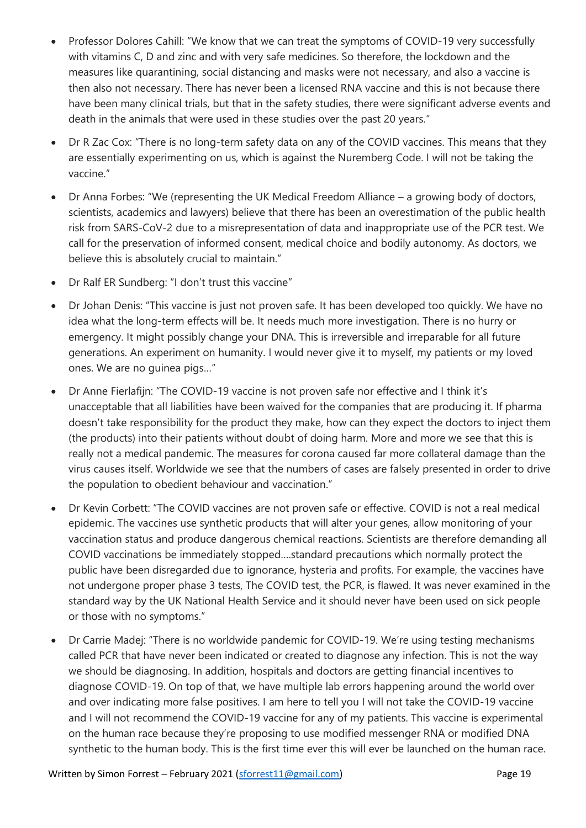- Professor Dolores Cahill: "We know that we can treat the symptoms of COVID-19 very successfully with vitamins C, D and zinc and with very safe medicines. So therefore, the lockdown and the measures like quarantining, social distancing and masks were not necessary, and also a vaccine is then also not necessary. There has never been a licensed RNA vaccine and this is not because there have been many clinical trials, but that in the safety studies, there were significant adverse events and death in the animals that were used in these studies over the past 20 years."
- Dr R Zac Cox: "There is no long-term safety data on any of the COVID vaccines. This means that they are essentially experimenting on us, which is against the Nuremberg Code. I will not be taking the vaccine."
- Dr Anna Forbes: "We (representing the UK Medical Freedom Alliance a growing body of doctors, scientists, academics and lawyers) believe that there has been an overestimation of the public health risk from SARS-CoV-2 due to a misrepresentation of data and inappropriate use of the PCR test. We call for the preservation of informed consent, medical choice and bodily autonomy. As doctors, we believe this is absolutely crucial to maintain."
- Dr Ralf ER Sundberg: "I don't trust this vaccine"
- Dr Johan Denis: "This vaccine is just not proven safe. It has been developed too quickly. We have no idea what the long-term effects will be. It needs much more investigation. There is no hurry or emergency. It might possibly change your DNA. This is irreversible and irreparable for all future generations. An experiment on humanity. I would never give it to myself, my patients or my loved ones. We are no guinea pigs…"
- Dr Anne Fierlafijn: "The COVID-19 vaccine is not proven safe nor effective and I think it's unacceptable that all liabilities have been waived for the companies that are producing it. If pharma doesn't take responsibility for the product they make, how can they expect the doctors to inject them (the products) into their patients without doubt of doing harm. More and more we see that this is really not a medical pandemic. The measures for corona caused far more collateral damage than the virus causes itself. Worldwide we see that the numbers of cases are falsely presented in order to drive the population to obedient behaviour and vaccination."
- Dr Kevin Corbett: "The COVID vaccines are not proven safe or effective. COVID is not a real medical epidemic. The vaccines use synthetic products that will alter your genes, allow monitoring of your vaccination status and produce dangerous chemical reactions. Scientists are therefore demanding all COVID vaccinations be immediately stopped….standard precautions which normally protect the public have been disregarded due to ignorance, hysteria and profits. For example, the vaccines have not undergone proper phase 3 tests, The COVID test, the PCR, is flawed. It was never examined in the standard way by the UK National Health Service and it should never have been used on sick people or those with no symptoms."
- Dr Carrie Madej: "There is no worldwide pandemic for COVID-19. We're using testing mechanisms called PCR that have never been indicated or created to diagnose any infection. This is not the way we should be diagnosing. In addition, hospitals and doctors are getting financial incentives to diagnose COVID-19. On top of that, we have multiple lab errors happening around the world over and over indicating more false positives. I am here to tell you I will not take the COVID-19 vaccine and I will not recommend the COVID-19 vaccine for any of my patients. This vaccine is experimental on the human race because they're proposing to use modified messenger RNA or modified DNA synthetic to the human body. This is the first time ever this will ever be launched on the human race.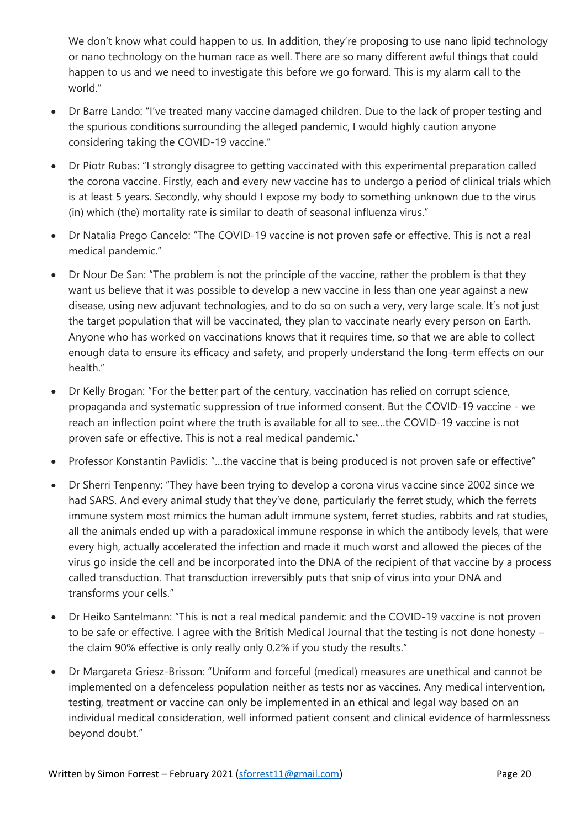We don't know what could happen to us. In addition, they're proposing to use nano lipid technology or nano technology on the human race as well. There are so many different awful things that could happen to us and we need to investigate this before we go forward. This is my alarm call to the world."

- Dr Barre Lando: "I've treated many vaccine damaged children. Due to the lack of proper testing and the spurious conditions surrounding the alleged pandemic, I would highly caution anyone considering taking the COVID-19 vaccine."
- Dr Piotr Rubas: "I strongly disagree to getting vaccinated with this experimental preparation called the corona vaccine. Firstly, each and every new vaccine has to undergo a period of clinical trials which is at least 5 years. Secondly, why should I expose my body to something unknown due to the virus (in) which (the) mortality rate is similar to death of seasonal influenza virus."
- Dr Natalia Prego Cancelo: "The COVID-19 vaccine is not proven safe or effective. This is not a real medical pandemic."
- Dr Nour De San: "The problem is not the principle of the vaccine, rather the problem is that they want us believe that it was possible to develop a new vaccine in less than one year against a new disease, using new adjuvant technologies, and to do so on such a very, very large scale. It's not just the target population that will be vaccinated, they plan to vaccinate nearly every person on Earth. Anyone who has worked on vaccinations knows that it requires time, so that we are able to collect enough data to ensure its efficacy and safety, and properly understand the long-term effects on our health."
- Dr Kelly Brogan: "For the better part of the century, vaccination has relied on corrupt science, propaganda and systematic suppression of true informed consent. But the COVID-19 vaccine - we reach an inflection point where the truth is available for all to see…the COVID-19 vaccine is not proven safe or effective. This is not a real medical pandemic."
- Professor Konstantin Pavlidis: "…the vaccine that is being produced is not proven safe or effective"
- Dr Sherri Tenpenny: "They have been trying to develop a corona virus vaccine since 2002 since we had SARS. And every animal study that they've done, particularly the ferret study, which the ferrets immune system most mimics the human adult immune system, ferret studies, rabbits and rat studies, all the animals ended up with a paradoxical immune response in which the antibody levels, that were every high, actually accelerated the infection and made it much worst and allowed the pieces of the virus go inside the cell and be incorporated into the DNA of the recipient of that vaccine by a process called transduction. That transduction irreversibly puts that snip of virus into your DNA and transforms your cells."
- Dr Heiko Santelmann: "This is not a real medical pandemic and the COVID-19 vaccine is not proven to be safe or effective. I agree with the British Medical Journal that the testing is not done honesty – the claim 90% effective is only really only 0.2% if you study the results."
- Dr Margareta Griesz-Brisson: "Uniform and forceful (medical) measures are unethical and cannot be implemented on a defenceless population neither as tests nor as vaccines. Any medical intervention, testing, treatment or vaccine can only be implemented in an ethical and legal way based on an individual medical consideration, well informed patient consent and clinical evidence of harmlessness beyond doubt."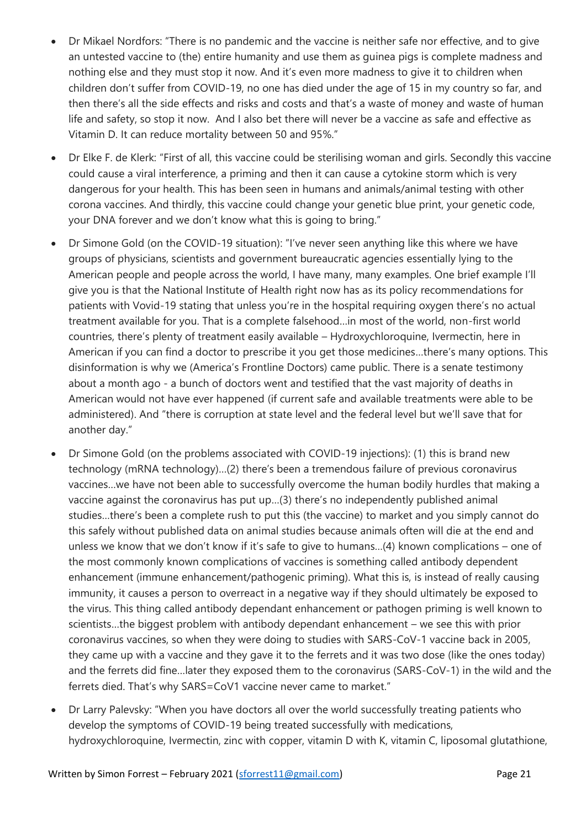- Dr Mikael Nordfors: "There is no pandemic and the vaccine is neither safe nor effective, and to give an untested vaccine to (the) entire humanity and use them as guinea pigs is complete madness and nothing else and they must stop it now. And it's even more madness to give it to children when children don't suffer from COVID-19, no one has died under the age of 15 in my country so far, and then there's all the side effects and risks and costs and that's a waste of money and waste of human life and safety, so stop it now. And I also bet there will never be a vaccine as safe and effective as Vitamin D. It can reduce mortality between 50 and 95%."
- Dr Elke F. de Klerk: "First of all, this vaccine could be sterilising woman and girls. Secondly this vaccine could cause a viral interference, a priming and then it can cause a cytokine storm which is very dangerous for your health. This has been seen in humans and animals/animal testing with other corona vaccines. And thirdly, this vaccine could change your genetic blue print, your genetic code, your DNA forever and we don't know what this is going to bring."
- Dr Simone Gold (on the COVID-19 situation): "I've never seen anything like this where we have groups of physicians, scientists and government bureaucratic agencies essentially lying to the American people and people across the world, I have many, many examples. One brief example I'll give you is that the National Institute of Health right now has as its policy recommendations for patients with Vovid-19 stating that unless you're in the hospital requiring oxygen there's no actual treatment available for you. That is a complete falsehood…in most of the world, non-first world countries, there's plenty of treatment easily available – Hydroxychloroquine, Ivermectin, here in American if you can find a doctor to prescribe it you get those medicines…there's many options. This disinformation is why we (America's Frontline Doctors) came public. There is a senate testimony about a month ago - a bunch of doctors went and testified that the vast majority of deaths in American would not have ever happened (if current safe and available treatments were able to be administered). And "there is corruption at state level and the federal level but we'll save that for another day."
- Dr Simone Gold (on the problems associated with COVID-19 injections): (1) this is brand new technology (mRNA technology)…(2) there's been a tremendous failure of previous coronavirus vaccines…we have not been able to successfully overcome the human bodily hurdles that making a vaccine against the coronavirus has put up…(3) there's no independently published animal studies…there's been a complete rush to put this (the vaccine) to market and you simply cannot do this safely without published data on animal studies because animals often will die at the end and unless we know that we don't know if it's safe to give to humans…(4) known complications – one of the most commonly known complications of vaccines is something called antibody dependent enhancement (immune enhancement/pathogenic priming). What this is, is instead of really causing immunity, it causes a person to overreact in a negative way if they should ultimately be exposed to the virus. This thing called antibody dependant enhancement or pathogen priming is well known to scientists…the biggest problem with antibody dependant enhancement – we see this with prior coronavirus vaccines, so when they were doing to studies with SARS-CoV-1 vaccine back in 2005, they came up with a vaccine and they gave it to the ferrets and it was two dose (like the ones today) and the ferrets did fine…later they exposed them to the coronavirus (SARS-CoV-1) in the wild and the ferrets died. That's why SARS=CoV1 vaccine never came to market."
- Dr Larry Palevsky: "When you have doctors all over the world successfully treating patients who develop the symptoms of COVID-19 being treated successfully with medications, hydroxychloroquine, Ivermectin, zinc with copper, vitamin D with K, vitamin C, liposomal glutathione,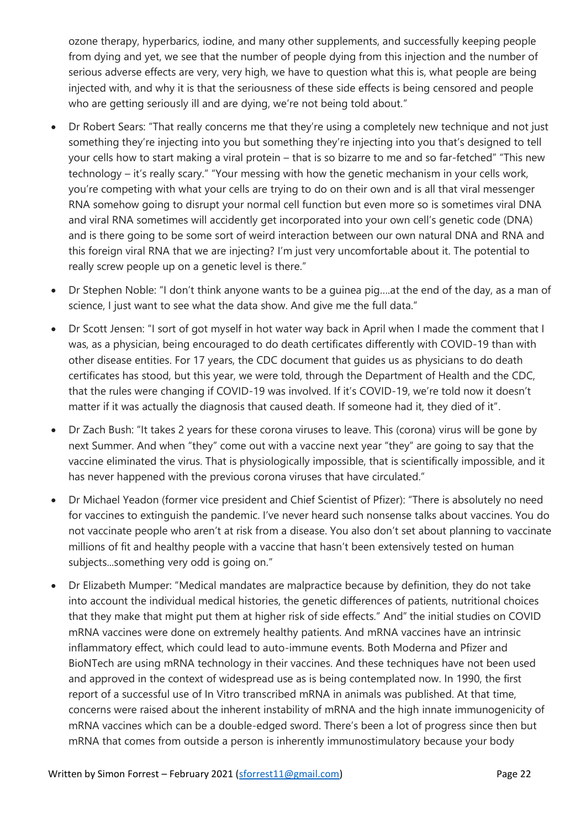ozone therapy, hyperbarics, iodine, and many other supplements, and successfully keeping people from dying and yet, we see that the number of people dying from this injection and the number of serious adverse effects are very, very high, we have to question what this is, what people are being injected with, and why it is that the seriousness of these side effects is being censored and people who are getting seriously ill and are dying, we're not being told about."

- Dr Robert Sears: "That really concerns me that they're using a completely new technique and not just something they're injecting into you but something they're injecting into you that's designed to tell your cells how to start making a viral protein – that is so bizarre to me and so far-fetched" "This new technology – it's really scary." "Your messing with how the genetic mechanism in your cells work, you're competing with what your cells are trying to do on their own and is all that viral messenger RNA somehow going to disrupt your normal cell function but even more so is sometimes viral DNA and viral RNA sometimes will accidently get incorporated into your own cell's genetic code (DNA) and is there going to be some sort of weird interaction between our own natural DNA and RNA and this foreign viral RNA that we are injecting? I'm just very uncomfortable about it. The potential to really screw people up on a genetic level is there."
- Dr Stephen Noble: "I don't think anyone wants to be a guinea pig….at the end of the day, as a man of science, I just want to see what the data show. And give me the full data."
- Dr Scott Jensen: "I sort of got myself in hot water way back in April when I made the comment that I was, as a physician, being encouraged to do death certificates differently with COVID-19 than with other disease entities. For 17 years, the CDC document that guides us as physicians to do death certificates has stood, but this year, we were told, through the Department of Health and the CDC, that the rules were changing if COVID-19 was involved. If it's COVID-19, we're told now it doesn't matter if it was actually the diagnosis that caused death. If someone had it, they died of it".
- Dr Zach Bush: "It takes 2 years for these corona viruses to leave. This (corona) virus will be gone by next Summer. And when "they" come out with a vaccine next year "they" are going to say that the vaccine eliminated the virus. That is physiologically impossible, that is scientifically impossible, and it has never happened with the previous corona viruses that have circulated."
- Dr Michael Yeadon (former vice president and Chief Scientist of Pfizer): "There is absolutely no need for vaccines to extinguish the pandemic. I've never heard such nonsense talks about vaccines. You do not vaccinate people who aren't at risk from a disease. You also don't set about planning to vaccinate millions of fit and healthy people with a vaccine that hasn't been extensively tested on human subjects...something very odd is going on."
- Dr Elizabeth Mumper: "Medical mandates are malpractice because by definition, they do not take into account the individual medical histories, the genetic differences of patients, nutritional choices that they make that might put them at higher risk of side effects." And" the initial studies on COVID mRNA vaccines were done on extremely healthy patients. And mRNA vaccines have an intrinsic inflammatory effect, which could lead to auto-immune events. Both Moderna and Pfizer and BioNTech are using mRNA technology in their vaccines. And these techniques have not been used and approved in the context of widespread use as is being contemplated now. In 1990, the first report of a successful use of In Vitro transcribed mRNA in animals was published. At that time, concerns were raised about the inherent instability of mRNA and the high innate immunogenicity of mRNA vaccines which can be a double-edged sword. There's been a lot of progress since then but mRNA that comes from outside a person is inherently immunostimulatory because your body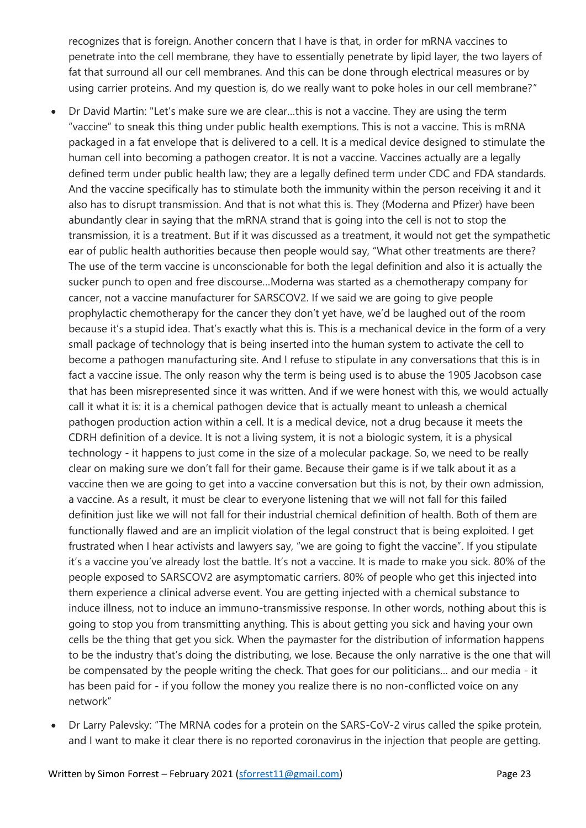recognizes that is foreign. Another concern that I have is that, in order for mRNA vaccines to penetrate into the cell membrane, they have to essentially penetrate by lipid layer, the two layers of fat that surround all our cell membranes. And this can be done through electrical measures or by using carrier proteins. And my question is, do we really want to poke holes in our cell membrane?"

- Dr David Martin: "Let's make sure we are clear…this is not a vaccine. They are using the term "vaccine" to sneak this thing under public health exemptions. This is not a vaccine. This is mRNA packaged in a fat envelope that is delivered to a cell. It is a medical device designed to stimulate the human cell into becoming a pathogen creator. It is not a vaccine. Vaccines actually are a legally defined term under public health law; they are a legally defined term under CDC and FDA standards. And the vaccine specifically has to stimulate both the immunity within the person receiving it and it also has to disrupt transmission. And that is not what this is. They (Moderna and Pfizer) have been abundantly clear in saying that the mRNA strand that is going into the cell is not to stop the transmission, it is a treatment. But if it was discussed as a treatment, it would not get the sympathetic ear of public health authorities because then people would say, "What other treatments are there? The use of the term vaccine is unconscionable for both the legal definition and also it is actually the sucker punch to open and free discourse…Moderna was started as a chemotherapy company for cancer, not a vaccine manufacturer for SARSCOV2. If we said we are going to give people prophylactic chemotherapy for the cancer they don't yet have, we'd be laughed out of the room because it's a stupid idea. That's exactly what this is. This is a mechanical device in the form of a very small package of technology that is being inserted into the human system to activate the cell to become a pathogen manufacturing site. And I refuse to stipulate in any conversations that this is in fact a vaccine issue. The only reason why the term is being used is to abuse the 1905 Jacobson case that has been misrepresented since it was written. And if we were honest with this, we would actually call it what it is: it is a chemical pathogen device that is actually meant to unleash a chemical pathogen production action within a cell. It is a medical device, not a drug because it meets the CDRH definition of a device. It is not a living system, it is not a biologic system, it is a physical technology - it happens to just come in the size of a molecular package. So, we need to be really clear on making sure we don't fall for their game. Because their game is if we talk about it as a vaccine then we are going to get into a vaccine conversation but this is not, by their own admission, a vaccine. As a result, it must be clear to everyone listening that we will not fall for this failed definition just like we will not fall for their industrial chemical definition of health. Both of them are functionally flawed and are an implicit violation of the legal construct that is being exploited. I get frustrated when I hear activists and lawyers say, "we are going to fight the vaccine". If you stipulate it's a vaccine you've already lost the battle. It's not a vaccine. It is made to make you sick. 80% of the people exposed to SARSCOV2 are asymptomatic carriers. 80% of people who get this injected into them experience a clinical adverse event. You are getting injected with a chemical substance to induce illness, not to induce an immuno-transmissive response. In other words, nothing about this is going to stop you from transmitting anything. This is about getting you sick and having your own cells be the thing that get you sick. When the paymaster for the distribution of information happens to be the industry that's doing the distributing, we lose. Because the only narrative is the one that will be compensated by the people writing the check. That goes for our politicians… and our media - it has been paid for - if you follow the money you realize there is no non-conflicted voice on any network"
- Dr Larry Palevsky: "The MRNA codes for a protein on the SARS-CoV-2 virus called the spike protein, and I want to make it clear there is no reported coronavirus in the injection that people are getting.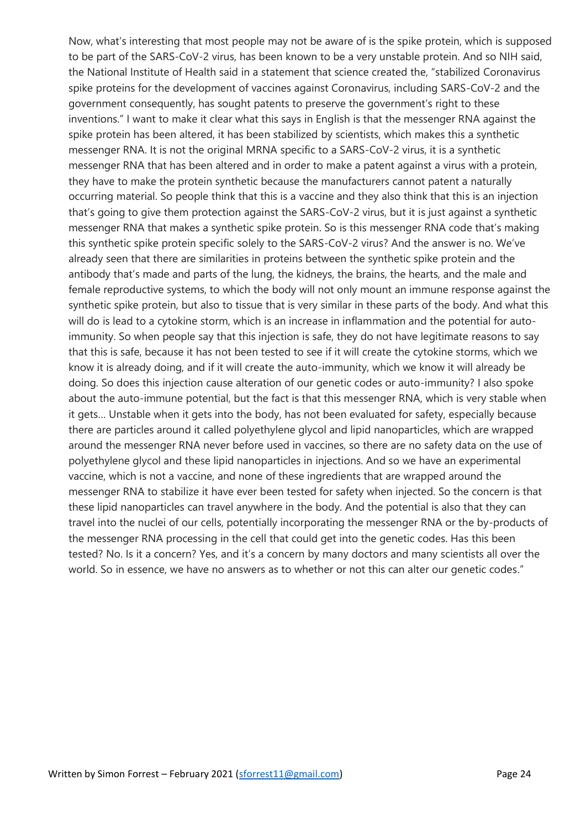Now, what's interesting that most people may not be aware of is the spike protein, which is supposed to be part of the SARS-CoV-2 virus, has been known to be a very unstable protein. And so NIH said, the National Institute of Health said in a statement that science created the, "stabilized Coronavirus spike proteins for the development of vaccines against Coronavirus, including SARS-CoV-2 and the government consequently, has sought patents to preserve the government's right to these inventions." I want to make it clear what this says in English is that the messenger RNA against the spike protein has been altered, it has been stabilized by scientists, which makes this a synthetic messenger RNA. It is not the original MRNA specific to a SARS-CoV-2 virus, it is a synthetic messenger RNA that has been altered and in order to make a patent against a virus with a protein, they have to make the protein synthetic because the manufacturers cannot patent a naturally occurring material. So people think that this is a vaccine and they also think that this is an injection that's going to give them protection against the SARS-CoV-2 virus, but it is just against a synthetic messenger RNA that makes a synthetic spike protein. So is this messenger RNA code that's making this synthetic spike protein specific solely to the SARS-CoV-2 virus? And the answer is no. We've already seen that there are similarities in proteins between the synthetic spike protein and the antibody that's made and parts of the lung, the kidneys, the brains, the hearts, and the male and female reproductive systems, to which the body will not only mount an immune response against the synthetic spike protein, but also to tissue that is very similar in these parts of the body. And what this will do is lead to a cytokine storm, which is an increase in inflammation and the potential for autoimmunity. So when people say that this injection is safe, they do not have legitimate reasons to say that this is safe, because it has not been tested to see if it will create the cytokine storms, which we know it is already doing, and if it will create the auto-immunity, which we know it will already be doing. So does this injection cause alteration of our genetic codes or auto-immunity? I also spoke about the auto-immune potential, but the fact is that this messenger RNA, which is very stable when it gets… Unstable when it gets into the body, has not been evaluated for safety, especially because there are particles around it called polyethylene glycol and lipid nanoparticles, which are wrapped around the messenger RNA never before used in vaccines, so there are no safety data on the use of polyethylene glycol and these lipid nanoparticles in injections. And so we have an experimental vaccine, which is not a vaccine, and none of these ingredients that are wrapped around the messenger RNA to stabilize it have ever been tested for safety when injected. So the concern is that these lipid nanoparticles can travel anywhere in the body. And the potential is also that they can travel into the nuclei of our cells, potentially incorporating the messenger RNA or the by-products of the messenger RNA processing in the cell that could get into the genetic codes. Has this been tested? No. Is it a concern? Yes, and it's a concern by many doctors and many scientists all over the world. So in essence, we have no answers as to whether or not this can alter our genetic codes."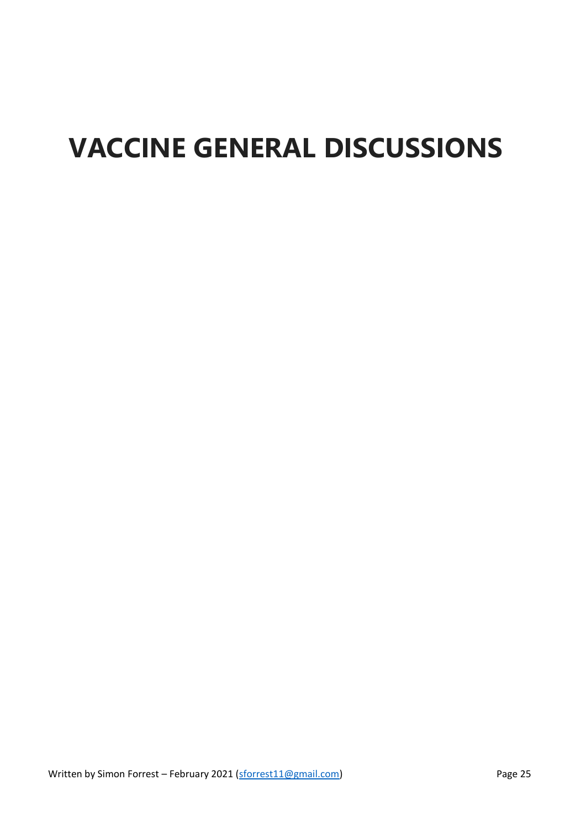# **VACCINE GENERAL DISCUSSIONS**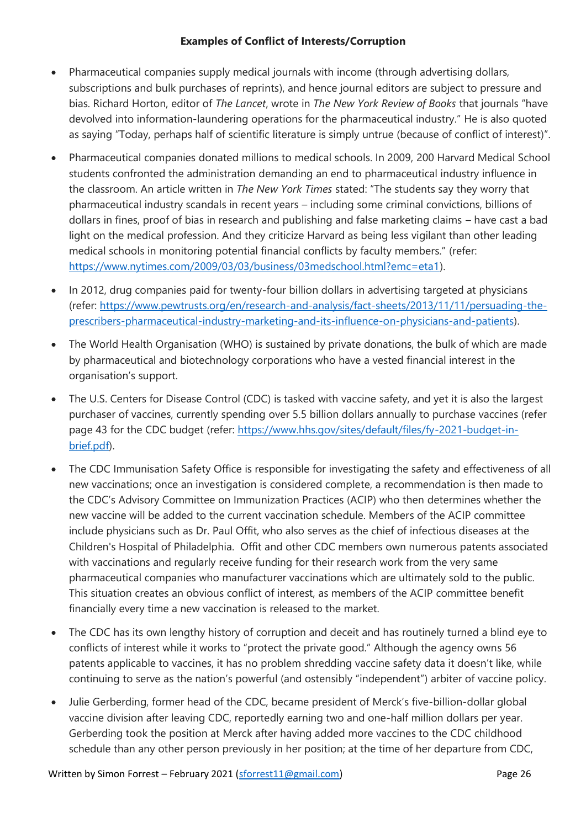#### **Examples of Conflict of Interests/Corruption**

- Pharmaceutical companies supply medical journals with income (through advertising dollars, subscriptions and bulk purchases of reprints), and hence journal editors are subject to pressure and bias. Richard Horton, editor of *The Lancet*, wrote in *The New York Review of Books* that journals "have devolved into information-laundering operations for the pharmaceutical industry." He is also quoted as saying "Today, perhaps half of scientific literature is simply untrue (because of conflict of interest)".
- Pharmaceutical companies donated millions to medical schools. In 2009, 200 Harvard Medical School students confronted the administration demanding an end to pharmaceutical industry influence in the classroom. An article written in *The New York Times* stated: "The students say they worry that pharmaceutical industry scandals in recent years – including some criminal convictions, billions of dollars in fines, proof of bias in research and publishing and false marketing claims – have cast a bad light on the medical profession. And they criticize Harvard as being less vigilant than other leading medical schools in monitoring potential financial conflicts by faculty members." (refer: [https://www.nytimes.com/2009/03/03/business/03medschool.html?emc=eta1\)](https://www.nytimes.com/2009/03/03/business/03medschool.html?emc=eta1).
- In 2012, drug companies paid for twenty-four billion dollars in advertising targeted at physicians (refer: [https://www.pewtrusts.org/en/research-and-analysis/fact-sheets/2013/11/11/persuading-the](https://www.pewtrusts.org/en/research-and-analysis/fact-sheets/2013/11/11/persuading-the-prescribers-pharmaceutical-industry-marketing-and-its-influence-on-physicians-and-patients)[prescribers-pharmaceutical-industry-marketing-and-its-influence-on-physicians-and-patients\)](https://www.pewtrusts.org/en/research-and-analysis/fact-sheets/2013/11/11/persuading-the-prescribers-pharmaceutical-industry-marketing-and-its-influence-on-physicians-and-patients).
- The World Health Organisation (WHO) is sustained by private donations, the bulk of which are made by pharmaceutical and biotechnology corporations who have a vested financial interest in the organisation's support.
- The U.S. Centers for Disease Control (CDC) is tasked with vaccine safety, and yet it is also the largest purchaser of vaccines, currently spending over 5.5 billion dollars annually to purchase vaccines (refer page 43 for the CDC budget (refer: [https://www.hhs.gov/sites/default/files/fy-2021-budget-in](https://www.hhs.gov/sites/default/files/fy-2021-budget-in-brief.pdf)[brief.pdf\)](https://www.hhs.gov/sites/default/files/fy-2021-budget-in-brief.pdf).
- The CDC Immunisation Safety Office is responsible for investigating the safety and effectiveness of all new vaccinations; once an investigation is considered complete, a recommendation is then made to the CDC's Advisory Committee on Immunization Practices (ACIP) who then determines whether the new vaccine will be added to the current vaccination schedule. Members of the ACIP committee include physicians such as Dr. Paul Offit, who also serves as the chief of infectious diseases at the Children's Hospital of Philadelphia. Offit and other CDC members own numerous patents associated with vaccinations and regularly receive funding for their research work from the very same pharmaceutical companies who manufacturer vaccinations which are ultimately sold to the public. This situation creates an obvious conflict of interest, as members of the ACIP committee benefit financially every time a new vaccination is released to the market.
- The CDC has its own lengthy history of corruption and deceit and has routinely turned a blind eye to conflicts of interest while it works to "protect the private good." Although the agency owns 56 patents applicable to vaccines, it has no problem shredding vaccine safety data it doesn't like, while continuing to serve as the nation's powerful (and ostensibly "independent") arbiter of vaccine policy.
- Julie Gerberding, former head of the CDC, became president of Merck's five-billion-dollar global vaccine division after leaving CDC, reportedly earning two and one-half million dollars per year. Gerberding took the position at Merck after having added more vaccines to the CDC childhood schedule than any other person previously in her position; at the time of her departure from CDC,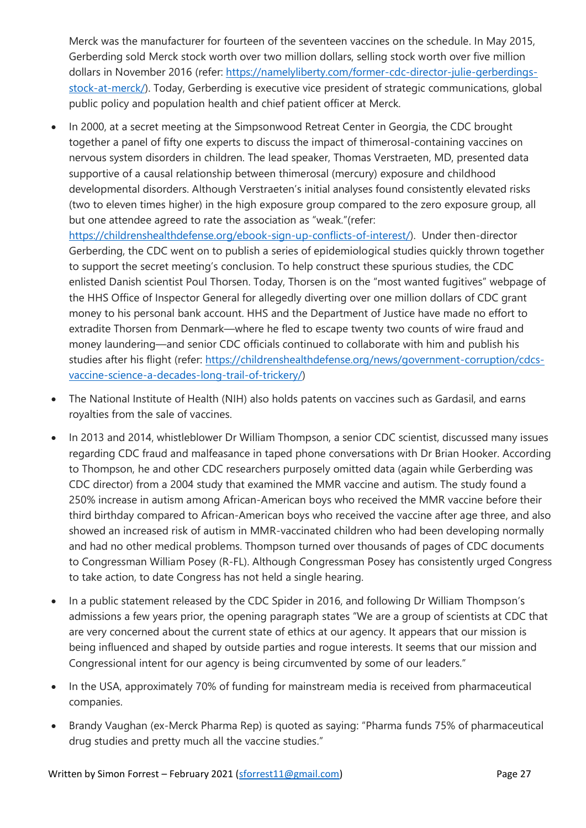Merck was the manufacturer for fourteen of the seventeen vaccines on the schedule. In May 2015, Gerberding sold Merck stock worth over two million dollars, selling stock worth over five million dollars in November 2016 (refer: [https://namelyliberty.com/former-cdc-director-julie-gerberdings](https://namelyliberty.com/former-cdc-director-julie-gerberdings-stock-at-merck/)[stock-at-merck/\)](https://namelyliberty.com/former-cdc-director-julie-gerberdings-stock-at-merck/). Today, Gerberding is executive vice president of strategic communications, global public policy and population health and chief patient officer at Merck.

• In 2000, at a secret meeting at the Simpsonwood Retreat Center in Georgia, the CDC brought together a panel of fifty one experts to discuss the impact of thimerosal-containing vaccines on nervous system disorders in children. The lead speaker, Thomas Verstraeten, MD, presented data supportive of a causal relationship between thimerosal (mercury) exposure and childhood developmental disorders. Although Verstraeten's initial analyses found consistently elevated risks (two to eleven times higher) in the high exposure group compared to the zero exposure group, all but one attendee agreed to rate the association as "weak."(refer:

[https://childrenshealthdefense.org/ebook-sign-up-conflicts-of-interest/\)](https://childrenshealthdefense.org/ebook-sign-up-conflicts-of-interest/). Under then-director Gerberding, the CDC went on to publish a series of epidemiological studies quickly thrown together to support the secret meeting's conclusion. To help construct these spurious studies, the CDC enlisted Danish scientist Poul Thorsen. Today, Thorsen is on the "most wanted fugitives" webpage of the HHS Office of Inspector General for allegedly diverting over one million dollars of CDC grant money to his personal bank account. HHS and the Department of Justice have made no effort to extradite Thorsen from Denmark—where he fled to escape twenty two counts of wire fraud and money laundering—and senior CDC officials continued to collaborate with him and publish his studies after his flight (refer: [https://childrenshealthdefense.org/news/government-corruption/cdcs](https://childrenshealthdefense.org/news/government-corruption/cdcs-vaccine-science-a-decades-long-trail-of-trickery/)[vaccine-science-a-decades-long-trail-of-trickery/\)](https://childrenshealthdefense.org/news/government-corruption/cdcs-vaccine-science-a-decades-long-trail-of-trickery/)

- The National Institute of Health (NIH) also holds patents on vaccines such as Gardasil, and earns royalties from the sale of vaccines.
- In 2013 and 2014, whistleblower Dr William Thompson, a senior CDC scientist, discussed many issues regarding CDC fraud and malfeasance in taped phone conversations with Dr Brian Hooker. According to Thompson, he and other CDC researchers purposely omitted data (again while Gerberding was CDC director) from a 2004 study that examined the MMR vaccine and autism. The study found a 250% increase in autism among African-American boys who received the MMR vaccine before their third birthday compared to African-American boys who received the vaccine after age three, and also showed an increased risk of autism in MMR-vaccinated children who had been developing normally and had no other medical problems. Thompson turned over thousands of pages of CDC documents to Congressman William Posey (R-FL). Although Congressman Posey has consistently urged Congress to take action, to date Congress has not held a single hearing.
- In a public statement released by the CDC Spider in 2016, and following Dr William Thompson's admissions a few years prior, the opening paragraph states "We are a group of scientists at CDC that are very concerned about the current state of ethics at our agency. It appears that our mission is being influenced and shaped by outside parties and rogue interests. It seems that our mission and Congressional intent for our agency is being circumvented by some of our leaders."
- In the USA, approximately 70% of funding for mainstream media is received from pharmaceutical companies.
- Brandy Vaughan (ex-Merck Pharma Rep) is quoted as saying: "Pharma funds 75% of pharmaceutical drug studies and pretty much all the vaccine studies."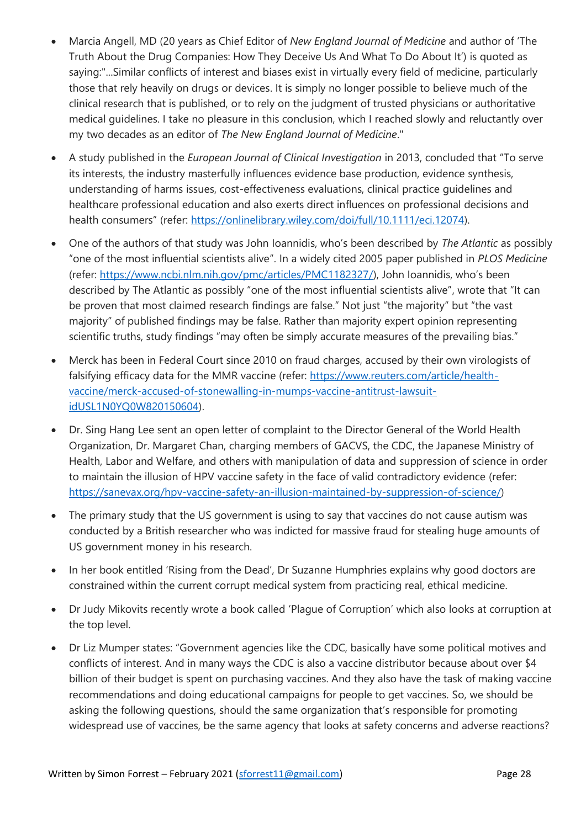- Marcia Angell, MD (20 years as Chief Editor of *New England Journal of Medicine* and author of 'The Truth About the Drug Companies: How They Deceive Us And What To Do About It') is quoted as saying:"...Similar conflicts of interest and biases exist in virtually every field of medicine, particularly those that rely heavily on drugs or devices. It is simply no longer possible to believe much of the clinical research that is published, or to rely on the judgment of trusted physicians or authoritative medical guidelines. I take no pleasure in this conclusion, which I reached slowly and reluctantly over my two decades as an editor of *The New England Journal of Medicine*."
- A study published in the *European Journal of Clinical Investigation* in 2013, concluded that "To serve its interests, the industry masterfully influences evidence base production, evidence synthesis, understanding of harms issues, cost-effectiveness evaluations, clinical practice guidelines and healthcare professional education and also exerts direct influences on professional decisions and health consumers" (refer: [https://onlinelibrary.wiley.com/doi/full/10.1111/eci.12074\)](https://onlinelibrary.wiley.com/doi/full/10.1111/eci.12074).
- One of the authors of that study was John Ioannidis, who's been described by *The Atlantic* as possibly "one of the most influential scientists alive". In a widely cited 2005 paper published in *PLOS Medicine* (refer: [https://www.ncbi.nlm.nih.gov/pmc/articles/PMC1182327/\)](https://www.ncbi.nlm.nih.gov/pmc/articles/PMC1182327/), John Ioannidis, who's been described by The Atlantic as possibly "one of the most influential scientists alive", wrote that "It can be proven that most claimed research findings are false." Not just "the majority" but "the vast majority" of published findings may be false. Rather than majority expert opinion representing scientific truths, study findings "may often be simply accurate measures of the prevailing bias."
- Merck has been in Federal Court since 2010 on fraud charges, accused by their own virologists of falsifying efficacy data for the MMR vaccine (refer: [https://www.reuters.com/article/health](https://www.reuters.com/article/health-vaccine/merck-accused-of-stonewalling-in-mumps-vaccine-antitrust-lawsuit-idUSL1N0YQ0W820150604)[vaccine/merck-accused-of-stonewalling-in-mumps-vaccine-antitrust-lawsuit](https://www.reuters.com/article/health-vaccine/merck-accused-of-stonewalling-in-mumps-vaccine-antitrust-lawsuit-idUSL1N0YQ0W820150604)[idUSL1N0YQ0W820150604\)](https://www.reuters.com/article/health-vaccine/merck-accused-of-stonewalling-in-mumps-vaccine-antitrust-lawsuit-idUSL1N0YQ0W820150604).
- Dr. Sing Hang Lee sent an open letter of complaint to the Director General of the World Health Organization, Dr. Margaret Chan, charging members of GACVS, the CDC, the Japanese Ministry of Health, Labor and Welfare, and others with manipulation of data and suppression of science in order to maintain the illusion of HPV vaccine safety in the face of valid contradictory evidence (refer: [https://sanevax.org/hpv-vaccine-safety-an-illusion-maintained-by-suppression-of-science/\)](https://sanevax.org/hpv-vaccine-safety-an-illusion-maintained-by-suppression-of-science/)
- The primary study that the US government is using to say that vaccines do not cause autism was conducted by a British researcher who was indicted for massive fraud for stealing huge amounts of US government money in his research.
- In her book entitled 'Rising from the Dead', Dr Suzanne Humphries explains why good doctors are constrained within the current corrupt medical system from practicing real, ethical medicine.
- Dr Judy Mikovits recently wrote a book called 'Plague of Corruption' which also looks at corruption at the top level.
- Dr Liz Mumper states: "Government agencies like the CDC, basically have some political motives and conflicts of interest. And in many ways the CDC is also a vaccine distributor because about over \$4 billion of their budget is spent on purchasing vaccines. And they also have the task of making vaccine recommendations and doing educational campaigns for people to get vaccines. So, we should be asking the following questions, should the same organization that's responsible for promoting widespread use of vaccines, be the same agency that looks at safety concerns and adverse reactions?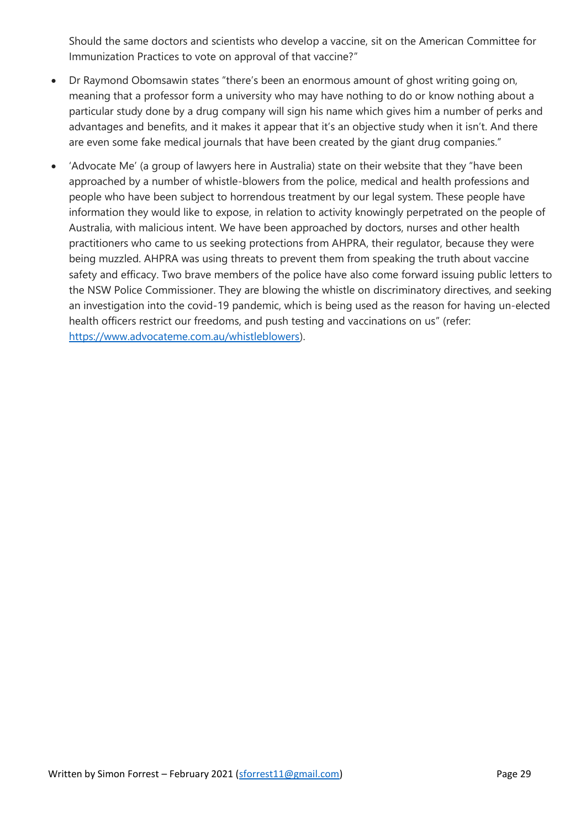Should the same doctors and scientists who develop a vaccine, sit on the American Committee for Immunization Practices to vote on approval of that vaccine?"

- Dr Raymond Obomsawin states "there's been an enormous amount of ghost writing going on, meaning that a professor form a university who may have nothing to do or know nothing about a particular study done by a drug company will sign his name which gives him a number of perks and advantages and benefits, and it makes it appear that it's an objective study when it isn't. And there are even some fake medical journals that have been created by the giant drug companies."
- 'Advocate Me' (a group of lawyers here in Australia) state on their website that they "have been approached by a number of whistle-blowers from the police, medical and health professions and people who have been subject to horrendous treatment by our legal system. These people have information they would like to expose, in relation to activity knowingly perpetrated on the people of Australia, with malicious intent. We have been approached by doctors, nurses and other health practitioners who came to us seeking protections from AHPRA, their regulator, because they were being muzzled. AHPRA was using threats to prevent them from speaking the truth about vaccine safety and efficacy. Two brave members of the police have also come forward issuing public letters to the NSW Police Commissioner. They are blowing the whistle on discriminatory directives, and seeking an investigation into the covid-19 pandemic, which is being used as the reason for having un-elected health officers restrict our freedoms, and push testing and vaccinations on us" (refer: [https://www.advocateme.com.au/whistleblowers\)](https://www.advocateme.com.au/whistleblowers).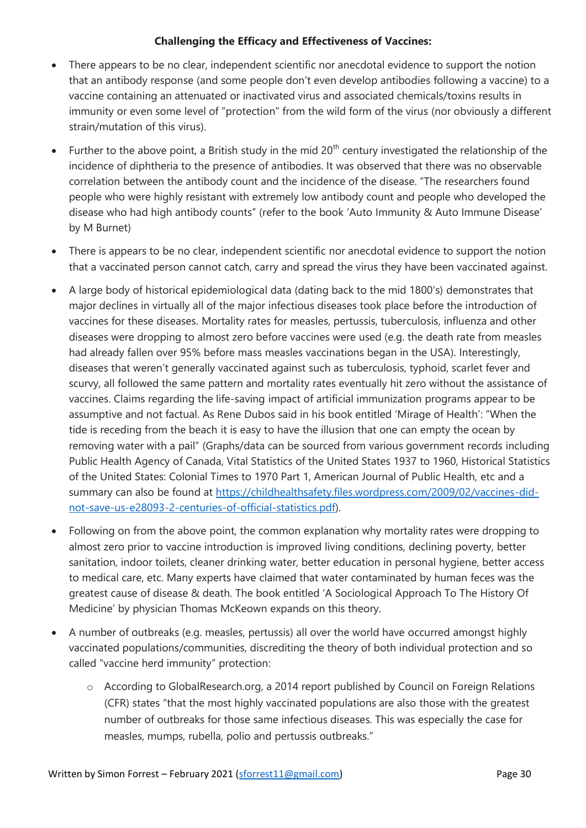#### **Challenging the Efficacy and Effectiveness of Vaccines:**

- There appears to be no clear, independent scientific nor anecdotal evidence to support the notion that an antibody response (and some people don't even develop antibodies following a vaccine) to a vaccine containing an attenuated or inactivated virus and associated chemicals/toxins results in immunity or even some level of "protection" from the wild form of the virus (nor obviously a different strain/mutation of this virus).
- Further to the above point, a British study in the mid  $20<sup>th</sup>$  century investigated the relationship of the incidence of diphtheria to the presence of antibodies. It was observed that there was no observable correlation between the antibody count and the incidence of the disease. "The researchers found people who were highly resistant with extremely low antibody count and people who developed the disease who had high antibody counts" (refer to the book 'Auto Immunity & Auto Immune Disease' by M Burnet)
- There is appears to be no clear, independent scientific nor anecdotal evidence to support the notion that a vaccinated person cannot catch, carry and spread the virus they have been vaccinated against.
- A large body of historical epidemiological data (dating back to the mid 1800's) demonstrates that major declines in virtually all of the major infectious diseases took place before the introduction of vaccines for these diseases. Mortality rates for measles, pertussis, tuberculosis, influenza and other diseases were dropping to almost zero before vaccines were used (e.g. the death rate from measles had already fallen over 95% before mass measles vaccinations began in the USA). Interestingly, diseases that weren't generally vaccinated against such as tuberculosis, typhoid, scarlet fever and scurvy, all followed the same pattern and mortality rates eventually hit zero without the assistance of vaccines. Claims regarding the life-saving impact of artificial immunization programs appear to be assumptive and not factual. As Rene Dubos said in his book entitled 'Mirage of Health': "When the tide is receding from the beach it is easy to have the illusion that one can empty the ocean by removing water with a pail" (Graphs/data can be sourced from various government records including Public Health Agency of Canada, Vital Statistics of the United States 1937 to 1960, Historical Statistics of the United States: Colonial Times to 1970 Part 1, American Journal of Public Health, etc and a summary can also be found at [https://childhealthsafety.files.wordpress.com/2009/02/vaccines-did](https://childhealthsafety.files.wordpress.com/2009/02/vaccines-did-not-save-us-e28093-2-centuries-of-official-statistics.pdf)[not-save-us-e28093-2-centuries-of-official-statistics.pdf\)](https://childhealthsafety.files.wordpress.com/2009/02/vaccines-did-not-save-us-e28093-2-centuries-of-official-statistics.pdf).
- Following on from the above point, the common explanation why mortality rates were dropping to almost zero prior to vaccine introduction is improved living conditions, declining poverty, better sanitation, indoor toilets, cleaner drinking water, better education in personal hygiene, better access to medical care, etc. Many experts have claimed that water contaminated by human feces was the greatest cause of disease & death. The book entitled 'A Sociological Approach To The History Of Medicine' by physician Thomas McKeown expands on this theory.
- A number of outbreaks (e.g. measles, pertussis) all over the world have occurred amongst highly vaccinated populations/communities, discrediting the theory of both individual protection and so called "vaccine herd immunity" protection:
	- o According to GlobalResearch.org, a 2014 report published by Council on Foreign Relations (CFR) states "that the most highly vaccinated populations are also those with the greatest number of outbreaks for those same infectious diseases. This was especially the case for measles, mumps, rubella, polio and pertussis outbreaks."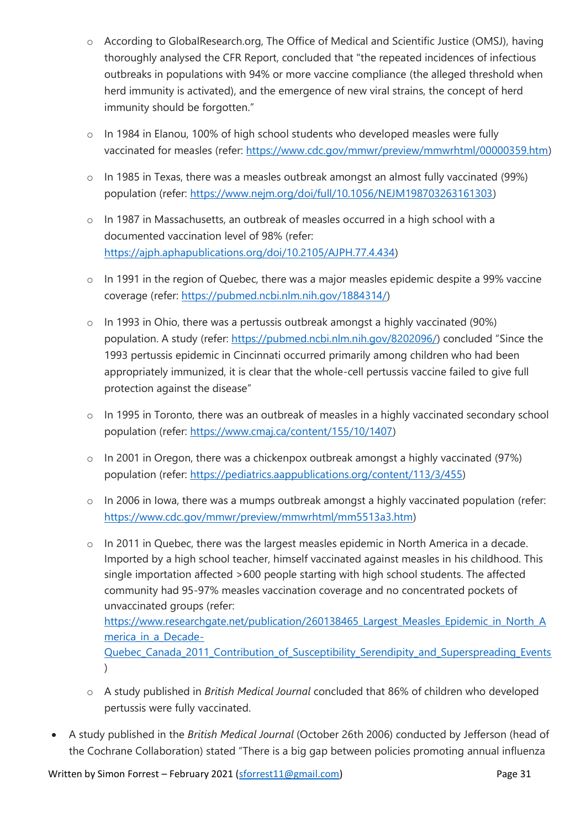- o According to GlobalResearch.org, The Office of Medical and Scientific Justice (OMSJ), having thoroughly analysed the CFR Report, concluded that "the repeated incidences of infectious outbreaks in populations with 94% or more vaccine compliance (the alleged threshold when herd immunity is activated), and the emergence of new viral strains, the concept of herd immunity should be forgotten."
- o In 1984 in Elanou, 100% of high school students who developed measles were fully vaccinated for measles (refer: [https://www.cdc.gov/mmwr/preview/mmwrhtml/00000359.htm\)](https://www.cdc.gov/mmwr/preview/mmwrhtml/00000359.htm)
- o In 1985 in Texas, there was a measles outbreak amongst an almost fully vaccinated (99%) population (refer: [https://www.nejm.org/doi/full/10.1056/NEJM198703263161303\)](https://www.nejm.org/doi/full/10.1056/NEJM198703263161303)
- o In 1987 in Massachusetts, an outbreak of measles occurred in a high school with a documented vaccination level of 98% (refer: [https://ajph.aphapublications.org/doi/10.2105/AJPH.77.4.434\)](https://ajph.aphapublications.org/doi/10.2105/AJPH.77.4.434)
- o In 1991 in the region of Quebec, there was a major measles epidemic despite a 99% vaccine coverage (refer: [https://pubmed.ncbi.nlm.nih.gov/1884314/\)](https://pubmed.ncbi.nlm.nih.gov/1884314/)
- o In 1993 in Ohio, there was a pertussis outbreak amongst a highly vaccinated (90%) population. A study (refer: [https://pubmed.ncbi.nlm.nih.gov/8202096/\)](https://pubmed.ncbi.nlm.nih.gov/8202096/) concluded "Since the 1993 pertussis epidemic in Cincinnati occurred primarily among children who had been appropriately immunized, it is clear that the whole-cell pertussis vaccine failed to give full protection against the disease"
- o In 1995 in Toronto, there was an outbreak of measles in a highly vaccinated secondary school population (refer: [https://www.cmaj.ca/content/155/10/1407\)](https://www.cmaj.ca/content/155/10/1407)
- o In 2001 in Oregon, there was a chickenpox outbreak amongst a highly vaccinated (97%) population (refer: [https://pediatrics.aappublications.org/content/113/3/455\)](https://pediatrics.aappublications.org/content/113/3/455)
- o In 2006 in Iowa, there was a mumps outbreak amongst a highly vaccinated population (refer: [https://www.cdc.gov/mmwr/preview/mmwrhtml/mm5513a3.htm\)](https://www.cdc.gov/mmwr/preview/mmwrhtml/mm5513a3.htm)
- o In 2011 in Quebec, there was the largest measles epidemic in North America in a decade. Imported by a high school teacher, himself vaccinated against measles in his childhood. This single importation affected >600 people starting with high school students. The affected community had 95-97% measles vaccination coverage and no concentrated pockets of unvaccinated groups (refer: [https://www.researchgate.net/publication/260138465\\_Largest\\_Measles\\_Epidemic\\_in\\_North\\_A](https://www.researchgate.net/publication/260138465_Largest_Measles_Epidemic_in_North_America_in_a_Decade-Quebec_Canada_2011_Contribution_of_Susceptibility_Serendipity_and_Superspreading_Events) merica in a Decade-[Quebec\\_Canada\\_2011\\_Contribution\\_of\\_Susceptibility\\_Serendipity\\_and\\_Superspreading\\_Events](https://www.researchgate.net/publication/260138465_Largest_Measles_Epidemic_in_North_America_in_a_Decade-Quebec_Canada_2011_Contribution_of_Susceptibility_Serendipity_and_Superspreading_Events)  $\lambda$
- o A study published in *British Medical Journal* concluded that 86% of children who developed pertussis were fully vaccinated.
- A study published in the *British Medical Journal* (October 26th 2006) conducted by Jefferson (head of the Cochrane Collaboration) stated "There is a big gap between policies promoting annual influenza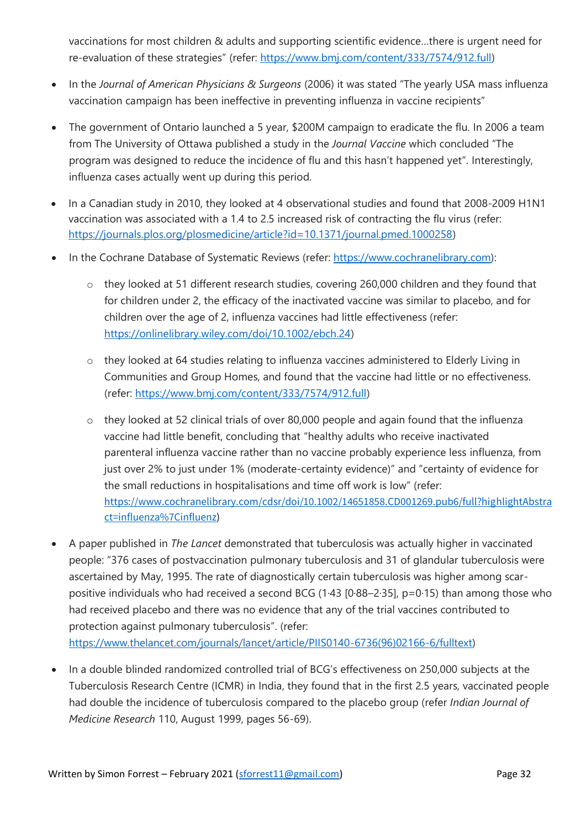vaccinations for most children & adults and supporting scientific evidence…there is urgent need for re-evaluation of these strategies" (refer: [https://www.bmj.com/content/333/7574/912.full\)](https://www.bmj.com/content/333/7574/912.full)

- In the *Journal of American Physicians & Surgeons* (2006) it was stated "The yearly USA mass influenza vaccination campaign has been ineffective in preventing influenza in vaccine recipients"
- The government of Ontario launched a 5 year, \$200M campaign to eradicate the flu. In 2006 a team from The University of Ottawa published a study in the *Journal Vaccine* which concluded "The program was designed to reduce the incidence of flu and this hasn't happened yet". Interestingly, influenza cases actually went up during this period.
- In a Canadian study in 2010, they looked at 4 observational studies and found that 2008-2009 H1N1 vaccination was associated with a 1.4 to 2.5 increased risk of contracting the flu virus (refer: [https://journals.plos.org/plosmedicine/article?id=10.1371/journal.pmed.1000258\)](https://journals.plos.org/plosmedicine/article?id=10.1371/journal.pmed.1000258)
- In the Cochrane Database of Systematic Reviews (refer: https://www.cochranelibrary.com):
	- o they looked at 51 different research studies, covering 260,000 children and they found that for children under 2, the efficacy of the inactivated vaccine was similar to placebo, and for children over the age of 2, influenza vaccines had little effectiveness (refer: [https://onlinelibrary.wiley.com/doi/10.1002/ebch.24\)](https://onlinelibrary.wiley.com/doi/10.1002/ebch.24)
	- o they looked at 64 studies relating to influenza vaccines administered to Elderly Living in Communities and Group Homes, and found that the vaccine had little or no effectiveness. (refer: [https://www.bmj.com/content/333/7574/912.full\)](https://www.bmj.com/content/333/7574/912.full)
	- o they looked at 52 clinical trials of over 80,000 people and again found that the influenza vaccine had little benefit, concluding that "healthy adults who receive inactivated parenteral influenza vaccine rather than no vaccine probably experience less influenza, from just over 2% to just under 1% (moderate‐certainty evidence)" and "certainty of evidence for the small reductions in hospitalisations and time off work is low" (refer: [https://www.cochranelibrary.com/cdsr/doi/10.1002/14651858.CD001269.pub6/full?highlightAbstra](https://www.cochranelibrary.com/cdsr/doi/10.1002/14651858.CD001269.pub6/full?highlightAbstract=influenza%7Cinfluenz) [ct=influenza%7Cinfluenz\)](https://www.cochranelibrary.com/cdsr/doi/10.1002/14651858.CD001269.pub6/full?highlightAbstract=influenza%7Cinfluenz)
- A paper published in *The Lancet* demonstrated that tuberculosis was actually higher in vaccinated people: "376 cases of postvaccination pulmonary tuberculosis and 31 of glandular tuberculosis were ascertained by May, 1995. The rate of diagnostically certain tuberculosis was higher among scarpositive individuals who had received a second BCG (1·43 [0·88–2·35], p=0·15) than among those who had received placebo and there was no evidence that any of the trial vaccines contributed to protection against pulmonary tuberculosis". (refer: [https://www.thelancet.com/journals/lancet/article/PIIS0140-6736\(96\)02166-6/fulltext\)](https://www.thelancet.com/journals/lancet/article/PIIS0140-6736(96)02166-6/fulltext)
- In a double blinded randomized controlled trial of BCG's effectiveness on 250,000 subjects at the Tuberculosis Research Centre (ICMR) in India, they found that in the first 2.5 years, vaccinated people had double the incidence of tuberculosis compared to the placebo group (refer *Indian Journal of Medicine Research* 110, August 1999, pages 56-69).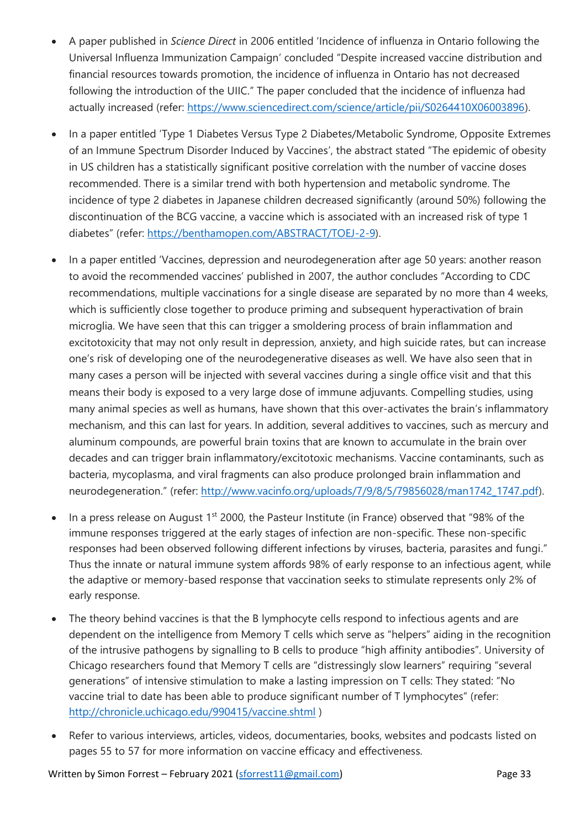- A paper published in *Science Direct* in 2006 entitled 'Incidence of influenza in Ontario following the Universal Influenza Immunization Campaign' concluded "Despite increased vaccine distribution and financial resources towards promotion, the incidence of influenza in Ontario has not decreased following the introduction of the UIIC." The paper concluded that the incidence of influenza had actually increased (refer: [https://www.sciencedirect.com/science/article/pii/S0264410X06003896\)](https://www.sciencedirect.com/science/article/pii/S0264410X06003896).
- In a paper entitled 'Type 1 Diabetes Versus Type 2 Diabetes/Metabolic Syndrome, Opposite Extremes of an Immune Spectrum Disorder Induced by Vaccines', the abstract stated "The epidemic of obesity in US children has a statistically significant positive correlation with the number of vaccine doses recommended. There is a similar trend with both hypertension and metabolic syndrome. The incidence of type 2 diabetes in Japanese children decreased significantly (around 50%) following the discontinuation of the BCG vaccine, a vaccine which is associated with an increased risk of type 1 diabetes" (refer: [https://benthamopen.com/ABSTRACT/TOEJ-2-9\)](https://benthamopen.com/ABSTRACT/TOEJ-2-9).
- In a paper entitled 'Vaccines, depression and neurodegeneration after age 50 years: another reason to avoid the recommended vaccines' published in 2007, the author concludes "According to CDC recommendations, multiple vaccinations for a single disease are separated by no more than 4 weeks, which is sufficiently close together to produce priming and subsequent hyperactivation of brain microglia. We have seen that this can trigger a smoldering process of brain inflammation and excitotoxicity that may not only result in depression, anxiety, and high suicide rates, but can increase one's risk of developing one of the neurodegenerative diseases as well. We have also seen that in many cases a person will be injected with several vaccines during a single office visit and that this means their body is exposed to a very large dose of immune adjuvants. Compelling studies, using many animal species as well as humans, have shown that this over-activates the brain's inflammatory mechanism, and this can last for years. In addition, several additives to vaccines, such as mercury and aluminum compounds, are powerful brain toxins that are known to accumulate in the brain over decades and can trigger brain inflammatory/excitotoxic mechanisms. Vaccine contaminants, such as bacteria, mycoplasma, and viral fragments can also produce prolonged brain inflammation and neurodegeneration." (refer: [http://www.vacinfo.org/uploads/7/9/8/5/79856028/man1742\\_1747.pdf\)](http://www.vacinfo.org/uploads/7/9/8/5/79856028/man1742_1747.pdf).
- In a press release on August 1<sup>st</sup> 2000, the Pasteur Institute (in France) observed that "98% of the immune responses triggered at the early stages of infection are non-specific. These non-specific responses had been observed following different infections by viruses, bacteria, parasites and fungi." Thus the innate or natural immune system affords 98% of early response to an infectious agent, while the adaptive or memory-based response that vaccination seeks to stimulate represents only 2% of early response.
- The theory behind vaccines is that the B lymphocyte cells respond to infectious agents and are dependent on the intelligence from Memory T cells which serve as "helpers" aiding in the recognition of the intrusive pathogens by signalling to B cells to produce "high affinity antibodies". University of Chicago researchers found that Memory T cells are "distressingly slow learners" requiring "several generations" of intensive stimulation to make a lasting impression on T cells: They stated: "No vaccine trial to date has been able to produce significant number of T lymphocytes" (refer: <http://chronicle.uchicago.edu/990415/vaccine.shtml> )
- Refer to various interviews, articles, videos, documentaries, books, websites and podcasts listed on pages 55 to 57 for more information on vaccine efficacy and effectiveness.

Written by Simon Forrest – February 2021 [\(sforrest11@gmail.com\)](mailto:sforrest11@gmail.com) Page 33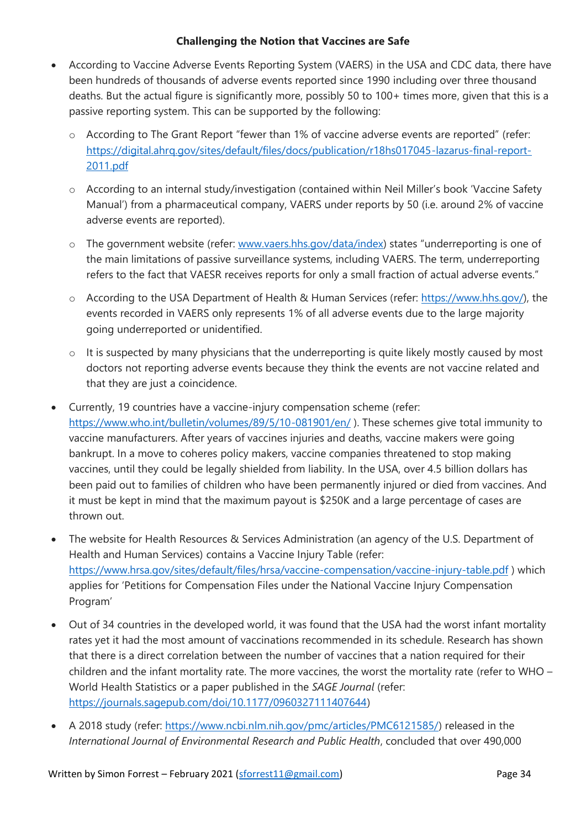#### **Challenging the Notion that Vaccines are Safe**

- According to Vaccine Adverse Events Reporting System (VAERS) in the USA and CDC data, there have been hundreds of thousands of adverse events reported since 1990 including over three thousand deaths. But the actual figure is significantly more, possibly 50 to 100+ times more, given that this is a passive reporting system. This can be supported by the following:
	- o According to The Grant Report "fewer than 1% of vaccine adverse events are reported" (refer: [https://digital.ahrq.gov/sites/default/files/docs/publication/r18hs017045-lazarus-final-report-](https://digital.ahrq.gov/sites/default/files/docs/publication/r18hs017045-lazarus-final-report-2011.pdf)[2011.pdf](https://digital.ahrq.gov/sites/default/files/docs/publication/r18hs017045-lazarus-final-report-2011.pdf)
	- o According to an internal study/investigation (contained within Neil Miller's book 'Vaccine Safety Manual') from a pharmaceutical company, VAERS under reports by 50 (i.e. around 2% of vaccine adverse events are reported).
	- o The government website (refer: [www.vaers.hhs.gov/data/index](http://www.vaers.hhs.gov/data/index)) states "underreporting is one of the main limitations of passive surveillance systems, including VAERS. The term, underreporting refers to the fact that VAESR receives reports for only a small fraction of actual adverse events."
	- o According to the USA Department of Health & Human Services (refer: [https://www.hhs.gov/\)](https://www.hhs.gov/), the events recorded in VAERS only represents 1% of all adverse events due to the large majority going underreported or unidentified.
	- o It is suspected by many physicians that the underreporting is quite likely mostly caused by most doctors not reporting adverse events because they think the events are not vaccine related and that they are just a coincidence.
- Currently, 19 countries have a vaccine-injury compensation scheme (refer: <https://www.who.int/bulletin/volumes/89/5/10-081901/en/> ). These schemes give total immunity to vaccine manufacturers. After years of vaccines injuries and deaths, vaccine makers were going bankrupt. In a move to coheres policy makers, vaccine companies threatened to stop making vaccines, until they could be legally shielded from liability. In the USA, over 4.5 billion dollars has been paid out to families of children who have been permanently injured or died from vaccines. And it must be kept in mind that the maximum payout is \$250K and a large percentage of cases are thrown out.
- The website for Health Resources & Services Administration (an agency of the U.S. Department of Health and Human Services) contains a Vaccine Injury Table (refer: <https://www.hrsa.gov/sites/default/files/hrsa/vaccine-compensation/vaccine-injury-table.pdf> ) which applies for 'Petitions for Compensation Files under the National Vaccine Injury Compensation Program'
- Out of 34 countries in the developed world, it was found that the USA had the worst infant mortality rates yet it had the most amount of vaccinations recommended in its schedule. Research has shown that there is a direct correlation between the number of vaccines that a nation required for their children and the infant mortality rate. The more vaccines, the worst the mortality rate (refer to WHO – World Health Statistics or a paper published in the *SAGE Journal* (refer: [https://journals.sagepub.com/doi/10.1177/0960327111407644\)](https://journals.sagepub.com/doi/10.1177/0960327111407644)
- A 2018 study (refer: [https://www.ncbi.nlm.nih.gov/pmc/articles/PMC6121585/\)](https://www.ncbi.nlm.nih.gov/pmc/articles/PMC6121585/) released in the *International Journal of Environmental Research and Public Health*, concluded that over 490,000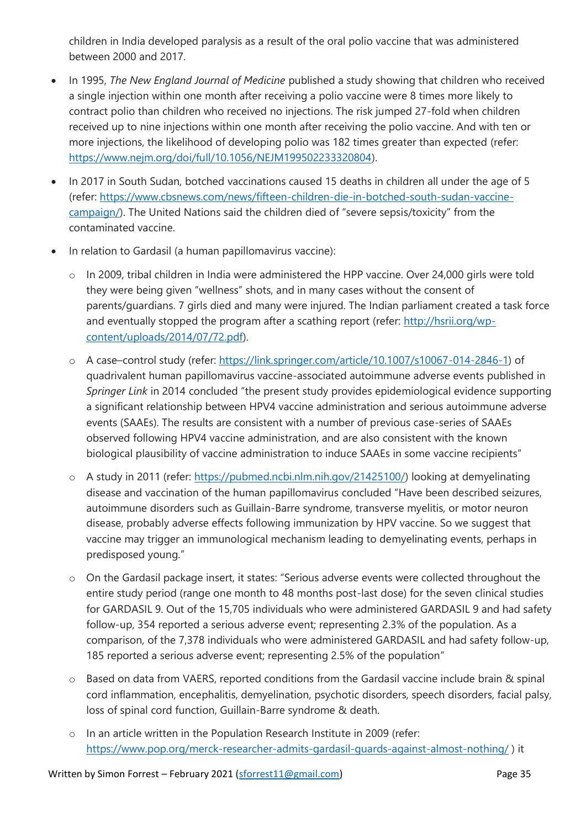children in India developed paralysis as a result of the oral polio vaccine that was administered between 2000 and 2017.

- In 1995, *The New England Journal of Medicine* published a study showing that children who received a single injection within one month after receiving a polio vaccine were 8 times more likely to contract polio than children who received no injections. The risk jumped 27-fold when children received up to nine injections within one month after receiving the polio vaccine. And with ten or more injections, the likelihood of developing polio was 182 times greater than expected (refer: [https://www.nejm.org/doi/full/10.1056/NEJM199502233320804\)](https://www.nejm.org/doi/full/10.1056/NEJM199502233320804).
- In 2017 in South Sudan, botched vaccinations caused 15 deaths in children all under the age of 5 (refer: [https://www.cbsnews.com/news/fifteen-children-die-in-botched-south-sudan-vaccine](https://www.cbsnews.com/news/fifteen-children-die-in-botched-south-sudan-vaccine-campaign/)[campaign/\)](https://www.cbsnews.com/news/fifteen-children-die-in-botched-south-sudan-vaccine-campaign/). The United Nations said the children died of "severe sepsis/toxicity" from the contaminated vaccine.
- In relation to Gardasil (a human papillomavirus vaccine):
	- o In 2009, tribal children in India were administered the HPP vaccine. Over 24,000 girls were told they were being given "wellness" shots, and in many cases without the consent of parents/guardians. 7 girls died and many were injured. The Indian parliament created a task force and eventually stopped the program after a scathing report (refer: [http://hsrii.org/wp](http://hsrii.org/wp-content/uploads/2014/07/72.pdf)[content/uploads/2014/07/72.pdf\)](http://hsrii.org/wp-content/uploads/2014/07/72.pdf).
	- o A case–control study (refer: [https://link.springer.com/article/10.1007/s10067-014-2846-1\)](https://link.springer.com/article/10.1007/s10067-014-2846-1) of quadrivalent human papillomavirus vaccine-associated autoimmune adverse events published in *Springer Link* in 2014 concluded "the present study provides epidemiological evidence supporting a significant relationship between HPV4 vaccine administration and serious autoimmune adverse events (SAAEs). The results are consistent with a number of previous case-series of SAAEs observed following HPV4 vaccine administration, and are also consistent with the known biological plausibility of vaccine administration to induce SAAEs in some vaccine recipients"
	- o A study in 2011 (refer: [https://pubmed.ncbi.nlm.nih.gov/21425100/\)](https://pubmed.ncbi.nlm.nih.gov/21425100/) looking at demyelinating disease and vaccination of the human papillomavirus concluded "Have been described seizures, autoimmune disorders such as Guillain-Barre syndrome, transverse myelitis, or motor neuron disease, probably adverse effects following immunization by HPV vaccine. So we suggest that vaccine may trigger an immunological mechanism leading to demyelinating events, perhaps in predisposed young."
	- o On the Gardasil package insert, it states: "Serious adverse events were collected throughout the entire study period (range one month to 48 months post-last dose) for the seven clinical studies for GARDASIL 9. Out of the 15,705 individuals who were administered GARDASIL 9 and had safety follow-up, 354 reported a serious adverse event; representing 2.3% of the population. As a comparison, of the 7,378 individuals who were administered GARDASIL and had safety follow-up, 185 reported a serious adverse event; representing 2.5% of the population"
	- o Based on data from VAERS, reported conditions from the Gardasil vaccine include brain & spinal cord inflammation, encephalitis, demyelination, psychotic disorders, speech disorders, facial palsy, loss of spinal cord function, Guillain-Barre syndrome & death.
	- o In an article written in the Population Research Institute in 2009 (refer: <https://www.pop.org/merck-researcher-admits-gardasil-guards-against-almost-nothing/> ) it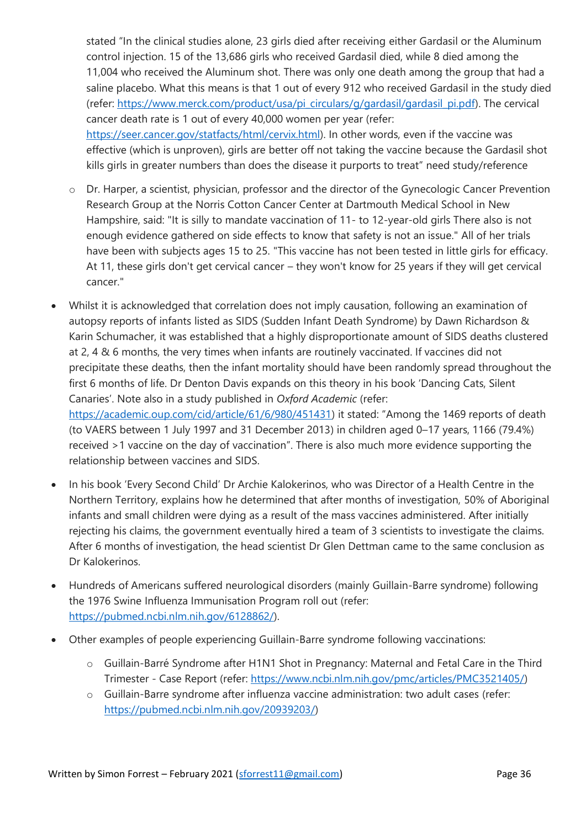stated "In the clinical studies alone, 23 girls died after receiving either Gardasil or the Aluminum control injection. 15 of the 13,686 girls who received Gardasil died, while 8 died among the 11,004 who received the Aluminum shot. There was only one death among the group that had a saline placebo. What this means is that 1 out of every 912 who received Gardasil in the study died (refer: [https://www.merck.com/product/usa/pi\\_circulars/g/gardasil/gardasil\\_pi.pdf\)](https://www.merck.com/product/usa/pi_circulars/g/gardasil/gardasil_pi.pdf). The cervical cancer death rate is 1 out of every 40,000 women per year (refer: [https://seer.cancer.gov/statfacts/html/cervix.html\)](https://seer.cancer.gov/statfacts/html/cervix.html). In other words, even if the vaccine was effective (which is unproven), girls are better off not taking the vaccine because the Gardasil shot kills girls in greater numbers than does the disease it purports to treat" need study/reference

- o Dr. Harper, a scientist, physician, professor and the director of the Gynecologic Cancer Prevention Research Group at the Norris Cotton Cancer Center at Dartmouth Medical School in New Hampshire, said: "It is silly to mandate vaccination of 11- to 12-year-old girls There also is not enough evidence gathered on side effects to know that safety is not an issue." All of her trials have been with subjects ages 15 to 25. "This vaccine has not been tested in little girls for efficacy. At 11, these girls don't get cervical cancer – they won't know for 25 years if they will get cervical cancer."
- Whilst it is acknowledged that correlation does not imply causation, following an examination of autopsy reports of infants listed as SIDS (Sudden Infant Death Syndrome) by Dawn Richardson & Karin Schumacher, it was established that a highly disproportionate amount of SIDS deaths clustered at 2, 4 & 6 months, the very times when infants are routinely vaccinated. If vaccines did not precipitate these deaths, then the infant mortality should have been randomly spread throughout the first 6 months of life. Dr Denton Davis expands on this theory in his book 'Dancing Cats, Silent Canaries'. Note also in a study published in *Oxford Academic* (refer: <https://academic.oup.com/cid/article/61/6/980/451431>) it stated: "Among the 1469 reports of death (to VAERS between 1 July 1997 and 31 December 2013) in children aged 0–17 years, 1166 (79.4%) received >1 vaccine on the day of vaccination". There is also much more evidence supporting the
- In his book 'Every Second Child' Dr Archie Kalokerinos, who was Director of a Health Centre in the Northern Territory, explains how he determined that after months of investigation, 50% of Aboriginal infants and small children were dying as a result of the mass vaccines administered. After initially rejecting his claims, the government eventually hired a team of 3 scientists to investigate the claims. After 6 months of investigation, the head scientist Dr Glen Dettman came to the same conclusion as Dr Kalokerinos.
- Hundreds of Americans suffered neurological disorders (mainly Guillain-Barre syndrome) following the 1976 Swine Influenza Immunisation Program roll out (refer: [https://pubmed.ncbi.nlm.nih.gov/6128862/\)](https://pubmed.ncbi.nlm.nih.gov/6128862/).
- Other examples of people experiencing Guillain-Barre syndrome following vaccinations:
	- o Guillain-Barré Syndrome after H1N1 Shot in Pregnancy: Maternal and Fetal Care in the Third Trimester - Case Report (refer: [https://www.ncbi.nlm.nih.gov/pmc/articles/PMC3521405/\)](https://www.ncbi.nlm.nih.gov/pmc/articles/PMC3521405/)
	- o Guillain-Barre syndrome after influenza vaccine administration: two adult cases (refer: [https://pubmed.ncbi.nlm.nih.gov/20939203/\)](https://pubmed.ncbi.nlm.nih.gov/20939203/)

relationship between vaccines and SIDS.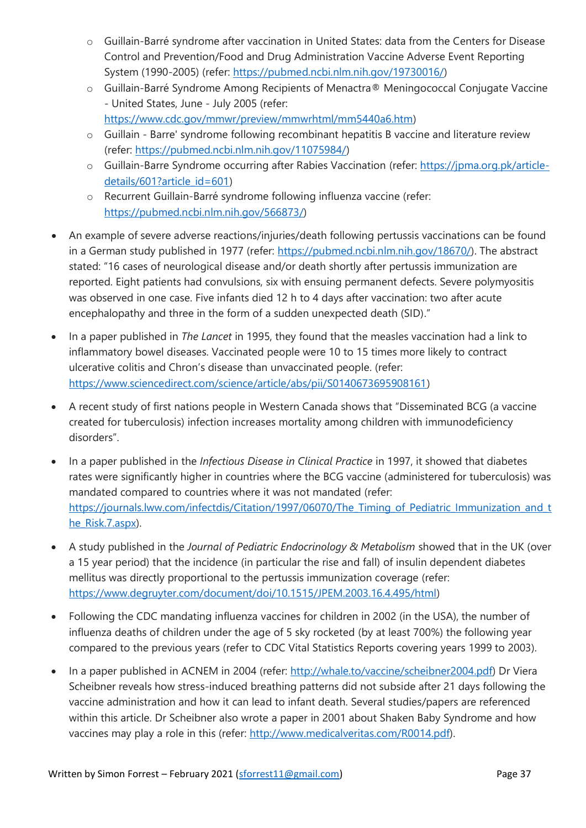- o Guillain-Barré syndrome after vaccination in United States: data from the Centers for Disease Control and Prevention/Food and Drug Administration Vaccine Adverse Event Reporting System (1990-2005) (refer: [https://pubmed.ncbi.nlm.nih.gov/19730016/\)](https://pubmed.ncbi.nlm.nih.gov/19730016/)
- o Guillain-Barré Syndrome Among Recipients of Menactra® Meningococcal Conjugate Vaccine - United States, June - July 2005 (refer:
- [https://www.cdc.gov/mmwr/preview/mmwrhtml/mm5440a6.htm\)](https://www.cdc.gov/mmwr/preview/mmwrhtml/mm5440a6.htm)
- o Guillain Barre' syndrome following recombinant hepatitis B vaccine and literature review (refer: [https://pubmed.ncbi.nlm.nih.gov/11075984/\)](https://pubmed.ncbi.nlm.nih.gov/11075984/)
- o Guillain-Barre Syndrome occurring after Rabies Vaccination (refer: [https://jpma.org.pk/article](https://jpma.org.pk/article-details/601?article_id=601)[details/601?article\\_id=601\)](https://jpma.org.pk/article-details/601?article_id=601)
- o Recurrent Guillain-Barré syndrome following influenza vaccine (refer: [https://pubmed.ncbi.nlm.nih.gov/566873/\)](https://pubmed.ncbi.nlm.nih.gov/566873/)
- An example of severe adverse reactions/injuries/death following pertussis vaccinations can be found in a German study published in 1977 (refer: [https://pubmed.ncbi.nlm.nih.gov/18670/\)](https://pubmed.ncbi.nlm.nih.gov/18670/). The abstract stated: "16 cases of neurological disease and/or death shortly after pertussis immunization are reported. Eight patients had convulsions, six with ensuing permanent defects. Severe polymyositis was observed in one case. Five infants died 12 h to 4 days after vaccination: two after acute encephalopathy and three in the form of a sudden unexpected death (SID)."
- In a paper published in *The Lancet* in 1995, they found that the measles vaccination had a link to inflammatory bowel diseases. Vaccinated people were 10 to 15 times more likely to contract ulcerative colitis and Chron's disease than unvaccinated people. (refer: [https://www.sciencedirect.com/science/article/abs/pii/S0140673695908161\)](https://www.sciencedirect.com/science/article/abs/pii/S0140673695908161)
- A recent study of first nations people in Western Canada shows that "Disseminated BCG (a vaccine created for tuberculosis) infection increases mortality among children with immunodeficiency disorders".
- In a paper published in the *Infectious Disease in Clinical Practice* in 1997, it showed that diabetes rates were significantly higher in countries where the BCG vaccine (administered for tuberculosis) was mandated compared to countries where it was not mandated (refer: [https://journals.lww.com/infectdis/Citation/1997/06070/The\\_Timing\\_of\\_Pediatric\\_Immunization\\_and\\_t](https://journals.lww.com/infectdis/Citation/1997/06070/The_Timing_of_Pediatric_Immunization_and_the_Risk.7.aspx) [he\\_Risk.7.aspx\)](https://journals.lww.com/infectdis/Citation/1997/06070/The_Timing_of_Pediatric_Immunization_and_the_Risk.7.aspx).
- A study published in the *Journal of Pediatric Endocrinology & Metabolism* showed that in the UK (over a 15 year period) that the incidence (in particular the rise and fall) of insulin dependent diabetes mellitus was directly proportional to the pertussis immunization coverage (refer: [https://www.degruyter.com/document/doi/10.1515/JPEM.2003.16.4.495/html\)](https://www.degruyter.com/document/doi/10.1515/JPEM.2003.16.4.495/html)
- Following the CDC mandating influenza vaccines for children in 2002 (in the USA), the number of influenza deaths of children under the age of 5 sky rocketed (by at least 700%) the following year compared to the previous years (refer to CDC Vital Statistics Reports covering years 1999 to 2003).
- In a paper published in ACNEM in 2004 (refer: [http://whale.to/vaccine/scheibner2004.pdf\)](http://whale.to/vaccine/scheibner2004.pdf) Dr Viera Scheibner reveals how stress-induced breathing patterns did not subside after 21 days following the vaccine administration and how it can lead to infant death. Several studies/papers are referenced within this article. Dr Scheibner also wrote a paper in 2001 about Shaken Baby Syndrome and how vaccines may play a role in this (refer: [http://www.medicalveritas.com/R0014.pdf\)](http://www.medicalveritas.com/R0014.pdf).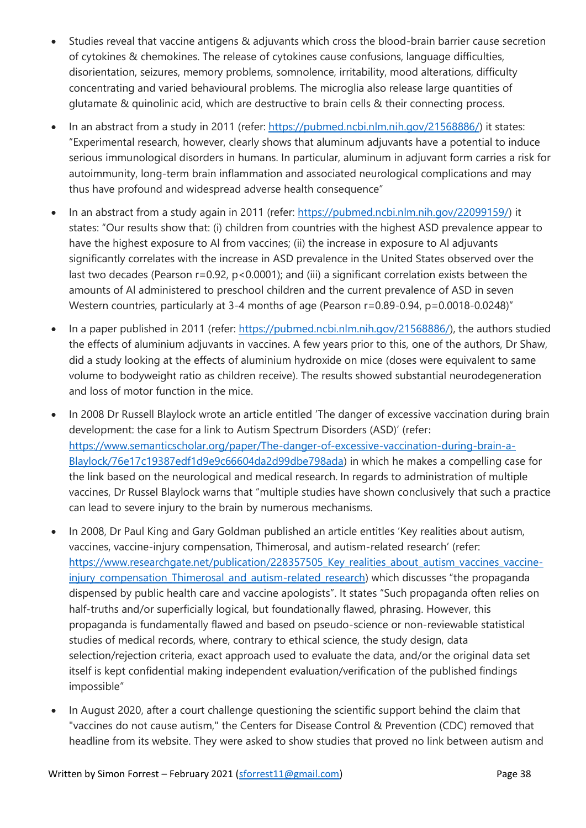- Studies reveal that vaccine antigens & adjuvants which cross the blood-brain barrier cause secretion of cytokines & chemokines. The release of cytokines cause confusions, language difficulties, disorientation, seizures, memory problems, somnolence, irritability, mood alterations, difficulty concentrating and varied behavioural problems. The microglia also release large quantities of glutamate & quinolinic acid, which are destructive to brain cells & their connecting process.
- In an abstract from a study in 2011 (refer: [https://pubmed.ncbi.nlm.nih.gov/21568886/\)](https://pubmed.ncbi.nlm.nih.gov/21568886/) it states: "Experimental research, however, clearly shows that aluminum adjuvants have a potential to induce serious immunological disorders in humans. In particular, aluminum in adjuvant form carries a risk for autoimmunity, long-term brain inflammation and associated neurological complications and may thus have profound and widespread adverse health consequence"
- In an abstract from a study again in 2011 (refer: [https://pubmed.ncbi.nlm.nih.gov/22099159/\)](https://pubmed.ncbi.nlm.nih.gov/22099159/) it states: "Our results show that: (i) children from countries with the highest ASD prevalence appear to have the highest exposure to Al from vaccines; (ii) the increase in exposure to Al adjuvants significantly correlates with the increase in ASD prevalence in the United States observed over the last two decades (Pearson r=0.92, p<0.0001); and (iii) a significant correlation exists between the amounts of Al administered to preschool children and the current prevalence of ASD in seven Western countries, particularly at 3-4 months of age (Pearson r=0.89-0.94, p=0.0018-0.0248)"
- In a paper published in 2011 (refer: [https://pubmed.ncbi.nlm.nih.gov/21568886/\)](https://pubmed.ncbi.nlm.nih.gov/21568886/), the authors studied the effects of aluminium adjuvants in vaccines. A few years prior to this, one of the authors, Dr Shaw, did a study looking at the effects of aluminium hydroxide on mice (doses were equivalent to same volume to bodyweight ratio as children receive). The results showed substantial neurodegeneration and loss of motor function in the mice.
- In 2008 Dr Russell Blaylock wrote an article entitled 'The danger of excessive vaccination during brain development: the case for a link to Autism Spectrum Disorders (ASD)' (refer: [https://www.semanticscholar.org/paper/The-danger-of-excessive-vaccination-during-brain-a-](https://www.semanticscholar.org/paper/The-danger-of-excessive-vaccination-during-brain-a-Blaylock/76e17c19387edf1d9e9c66604da2d99dbe798ada)[Blaylock/76e17c19387edf1d9e9c66604da2d99dbe798ada\)](https://www.semanticscholar.org/paper/The-danger-of-excessive-vaccination-during-brain-a-Blaylock/76e17c19387edf1d9e9c66604da2d99dbe798ada) in which he makes a compelling case for the link based on the neurological and medical research. In regards to administration of multiple vaccines, Dr Russel Blaylock warns that "multiple studies have shown conclusively that such a practice can lead to severe injury to the brain by numerous mechanisms.
- In 2008, Dr Paul King and Gary Goldman published an article entitles 'Key realities about autism, vaccines, vaccine-injury compensation, Thimerosal, and autism-related research' (refer: https://www.researchgate.net/publication/228357505 Key realities about autism vaccines vaccineinjury compensation Thimerosal and autism-related research) which discusses "the propaganda dispensed by public health care and vaccine apologists". It states "Such propaganda often relies on half-truths and/or superficially logical, but foundationally flawed, phrasing. However, this propaganda is fundamentally flawed and based on pseudo-science or non-reviewable statistical studies of medical records, where, contrary to ethical science, the study design, data selection/rejection criteria, exact approach used to evaluate the data, and/or the original data set itself is kept confidential making independent evaluation/verification of the published findings impossible"
- In August 2020, after a court challenge questioning the scientific support behind the claim that "vaccines do not cause autism," the Centers for Disease Control & Prevention (CDC) removed that headline from its website. They were asked to show studies that proved no link between autism and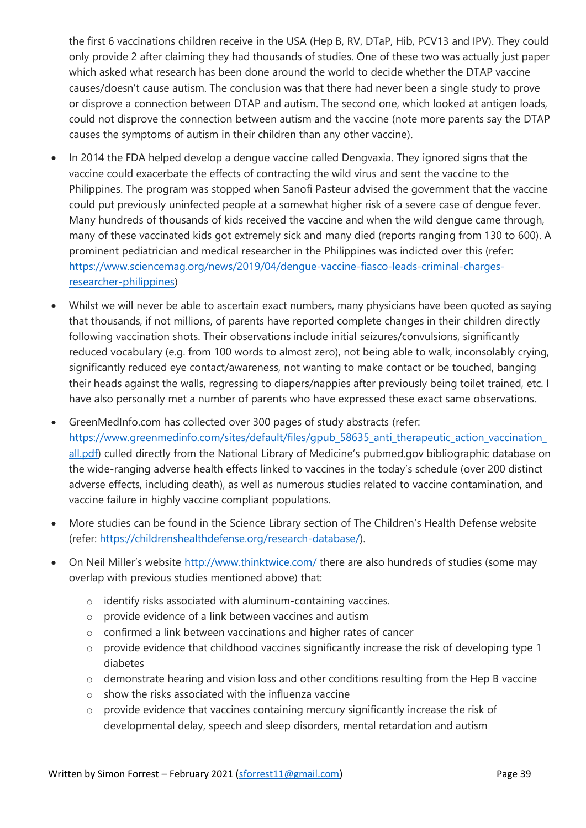the first 6 vaccinations children receive in the USA (Hep B, RV, DTaP, Hib, PCV13 and IPV). They could only provide 2 after claiming they had thousands of studies. One of these two was actually just paper which asked what research has been done around the world to decide whether the DTAP vaccine causes/doesn't cause autism. The conclusion was that there had never been a single study to prove or disprove a connection between DTAP and autism. The second one, which looked at antigen loads, could not disprove the connection between autism and the vaccine (note more parents say the DTAP causes the symptoms of autism in their children than any other vaccine).

- In 2014 the FDA helped develop a dengue vaccine called Dengvaxia. They ignored signs that the vaccine could exacerbate the effects of contracting the wild virus and sent the vaccine to the Philippines. The program was stopped when Sanofi Pasteur advised the government that the vaccine could put previously uninfected people at a somewhat higher risk of a severe case of dengue fever. Many hundreds of thousands of kids received the vaccine and when the wild dengue came through, many of these vaccinated kids got extremely sick and many died (reports ranging from 130 to 600). A prominent pediatrician and medical researcher in the Philippines was indicted over this (refer: [https://www.sciencemag.org/news/2019/04/dengue-vaccine-fiasco-leads-criminal-charges](https://www.sciencemag.org/news/2019/04/dengue-vaccine-fiasco-leads-criminal-charges-researcher-philippines)[researcher-philippines\)](https://www.sciencemag.org/news/2019/04/dengue-vaccine-fiasco-leads-criminal-charges-researcher-philippines)
- Whilst we will never be able to ascertain exact numbers, many physicians have been quoted as saying that thousands, if not millions, of parents have reported complete changes in their children directly following vaccination shots. Their observations include initial seizures/convulsions, significantly reduced vocabulary (e.g. from 100 words to almost zero), not being able to walk, inconsolably crying, significantly reduced eye contact/awareness, not wanting to make contact or be touched, banging their heads against the walls, regressing to diapers/nappies after previously being toilet trained, etc. I have also personally met a number of parents who have expressed these exact same observations.
- GreenMedInfo.com has collected over 300 pages of study abstracts (refer: https://www.greenmedinfo.com/sites/default/files/gpub\_58635\_anti\_therapeutic\_action\_vaccination [all.pdf\)](https://www.greenmedinfo.com/sites/default/files/gpub_58635_anti_therapeutic_action_vaccination_all.pdf) culled directly from the National Library of Medicine's [pubmed.gov](https://www.ncbi.nlm.nih.gov/pubmed/?term=vaccine) bibliographic database on the wide-ranging adverse health effects linked to vaccines in the today's schedule ([over 200 distinct](http://www.greenmedinfo.com/anti-therapeutic-action/vaccination-all)  [adverse effects, including death\)](http://www.greenmedinfo.com/anti-therapeutic-action/vaccination-all), as well as numerous studies related to vaccine contamination, and vaccine failure in highly vaccine compliant populations.
- More studies can be found in the Science Library section of The Children's Health Defense website (refer: [https://childrenshealthdefense.org/research-database/\)](https://childrenshealthdefense.org/research-database/).
- On Neil Miller's website <http://www.thinktwice.com/> there are also hundreds of studies (some may overlap with previous studies mentioned above) that:
	- o identify risks associated with aluminum-containing vaccines.
	- o provide evidence of a link between vaccines and autism
	- o confirmed a link between vaccinations and higher rates of cancer
	- o provide evidence that childhood vaccines significantly increase the risk of developing type 1 diabetes
	- o demonstrate hearing and vision loss and other conditions resulting from the Hep B vaccine
	- o show the risks associated with the influenza vaccine
	- o provide evidence that vaccines containing mercury significantly increase the risk of developmental delay, speech and sleep disorders, mental retardation and autism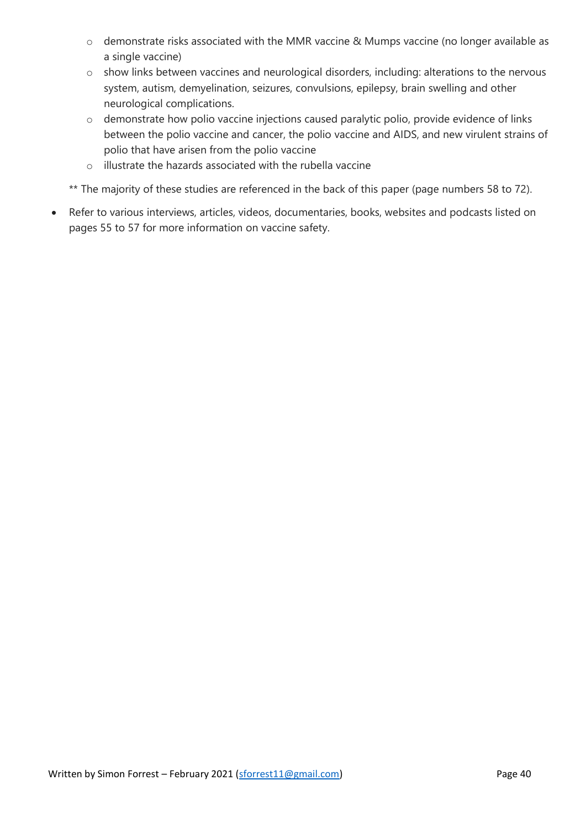- o demonstrate risks associated with the MMR vaccine & Mumps vaccine (no longer available as a single vaccine)
- o show links between vaccines and neurological disorders, including: alterations to the nervous system, autism, demyelination, seizures, convulsions, epilepsy, brain swelling and other neurological complications.
- o demonstrate how polio vaccine injections caused paralytic polio, provide evidence of links between the polio vaccine and cancer, the polio vaccine and AIDS, and new virulent strains of polio that have arisen from the polio vaccine
- o illustrate the hazards associated with the rubella vaccine
- \*\* The majority of these studies are referenced in the back of this paper (page numbers 58 to 72).
- Refer to various interviews, articles, videos, documentaries, books, websites and podcasts listed on pages 55 to 57 for more information on vaccine safety.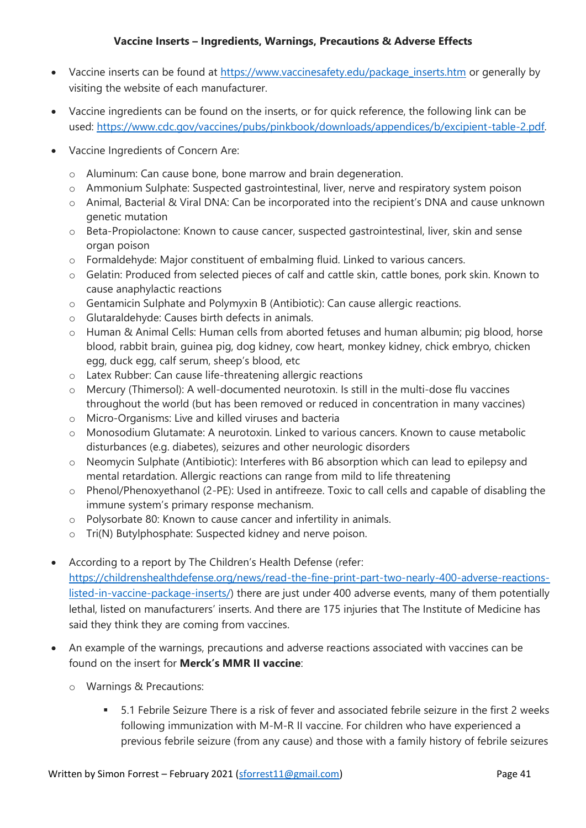# **Vaccine Inserts – Ingredients, Warnings, Precautions & Adverse Effects**

- Vaccine inserts can be found at [https://www.vaccinesafety.edu/package\\_inserts.htm](https://www.vaccinesafety.edu/package_inserts.htm) or generally by visiting the website of each manufacturer.
- Vaccine ingredients can be found on the inserts, or for quick reference, the following link can be used: [https://www.cdc.gov/vaccines/pubs/pinkbook/downloads/appendices/b/excipient-table-2.pdf.](https://www.cdc.gov/vaccines/pubs/pinkbook/downloads/appendices/b/excipient-table-2.pdf)
- Vaccine Ingredients of Concern Are:
	- o Aluminum: Can cause bone, bone marrow and brain degeneration.
	- o Ammonium Sulphate: Suspected gastrointestinal, liver, nerve and respiratory system poison
	- o Animal, Bacterial & Viral DNA: Can be incorporated into the recipient's DNA and cause unknown genetic mutation
	- o Beta-Propiolactone: Known to cause cancer, suspected gastrointestinal, liver, skin and sense organ poison
	- o Formaldehyde: Major constituent of embalming fluid. Linked to various cancers.
	- o Gelatin: Produced from selected pieces of calf and cattle skin, cattle bones, pork skin. Known to cause anaphylactic reactions
	- o Gentamicin Sulphate and Polymyxin B (Antibiotic): Can cause allergic reactions.
	- o Glutaraldehyde: Causes birth defects in animals.
	- o Human & Animal Cells: Human cells from aborted fetuses and human albumin; pig blood, horse blood, rabbit brain, guinea pig, dog kidney, cow heart, monkey kidney, chick embryo, chicken egg, duck egg, calf serum, sheep's blood, etc
	- o Latex Rubber: Can cause life-threatening allergic reactions
	- o Mercury (Thimersol): A well‐documented neurotoxin. Is still in the multi‐dose flu vaccines throughout the world (but has been removed or reduced in concentration in many vaccines)
	- o Micro-Organisms: Live and killed viruses and bacteria
	- o Monosodium Glutamate: A neurotoxin. Linked to various cancers. Known to cause metabolic disturbances (e.g. diabetes), seizures and other neurologic disorders
	- o Neomycin Sulphate (Antibiotic): Interferes with B6 absorption which can lead to epilepsy and mental retardation. Allergic reactions can range from mild to life threatening
	- o Phenol/Phenoxyethanol (2-PE): Used in antifreeze. Toxic to call cells and capable of disabling the immune system's primary response mechanism.
	- o Polysorbate 80: Known to cause cancer and infertility in animals.
	- o Tri(N) Butylphosphate: Suspected kidney and nerve poison.
- According to a report by The Children's Health Defense (refer: [https://childrenshealthdefense.org/news/read-the-fine-print-part-two-nearly-400-adverse-reactions](https://childrenshealthdefense.org/news/read-the-fine-print-part-two-nearly-400-adverse-reactions-listed-in-vaccine-package-inserts/)[listed-in-vaccine-package-inserts/\)](https://childrenshealthdefense.org/news/read-the-fine-print-part-two-nearly-400-adverse-reactions-listed-in-vaccine-package-inserts/) there are just under 400 adverse events, many of them potentially lethal, listed on manufacturers' inserts. And there are 175 injuries that The Institute of Medicine has said they think they are coming from vaccines.
- An example of the warnings, precautions and adverse reactions associated with vaccines can be found on the insert for **Merck's MMR II vaccine**:
	- o Warnings & Precautions:
		- 5.1 Febrile Seizure There is a risk of fever and associated febrile seizure in the first 2 weeks following immunization with M-M-R II vaccine. For children who have experienced a previous febrile seizure (from any cause) and those with a family history of febrile seizures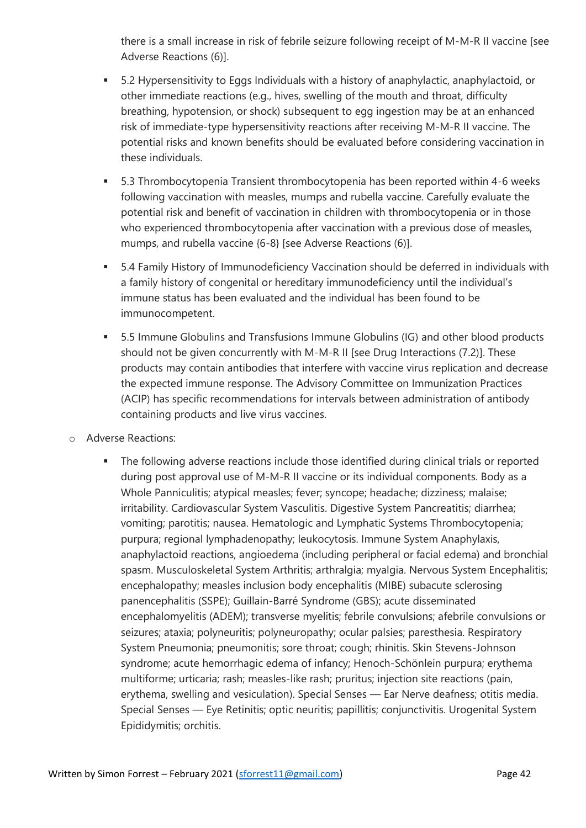there is a small increase in risk of febrile seizure following receipt of M-M-R II vaccine [see Adverse Reactions (6)].

- 5.2 Hypersensitivity to Eggs Individuals with a history of anaphylactic, anaphylactoid, or other immediate reactions (e.g., hives, swelling of the mouth and throat, difficulty breathing, hypotension, or shock) subsequent to egg ingestion may be at an enhanced risk of immediate-type hypersensitivity reactions after receiving M-M-R II vaccine. The potential risks and known benefits should be evaluated before considering vaccination in these individuals.
- 5.3 Thrombocytopenia Transient thrombocytopenia has been reported within 4-6 weeks following vaccination with measles, mumps and rubella vaccine. Carefully evaluate the potential risk and benefit of vaccination in children with thrombocytopenia or in those who experienced thrombocytopenia after vaccination with a previous dose of measles, mumps, and rubella vaccine {6-8} [see Adverse Reactions (6)].
- 5.4 Family History of Immunodeficiency Vaccination should be deferred in individuals with a family history of congenital or hereditary immunodeficiency until the individual's immune status has been evaluated and the individual has been found to be immunocompetent.
- 5.5 Immune Globulins and Transfusions Immune Globulins (IG) and other blood products should not be given concurrently with M-M-R II [see Drug Interactions (7.2)]. These products may contain antibodies that interfere with vaccine virus replication and decrease the expected immune response. The Advisory Committee on Immunization Practices (ACIP) has specific recommendations for intervals between administration of antibody containing products and live virus vaccines.
- o Adverse Reactions:
	- **•** The following adverse reactions include those identified during clinical trials or reported during post approval use of M-M-R II vaccine or its individual components. Body as a Whole Panniculitis; atypical measles; fever; syncope; headache; dizziness; malaise; irritability. Cardiovascular System Vasculitis. Digestive System Pancreatitis; diarrhea; vomiting; parotitis; nausea. Hematologic and Lymphatic Systems Thrombocytopenia; purpura; regional lymphadenopathy; leukocytosis. Immune System Anaphylaxis, anaphylactoid reactions, angioedema (including peripheral or facial edema) and bronchial spasm. Musculoskeletal System Arthritis; arthralgia; myalgia. Nervous System Encephalitis; encephalopathy; measles inclusion body encephalitis (MIBE) subacute sclerosing panencephalitis (SSPE); Guillain-Barré Syndrome (GBS); acute disseminated encephalomyelitis (ADEM); transverse myelitis; febrile convulsions; afebrile convulsions or seizures; ataxia; polyneuritis; polyneuropathy; ocular palsies; paresthesia. Respiratory System Pneumonia; pneumonitis; sore throat; cough; rhinitis. Skin Stevens-Johnson syndrome; acute hemorrhagic edema of infancy; Henoch-Schönlein purpura; erythema multiforme; urticaria; rash; measles-like rash; pruritus; injection site reactions (pain, erythema, swelling and vesiculation). Special Senses — Ear Nerve deafness; otitis media. Special Senses — Eye Retinitis; optic neuritis; papillitis; conjunctivitis. Urogenital System Epididymitis; orchitis.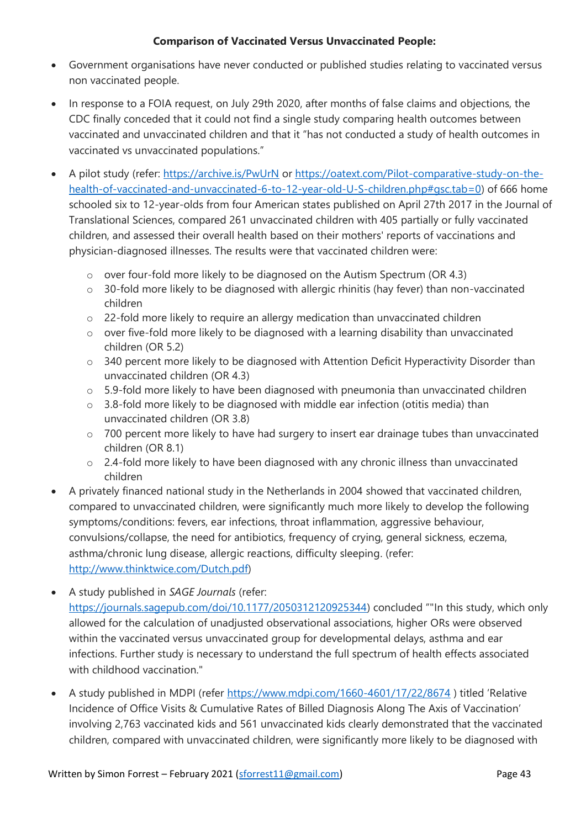# **Comparison of Vaccinated Versus Unvaccinated People:**

- Government organisations have never conducted or published studies relating to vaccinated versus non vaccinated people.
- In response to a FOIA request, on July 29th 2020, after months of false claims and objections, the CDC finally conceded that it could not find a single study comparing health outcomes between vaccinated and unvaccinated children and that it "has not conducted a study of health outcomes in vaccinated vs unvaccinated populations."
- A [pilot study](http://archive.is/PwUrN) (refer:<https://archive.is/PwUrN> or [https://oatext.com/Pilot-comparative-study-on-the](https://oatext.com/Pilot-comparative-study-on-the-health-of-vaccinated-and-unvaccinated-6-to-12-year-old-U-S-children.php#gsc.tab=0)[health-of-vaccinated-and-unvaccinated-6-to-12-year-old-U-S-children.php#gsc.tab=0\)](https://oatext.com/Pilot-comparative-study-on-the-health-of-vaccinated-and-unvaccinated-6-to-12-year-old-U-S-children.php#gsc.tab=0) of 666 home schooled six to 12-year-olds from four American states published on April 27th 2017 in the [Journal of](http://www.oatext.com/Journal-of-Translational-Science-JTS.php)  [Translational Sciences,](http://www.oatext.com/Journal-of-Translational-Science-JTS.php) compared 261 unvaccinated children with 405 partially or fully vaccinated children, and assessed their overall health based on their mothers' reports of vaccinations and physician-diagnosed illnesses. The results were that vaccinated children were:
	- o over four-fold more likely to be diagnosed on the Autism Spectrum (OR 4.3)
	- o 30-fold more likely to be diagnosed with allergic rhinitis (hay fever) than non-vaccinated children
	- o 22-fold more likely to require an allergy medication than unvaccinated children
	- o over five-fold more likely to be diagnosed with a learning disability than unvaccinated children (OR 5.2)
	- $\circ$  340 percent more likely to be diagnosed with Attention Deficit Hyperactivity Disorder than unvaccinated children (OR 4.3)
	- o 5.9-fold more likely to have been diagnosed with pneumonia than unvaccinated children
	- o 3.8-fold more likely to be diagnosed with middle ear infection (otitis media) than unvaccinated children (OR 3.8)
	- o 700 percent more likely to have had surgery to insert ear drainage tubes than unvaccinated children (OR 8.1)
	- o 2.4-fold more likely to have been diagnosed with any chronic illness than unvaccinated children
- A privately financed national study in the Netherlands in 2004 showed that vaccinated children, compared to unvaccinated children, were significantly much more likely to develop the following symptoms/conditions: fevers, ear infections, throat inflammation, aggressive behaviour, convulsions/collapse, the need for antibiotics, frequency of crying, general sickness, eczema, asthma/chronic lung disease, allergic reactions, difficulty sleeping. (refer: [http://www.thinktwice.com/Dutch.pdf\)](http://www.thinktwice.com/Dutch.pdf)
- A study published in *SAGE Journals* (refer: [https://journals.sagepub.com/doi/10.1177/2050312120925344\)](https://journals.sagepub.com/doi/10.1177/2050312120925344) concluded ""In this study, which only allowed for the calculation of unadjusted observational associations, higher ORs were observed within the vaccinated versus unvaccinated group for developmental delays, asthma and ear infections. Further study is necessary to understand the full spectrum of health effects associated with childhood vaccination."
- A study published in MDPI (refer<https://www.mdpi.com/1660-4601/17/22/8674> ) titled 'Relative Incidence of Office Visits & Cumulative Rates of Billed Diagnosis Along The Axis of Vaccination' involving 2,763 vaccinated kids and 561 unvaccinated kids clearly demonstrated that the vaccinated children, compared with unvaccinated children, were significantly more likely to be diagnosed with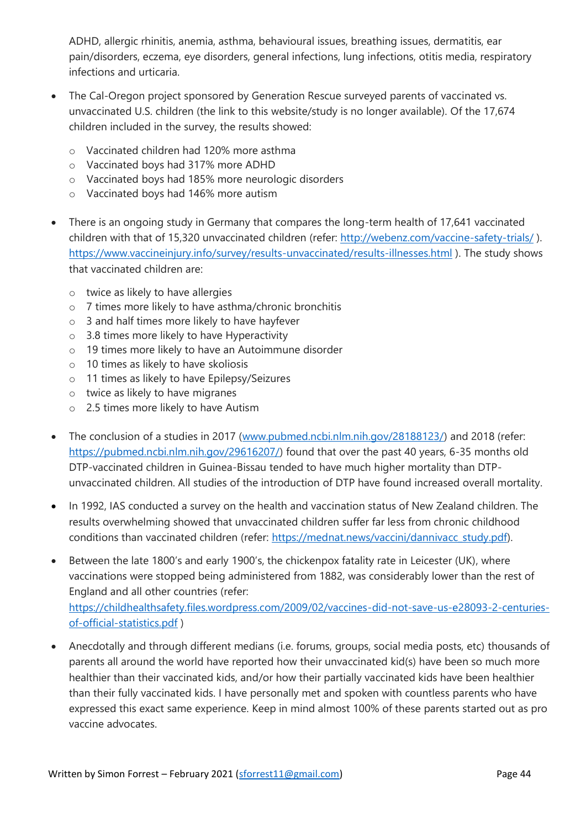ADHD, allergic rhinitis, anemia, asthma, behavioural issues, breathing issues, dermatitis, ear pain/disorders, eczema, eye disorders, general infections, lung infections, otitis media, respiratory infections and urticaria.

- The Cal-Oregon project sponsored by Generation Rescue surveyed parents of vaccinated vs. unvaccinated U.S. children (the link to this website/study is no longer available). Of the 17,674 children included in the survey, the results showed:
	- o Vaccinated children had 120% more asthma
	- o Vaccinated boys had 317% more ADHD
	- o Vaccinated boys had 185% more neurologic disorders
	- o Vaccinated boys had 146% more autism
- There is an ongoing study in Germany that compares the long-term health of 17,641 vaccinated children with that of 15,320 unvaccinated children (refer: <http://webenz.com/vaccine-safety-trials/>). <https://www.vaccineinjury.info/survey/results-unvaccinated/results-illnesses.html> ). The study shows that vaccinated children are:
	- o twice as likely to have allergies
	- o 7 times more likely to have asthma/chronic bronchitis
	- o 3 and half times more likely to have hayfever
	- o 3.8 times more likely to have Hyperactivity
	- o 19 times more likely to have an Autoimmune disorder
	- o 10 times as likely to have skoliosis
	- o 11 times as likely to have Epilepsy/Seizures
	- o twice as likely to have migranes
	- o 2.5 times more likely to have Autism
- The conclusion of a studies in 2017 [\(www.pubmed.ncbi.nlm.nih.gov/28188123/\)](http://www.pubmed.ncbi.nlm.nih.gov/28188123/) and 2018 (refer: [https://pubmed.ncbi.nlm.nih.gov/29616207/\)](https://pubmed.ncbi.nlm.nih.gov/29616207/) found that over the past 40 years, 6-35 months old DTP-vaccinated children in Guinea-Bissau tended to have much higher mortality than DTPunvaccinated children. All studies of the introduction of DTP have found increased overall mortality.
- In 1992, IAS conducted a survey on the health and vaccination status of New Zealand children. The results overwhelming showed that unvaccinated children suffer far less from chronic childhood conditions than vaccinated children (refer: [https://mednat.news/vaccini/dannivacc\\_study.pdf\)](https://mednat.news/vaccini/dannivacc_study.pdf).
- Between the late 1800's and early 1900's, the chickenpox fatality rate in Leicester (UK), where vaccinations were stopped being administered from 1882, was considerably lower than the rest of England and all other countries (refer: [https://childhealthsafety.files.wordpress.com/2009/02/vaccines-did-not-save-us-e28093-2-centuries](https://childhealthsafety.files.wordpress.com/2009/02/vaccines-did-not-save-us-e28093-2-centuries-of-official-statistics.pdf)[of-official-statistics.pdf](https://childhealthsafety.files.wordpress.com/2009/02/vaccines-did-not-save-us-e28093-2-centuries-of-official-statistics.pdf) )
- Anecdotally and through different medians (i.e. forums, groups, social media posts, etc) thousands of parents all around the world have reported how their unvaccinated kid(s) have been so much more healthier than their vaccinated kids, and/or how their partially vaccinated kids have been healthier than their fully vaccinated kids. I have personally met and spoken with countless parents who have expressed this exact same experience. Keep in mind almost 100% of these parents started out as pro vaccine advocates.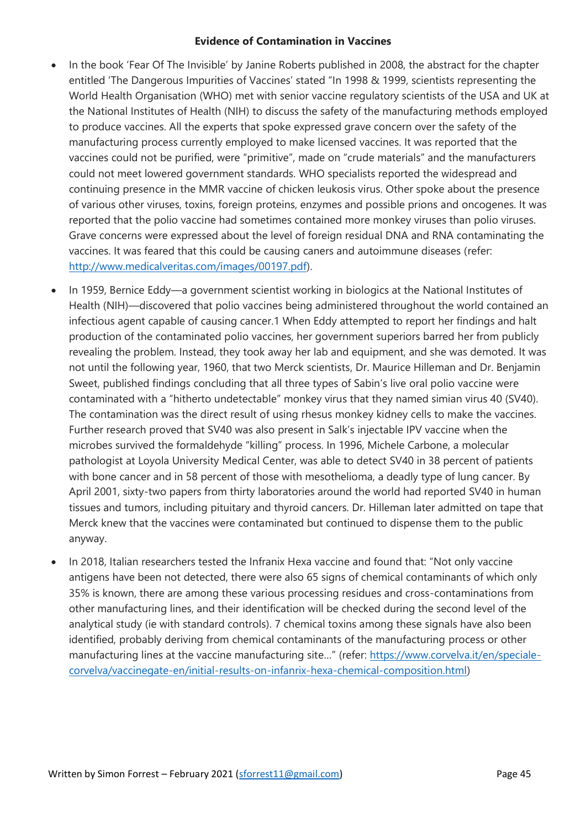# **Evidence of Contamination in Vaccines**

- In the book 'Fear Of The Invisible' by Janine Roberts published in 2008, the abstract for the chapter entitled 'The Dangerous Impurities of Vaccines' stated "In 1998 & 1999, scientists representing the World Health Organisation (WHO) met with senior vaccine regulatory scientists of the USA and UK at the National Institutes of Health (NIH) to discuss the safety of the manufacturing methods employed to produce vaccines. All the experts that spoke expressed grave concern over the safety of the manufacturing process currently employed to make licensed vaccines. It was reported that the vaccines could not be purified, were "primitive", made on "crude materials" and the manufacturers could not meet lowered government standards. WHO specialists reported the widespread and continuing presence in the MMR vaccine of chicken leukosis virus. Other spoke about the presence of various other viruses, toxins, foreign proteins, enzymes and possible prions and oncogenes. It was reported that the polio vaccine had sometimes contained more monkey viruses than polio viruses. Grave concerns were expressed about the level of foreign residual DNA and RNA contaminating the vaccines. It was feared that this could be causing caners and autoimmune diseases (refer: [http://www.medicalveritas.com/images/00197.pdf\)](http://www.medicalveritas.com/images/00197.pdf).
- In 1959, Bernice Eddy—a government scientist working in biologics at the National Institutes of Health (NIH)—discovered that polio vaccines being administered throughout the world contained an infectious agent capable of causing cancer.1 When Eddy attempted to report her findings and halt production of the contaminated polio vaccines, her government superiors barred her from publicly revealing the problem. Instead, they took away her lab and equipment, and she was demoted. It was not until the following year, 1960, that two Merck scientists, Dr. Maurice Hilleman and Dr. Benjamin Sweet, published findings concluding that all three types of Sabin's live oral polio vaccine were contaminated with a "hitherto undetectable" monkey virus that they named simian virus 40 (SV40). The contamination was the direct result of using rhesus monkey kidney cells to make the vaccines. Further research proved that SV40 was also present in Salk's injectable IPV vaccine when the microbes survived the formaldehyde "killing" process. In 1996, Michele Carbone, a molecular pathologist at Loyola University Medical Center, was able to detect SV40 in 38 percent of patients with bone cancer and in 58 percent of those with mesothelioma, a deadly type of lung cancer. By April 2001, sixty-two papers from thirty laboratories around the world had reported SV40 in human tissues and tumors, including pituitary and thyroid cancers. Dr. Hilleman later admitted on tape that Merck knew that the vaccines were contaminated but continued to dispense them to the public anyway.
- In 2018, Italian researchers tested the Infranix Hexa vaccine and found that: "Not only vaccine antigens have been not detected, there were also 65 signs of chemical contaminants of which only 35% is known, there are among these various processing residues and cross-contaminations from other manufacturing lines, and their identification will be checked during the second level of the analytical study (ie with standard controls). 7 chemical toxins among these signals have also been identified, probably deriving from chemical contaminants of the manufacturing process or other manufacturing lines at the vaccine manufacturing site..." (refer: [https://www.corvelva.it/en/speciale](https://www.corvelva.it/en/speciale-corvelva/vaccinegate-en/initial-results-on-infanrix-hexa-chemical-composition.html)[corvelva/vaccinegate-en/initial-results-on-infanrix-hexa-chemical-composition.html\)](https://www.corvelva.it/en/speciale-corvelva/vaccinegate-en/initial-results-on-infanrix-hexa-chemical-composition.html)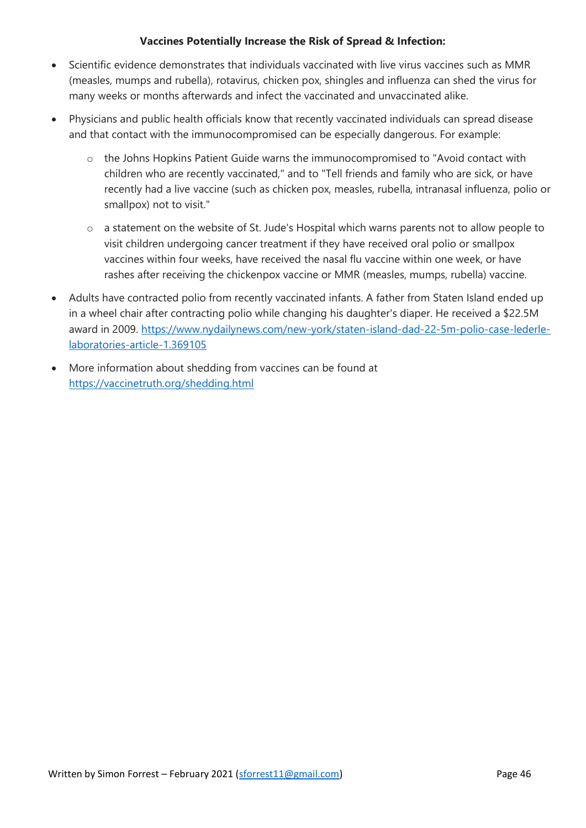# **Vaccines Potentially Increase the Risk of Spread & Infection:**

- Scientific evidence demonstrates that individuals vaccinated with live virus vaccines such as MMR (measles, mumps and rubella), rotavirus, chicken pox, shingles and influenza can shed the virus for many weeks or months afterwards and infect the vaccinated and unvaccinated alike.
- Physicians and public health officials know that recently vaccinated individuals can spread disease and that contact with the immunocompromised can be especially dangerous. For example:
	- o the Johns Hopkins Patient Guide warns the immunocompromised to "Avoid contact with children who are recently vaccinated," and to "Tell friends and family who are sick, or have recently had a live vaccine (such as chicken pox, measles, rubella, intranasal influenza, polio or smallpox) not to visit."
	- o a statement on the website of St. Jude's Hospital which warns parents not to allow people to visit children undergoing cancer treatment if they have received oral polio or smallpox vaccines within four weeks, have received the nasal flu vaccine within one week, or have rashes after receiving the chickenpox vaccine or MMR (measles, mumps, rubella) vaccine.
- Adults have contracted polio from recently vaccinated infants. A father from Staten Island ended up in a wheel chair after contracting polio while changing his daughter's diaper. He received a \$22.5M award in 2009. [https://www.nydailynews.com/new-york/staten-island-dad-22-5m-polio-case-lederle](https://www.nydailynews.com/new-york/staten-island-dad-22-5m-polio-case-lederle-laboratories-article-1.369105)[laboratories-article-1.369105](https://www.nydailynews.com/new-york/staten-island-dad-22-5m-polio-case-lederle-laboratories-article-1.369105)
- More information about shedding from vaccines can be found at <https://vaccinetruth.org/shedding.html>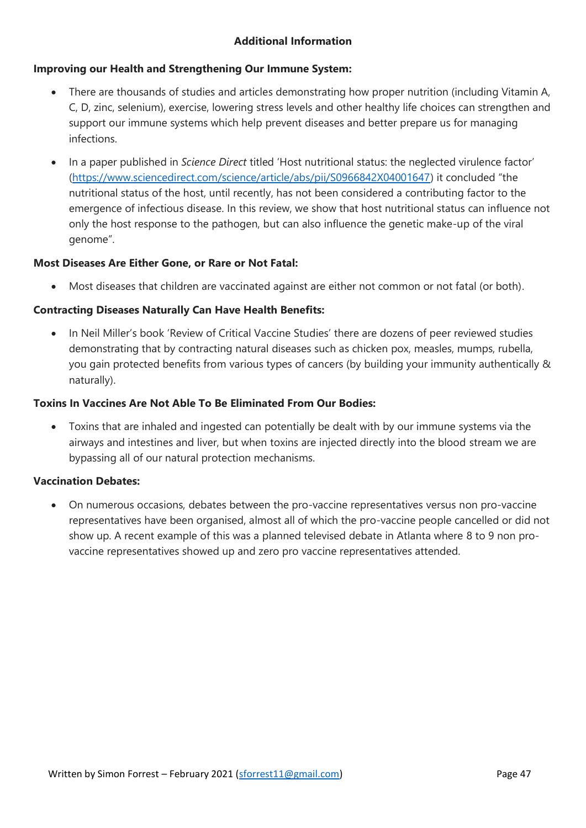# **Additional Information**

# **Improving our Health and Strengthening Our Immune System:**

- There are thousands of studies and articles demonstrating how proper nutrition (including Vitamin A, C, D, zinc, selenium), exercise, lowering stress levels and other healthy life choices can strengthen and support our immune systems which help prevent diseases and better prepare us for managing infections.
- In a paper published in *Science Direct* titled 'Host nutritional status: the neglected virulence factor' [\(https://www.sciencedirect.com/science/article/abs/pii/S0966842X04001647\)](https://www.sciencedirect.com/science/article/abs/pii/S0966842X04001647) it concluded "the nutritional status of the host, until recently, has not been considered a contributing factor to the emergence of infectious disease. In this review, we show that host nutritional status can influence not only the host response to the pathogen, but can also influence the genetic make-up of the viral genome".

# **Most Diseases Are Either Gone, or Rare or Not Fatal:**

• Most diseases that children are vaccinated against are either not common or not fatal (or both).

# **Contracting Diseases Naturally Can Have Health Benefits:**

• In Neil Miller's book 'Review of Critical Vaccine Studies' there are dozens of peer reviewed studies demonstrating that by contracting natural diseases such as chicken pox, measles, mumps, rubella, you gain protected benefits from various types of cancers (by building your immunity authentically & naturally).

# **Toxins In Vaccines Are Not Able To Be Eliminated From Our Bodies:**

• Toxins that are inhaled and ingested can potentially be dealt with by our immune systems via the airways and intestines and liver, but when toxins are injected directly into the blood stream we are bypassing all of our natural protection mechanisms.

# **Vaccination Debates:**

• On numerous occasions, debates between the pro-vaccine representatives versus non pro-vaccine representatives have been organised, almost all of which the pro-vaccine people cancelled or did not show up. A recent example of this was a planned televised debate in Atlanta where 8 to 9 non provaccine representatives showed up and zero pro vaccine representatives attended.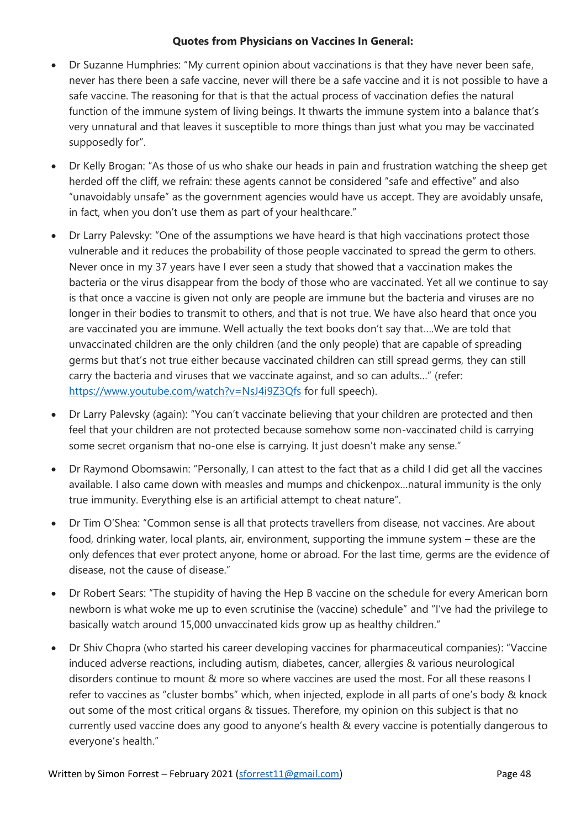# **Quotes from Physicians on Vaccines In General:**

- Dr Suzanne Humphries: "My current opinion about vaccinations is that they have never been safe, never has there been a safe vaccine, never will there be a safe vaccine and it is not possible to have a safe vaccine. The reasoning for that is that the actual process of vaccination defies the natural function of the immune system of living beings. It thwarts the immune system into a balance that's very unnatural and that leaves it susceptible to more things than just what you may be vaccinated supposedly for".
- Dr Kelly Brogan: "As those of us who shake our heads in pain and frustration watching the sheep get herded off the cliff, we refrain: these agents cannot be considered "safe and effective" and also "unavoidably unsafe" as the government agencies would have us accept. They are avoidably unsafe, in fact, when you don't use them as part of your healthcare."
- Dr Larry Palevsky: "One of the assumptions we have heard is that high vaccinations protect those vulnerable and it reduces the probability of those people vaccinated to spread the germ to others. Never once in my 37 years have I ever seen a study that showed that a vaccination makes the bacteria or the virus disappear from the body of those who are vaccinated. Yet all we continue to say is that once a vaccine is given not only are people are immune but the bacteria and viruses are no longer in their bodies to transmit to others, and that is not true. We have also heard that once you are vaccinated you are immune. Well actually the text books don't say that….We are told that unvaccinated children are the only children (and the only people) that are capable of spreading germs but that's not true either because vaccinated children can still spread germs, they can still carry the bacteria and viruses that we vaccinate against, and so can adults…" (refer: <https://www.youtube.com/watch?v=NsJ4i9Z3Qfs> for full speech).
- Dr Larry Palevsky (again): "You can't vaccinate believing that your children are protected and then feel that your children are not protected because somehow some non-vaccinated child is carrying some secret organism that no-one else is carrying. It just doesn't make any sense."
- Dr Raymond Obomsawin: "Personally, I can attest to the fact that as a child I did get all the vaccines available. I also came down with measles and mumps and chickenpox…natural immunity is the only true immunity. Everything else is an artificial attempt to cheat nature".
- Dr Tim O'Shea: "Common sense is all that protects travellers from disease, not vaccines. Are about food, drinking water, local plants, air, environment, supporting the immune system – these are the only defences that ever protect anyone, home or abroad. For the last time, germs are the evidence of disease, not the cause of disease."
- Dr Robert Sears: "The stupidity of having the Hep B vaccine on the schedule for every American born newborn is what woke me up to even scrutinise the (vaccine) schedule" and "I've had the privilege to basically watch around 15,000 unvaccinated kids grow up as healthy children."
- Dr Shiv Chopra (who started his career developing vaccines for pharmaceutical companies): "Vaccine induced adverse reactions, including autism, diabetes, cancer, allergies & various neurological disorders continue to mount & more so where vaccines are used the most. For all these reasons I refer to vaccines as "cluster bombs" which, when injected, explode in all parts of one's body & knock out some of the most critical organs & tissues. Therefore, my opinion on this subject is that no currently used vaccine does any good to anyone's health & every vaccine is potentially dangerous to everyone's health."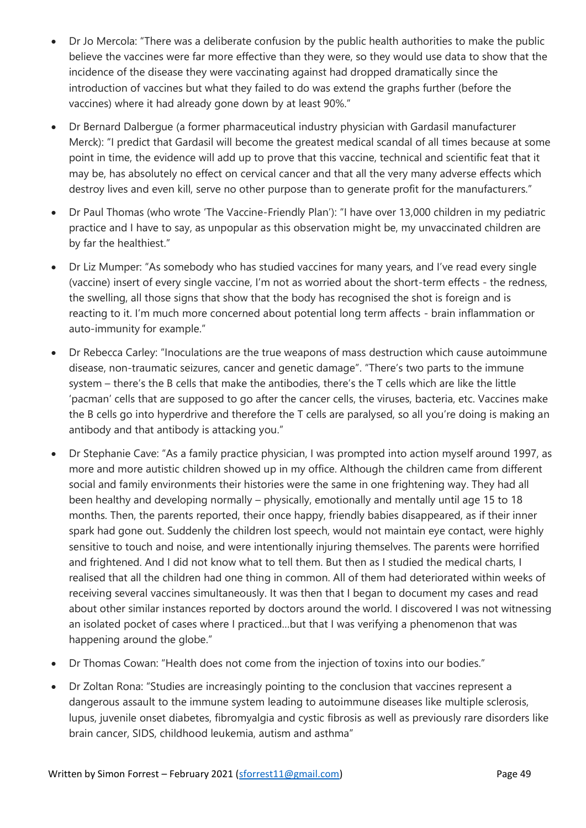- Dr Jo Mercola: "There was a deliberate confusion by the public health authorities to make the public believe the vaccines were far more effective than they were, so they would use data to show that the incidence of the disease they were vaccinating against had dropped dramatically since the introduction of vaccines but what they failed to do was extend the graphs further (before the vaccines) where it had already gone down by at least 90%."
- Dr Bernard Dalbergue (a former pharmaceutical industry physician with Gardasil manufacturer Merck): "I predict that Gardasil will become the greatest medical scandal of all times because at some point in time, the evidence will add up to prove that this vaccine, technical and scientific feat that it may be, has absolutely no effect on cervical cancer and that all the very many adverse effects which destroy lives and even kill, serve no other purpose than to generate profit for the manufacturers."
- Dr Paul Thomas (who wrote 'The Vaccine-Friendly Plan'): "I have over 13,000 children in my pediatric practice and I have to say, as unpopular as this observation might be, my unvaccinated children are by far the healthiest."
- Dr Liz Mumper: "As somebody who has studied vaccines for many years, and I've read every single (vaccine) insert of every single vaccine, I'm not as worried about the short-term effects - the redness, the swelling, all those signs that show that the body has recognised the shot is foreign and is reacting to it. I'm much more concerned about potential long term affects - brain inflammation or auto-immunity for example."
- Dr Rebecca Carley: "Inoculations are the true weapons of mass destruction which cause autoimmune disease, non-traumatic seizures, cancer and genetic damage". "There's two parts to the immune system – there's the B cells that make the antibodies, there's the T cells which are like the little 'pacman' cells that are supposed to go after the cancer cells, the viruses, bacteria, etc. Vaccines make the B cells go into hyperdrive and therefore the T cells are paralysed, so all you're doing is making an antibody and that antibody is attacking you."
- Dr Stephanie Cave: "As a family practice physician, I was prompted into action myself around 1997, as more and more autistic children showed up in my office. Although the children came from different social and family environments their histories were the same in one frightening way. They had all been healthy and developing normally – physically, emotionally and mentally until age 15 to 18 months. Then, the parents reported, their once happy, friendly babies disappeared, as if their inner spark had gone out. Suddenly the children lost speech, would not maintain eye contact, were highly sensitive to touch and noise, and were intentionally injuring themselves. The parents were horrified and frightened. And I did not know what to tell them. But then as I studied the medical charts, I realised that all the children had one thing in common. All of them had deteriorated within weeks of receiving several vaccines simultaneously. It was then that I began to document my cases and read about other similar instances reported by doctors around the world. I discovered I was not witnessing an isolated pocket of cases where I practiced…but that I was verifying a phenomenon that was happening around the globe."
- Dr Thomas Cowan: "Health does not come from the injection of toxins into our bodies."
- Dr Zoltan Rona: "Studies are increasingly pointing to the conclusion that vaccines represent a dangerous assault to the immune system leading to autoimmune diseases like multiple sclerosis, lupus, juvenile onset diabetes, fibromyalgia and cystic fibrosis as well as previously rare disorders like brain cancer, SIDS, childhood leukemia, autism and asthma"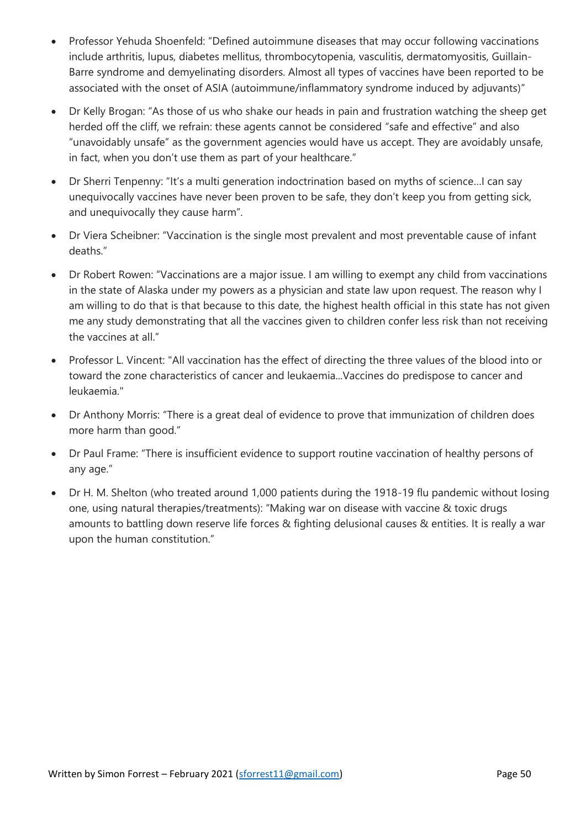- Professor Yehuda Shoenfeld: "Defined autoimmune diseases that may occur following vaccinations include arthritis, lupus, diabetes mellitus, thrombocytopenia, vasculitis, dermatomyositis, Guillain-Barre syndrome and demyelinating disorders. Almost all types of vaccines have been reported to be associated with the onset of ASIA (autoimmune/inflammatory syndrome induced by adjuvants)"
- Dr Kelly Brogan: "As those of us who shake our heads in pain and frustration watching the sheep get herded off the cliff, we refrain: these agents cannot be considered "safe and effective" and also "unavoidably unsafe" as the government agencies would have us accept. They are avoidably unsafe, in fact, when you don't use them as part of your healthcare."
- Dr Sherri Tenpenny: "It's a multi generation indoctrination based on myths of science…I can say unequivocally vaccines have never been proven to be safe, they don't keep you from getting sick, and unequivocally they cause harm".
- Dr Viera Scheibner: "Vaccination is the single most prevalent and most preventable cause of infant deaths."
- Dr Robert Rowen: "Vaccinations are a major issue. I am willing to exempt any child from vaccinations in the state of Alaska under my powers as a physician and state law upon request. The reason why I am willing to do that is that because to this date, the highest health official in this state has not given me any study demonstrating that all the vaccines given to children confer less risk than not receiving the vaccines at all."
- Professor L. Vincent: "All vaccination has the effect of directing the three values of the blood into or toward the zone characteristics of cancer and leukaemia...Vaccines do predispose to cancer and leukaemia."
- Dr Anthony Morris: "There is a great deal of evidence to prove that immunization of children does more harm than good."
- Dr Paul Frame: "There is insufficient evidence to support routine vaccination of healthy persons of any age."
- Dr H. M. Shelton (who treated around 1,000 patients during the 1918-19 flu pandemic without losing one, using natural therapies/treatments): "Making war on disease with vaccine & toxic drugs amounts to battling down reserve life forces & fighting delusional causes & entities. It is really a war upon the human constitution."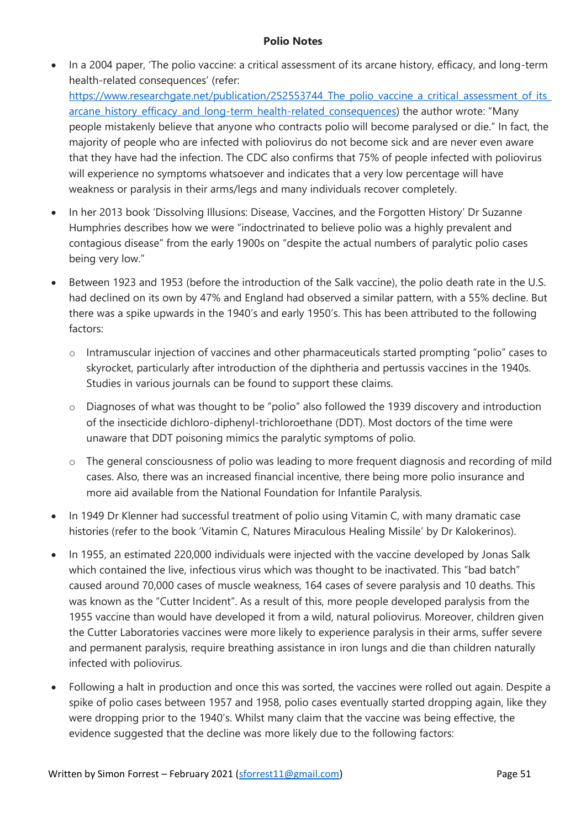# **Polio Notes**

• In a 2004 paper, 'The polio vaccine: a critical assessment of its arcane history, efficacy, and long-term health-related consequences' (refer:

https://www.researchgate.net/publication/252553744 The polio vaccine a critical assessment of its [arcane\\_history\\_efficacy\\_and\\_long-term\\_health-related\\_consequences](https://www.researchgate.net/publication/252553744_The_polio_vaccine_a_critical_assessment_of_its_arcane_history_efficacy_and_long-term_health-related_consequences)) the author wrote: "Many people mistakenly believe that anyone who contracts polio will become paralysed or die." In fact, the majority of people who are infected with poliovirus do not become sick and are never even aware that they have had the infection. The CDC also confirms that 75% of people infected with poliovirus will experience no symptoms whatsoever and indicates that a very low percentage will have weakness or paralysis in their arms/legs and many individuals recover completely.

- In her 2013 book 'Dissolving Illusions: Disease, Vaccines, and the Forgotten History' Dr Suzanne Humphries describes how we were "indoctrinated to believe polio was a highly prevalent and contagious disease" from the early 1900s on "despite the actual numbers of paralytic polio cases being very low."
- Between 1923 and 1953 (before the introduction of the Salk vaccine), the polio death rate in the U.S. had declined on its own by 47% and England had observed a similar pattern, with a 55% decline. But there was a spike upwards in the 1940's and early 1950's. This has been attributed to the following factors:
	- o Intramuscular injection of vaccines and other pharmaceuticals started prompting "polio" cases to skyrocket, particularly after introduction of the diphtheria and pertussis vaccines in the 1940s. Studies in various journals can be found to support these claims.
	- o Diagnoses of what was thought to be "polio" also followed the 1939 discovery and introduction of the insecticide dichloro-diphenyl-trichloroethane (DDT). Most doctors of the time were unaware that DDT poisoning mimics the paralytic symptoms of polio.
	- o The general consciousness of polio was leading to more frequent diagnosis and recording of mild cases. Also, there was an increased financial incentive, there being more polio insurance and more aid available from the National Foundation for Infantile Paralysis.
- In 1949 Dr Klenner had successful treatment of polio using Vitamin C, with many dramatic case histories (refer to the book 'Vitamin C, Natures Miraculous Healing Missile' by Dr Kalokerinos).
- In 1955, an estimated 220,000 individuals were injected with the vaccine developed by Jonas Salk which contained the live, infectious virus which was thought to be inactivated. This "bad batch" caused around 70,000 cases of muscle weakness, 164 cases of severe paralysis and 10 deaths. This was known as the "Cutter Incident". As a result of this, more people developed paralysis from the 1955 vaccine than would have developed it from a wild, natural poliovirus. Moreover, children given the Cutter Laboratories vaccines were more likely to experience paralysis in their arms, suffer severe and permanent paralysis, require breathing assistance in iron lungs and die than children naturally infected with poliovirus.
- Following a halt in production and once this was sorted, the vaccines were rolled out again. Despite a spike of polio cases between 1957 and 1958, polio cases eventually started dropping again, like they were dropping prior to the 1940's. Whilst many claim that the vaccine was being effective, the evidence suggested that the decline was more likely due to the following factors: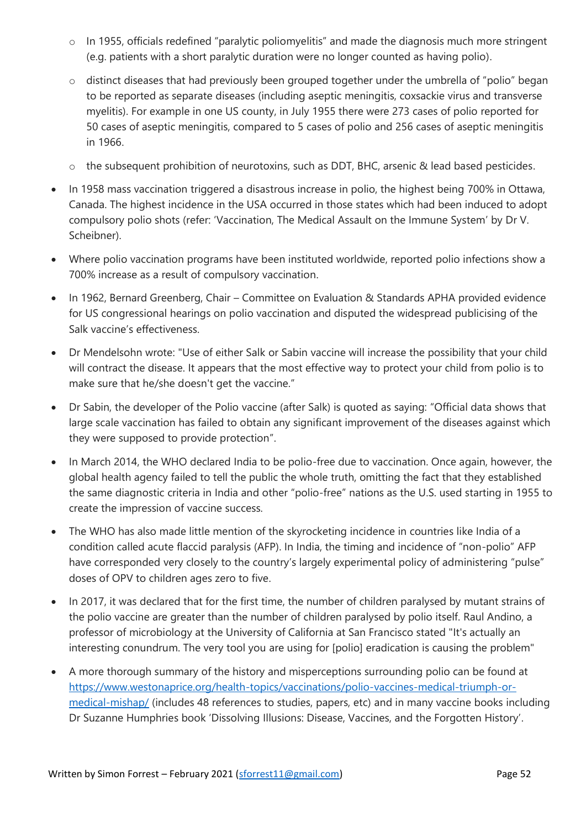- o In 1955, officials redefined "paralytic poliomyelitis" and made the diagnosis much more stringent (e.g. patients with a short paralytic duration were no longer counted as having polio).
- o distinct diseases that had previously been grouped together under the umbrella of "polio" began to be reported as separate diseases (including aseptic meningitis, coxsackie virus and transverse myelitis). For example in one US county, in July 1955 there were 273 cases of polio reported for 50 cases of aseptic meningitis, compared to 5 cases of polio and 256 cases of aseptic meningitis in 1966.
- o the subsequent prohibition of neurotoxins, such as DDT, BHC, arsenic & lead based pesticides.
- In 1958 mass vaccination triggered a disastrous increase in polio, the highest being 700% in Ottawa, Canada. The highest incidence in the USA occurred in those states which had been induced to adopt compulsory polio shots (refer: 'Vaccination, The Medical Assault on the Immune System' by Dr V. Scheibner).
- Where polio vaccination programs have been instituted worldwide, reported polio infections show a 700% increase as a result of compulsory vaccination.
- In 1962, Bernard Greenberg, Chair Committee on Evaluation & Standards APHA provided evidence for US congressional hearings on polio vaccination and disputed the widespread publicising of the Salk vaccine's effectiveness.
- Dr Mendelsohn wrote: "Use of either Salk or Sabin vaccine will increase the possibility that your child will contract the disease. It appears that the most effective way to protect your child from polio is to make sure that he/she doesn't get the vaccine."
- Dr Sabin, the developer of the Polio vaccine (after Salk) is quoted as saying: "Official data shows that large scale vaccination has failed to obtain any significant improvement of the diseases against which they were supposed to provide protection".
- In March 2014, the WHO declared India to be polio-free due to vaccination. Once again, however, the global health agency failed to tell the public the whole truth, omitting the fact that they established the same diagnostic criteria in India and other "polio-free" nations as the U.S. used starting in 1955 to create the impression of vaccine success.
- The WHO has also made little mention of the skyrocketing incidence in countries like India of a condition called acute flaccid paralysis (AFP). In India, the timing and incidence of "non-polio" AFP have corresponded very closely to the country's largely experimental policy of administering "pulse" doses of OPV to children ages zero to five.
- In 2017, it was declared that for the first time, the number of children paralysed by mutant strains of the polio vaccine are greater than the number of children paralysed by polio itself. Raul Andino, a professor of microbiology at the University of California at San Francisco stated "It's actually an interesting conundrum. The very tool you are using for [polio] eradication is causing the problem"
- A more thorough summary of the history and misperceptions surrounding polio can be found at [https://www.westonaprice.org/health-topics/vaccinations/polio-vaccines-medical-triumph-or](https://www.westonaprice.org/health-topics/vaccinations/polio-vaccines-medical-triumph-or-medical-mishap/)[medical-mishap/](https://www.westonaprice.org/health-topics/vaccinations/polio-vaccines-medical-triumph-or-medical-mishap/) (includes 48 references to studies, papers, etc) and in many vaccine books including Dr Suzanne Humphries book 'Dissolving Illusions: Disease, Vaccines, and the Forgotten History'.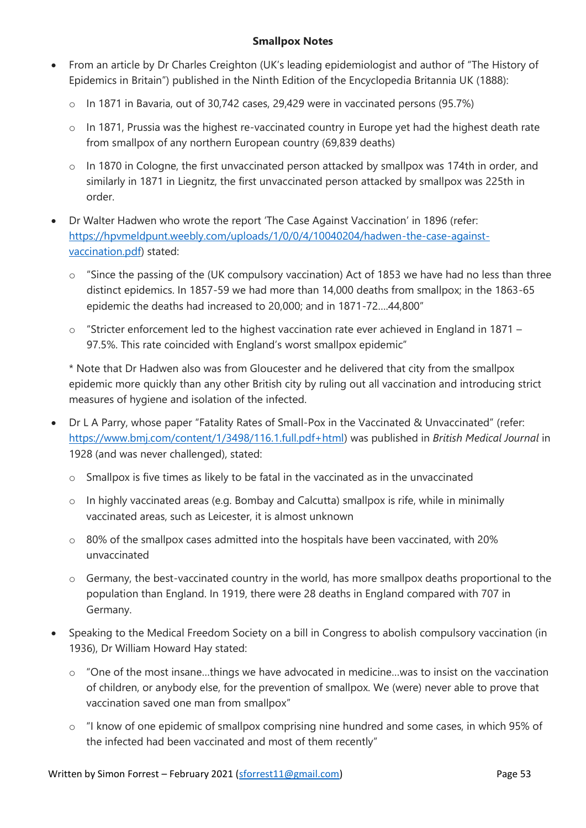# **Smallpox Notes**

- From an article by Dr Charles Creighton (UK's leading epidemiologist and author of "The History of Epidemics in Britain") published in the Ninth Edition of the Encyclopedia Britannia UK (1888):
	- o In 1871 in Bavaria, out of 30,742 cases, 29,429 were in vaccinated persons (95.7%)
	- o In 1871, Prussia was the highest re-vaccinated country in Europe yet had the highest death rate from smallpox of any northern European country (69,839 deaths)
	- o In 1870 in Cologne, the first unvaccinated person attacked by smallpox was 174th in order, and similarly in 1871 in Liegnitz, the first unvaccinated person attacked by smallpox was 225th in order.
- Dr Walter Hadwen who wrote the report 'The Case Against Vaccination' in 1896 (refer: [https://hpvmeldpunt.weebly.com/uploads/1/0/0/4/10040204/hadwen-the-case-against](https://hpvmeldpunt.weebly.com/uploads/1/0/0/4/10040204/hadwen-the-case-against-vaccination.pdf)[vaccination.pdf\)](https://hpvmeldpunt.weebly.com/uploads/1/0/0/4/10040204/hadwen-the-case-against-vaccination.pdf) stated:
	- "Since the passing of the (UK compulsory vaccination) Act of 1853 we have had no less than three distinct epidemics. In 1857-59 we had more than 14,000 deaths from smallpox; in the 1863-65 epidemic the deaths had increased to 20,000; and in 1871-72….44,800"
	- o "Stricter enforcement led to the highest vaccination rate ever achieved in England in 1871 97.5%. This rate coincided with England's worst smallpox epidemic"

\* Note that Dr Hadwen also was from Gloucester and he delivered that city from the smallpox epidemic more quickly than any other British city by ruling out all vaccination and introducing strict measures of hygiene and isolation of the infected.

- Dr L A Parry, whose paper "Fatality Rates of Small-Pox in the Vaccinated & Unvaccinated" (refer: [https://www.bmj.com/content/1/3498/116.1.full.pdf+html\)](https://www.bmj.com/content/1/3498/116.1.full.pdf+html) was published in *British Medical Journal* in 1928 (and was never challenged), stated:
	- o Smallpox is five times as likely to be fatal in the vaccinated as in the unvaccinated
	- o In highly vaccinated areas (e.g. Bombay and Calcutta) smallpox is rife, while in minimally vaccinated areas, such as Leicester, it is almost unknown
	- o 80% of the smallpox cases admitted into the hospitals have been vaccinated, with 20% unvaccinated
	- o Germany, the best-vaccinated country in the world, has more smallpox deaths proportional to the population than England. In 1919, there were 28 deaths in England compared with 707 in Germany.
- Speaking to the Medical Freedom Society on a bill in Congress to abolish compulsory vaccination (in 1936), Dr William Howard Hay stated:
	- o "One of the most insane…things we have advocated in medicine…was to insist on the vaccination of children, or anybody else, for the prevention of smallpox. We (were) never able to prove that vaccination saved one man from smallpox"
	- o "I know of one epidemic of smallpox comprising nine hundred and some cases, in which 95% of the infected had been vaccinated and most of them recently"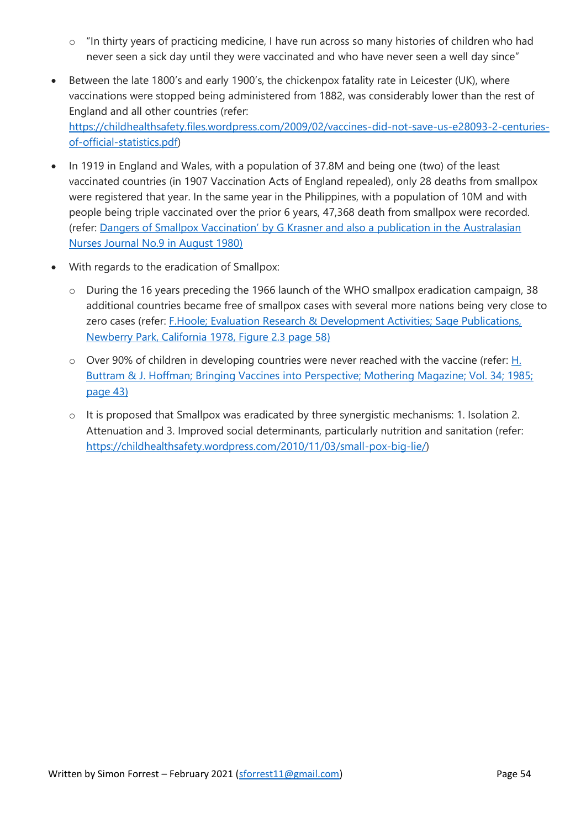- o "In thirty years of practicing medicine, I have run across so many histories of children who had never seen a sick day until they were vaccinated and who have never seen a well day since"
- Between the late 1800's and early 1900's, the chickenpox fatality rate in Leicester (UK), where vaccinations were stopped being administered from 1882, was considerably lower than the rest of England and all other countries (refer: [https://childhealthsafety.files.wordpress.com/2009/02/vaccines-did-not-save-us-e28093-2-centuries](https://childhealthsafety.files.wordpress.com/2009/02/vaccines-did-not-save-us-e28093-2-centuries-of-official-statistics.pdf)[of-official-statistics.pdf\)](https://childhealthsafety.files.wordpress.com/2009/02/vaccines-did-not-save-us-e28093-2-centuries-of-official-statistics.pdf)
- In 1919 in England and Wales, with a population of 37.8M and being one (two) of the least vaccinated countries (in 1907 Vaccination Acts of England repealed), only 28 deaths from smallpox were registered that year. In the same year in the Philippines, with a population of 10M and with people being triple vaccinated over the prior 6 years, 47,368 death from smallpox were recorded. (refer: Dangers of Smallpox Vaccination' by G Krasner and also a publication in the Australasian Nurses Journal No.9 in August 1980)
- With regards to the eradication of Smallpox:
	- o During the 16 years preceding the 1966 launch of the WHO smallpox eradication campaign, 38 additional countries became free of smallpox cases with several more nations being very close to zero cases (refer: F.Hoole; Evaluation Research & Development Activities; Sage Publications, Newberry Park, California 1978, Figure 2.3 page 58)
	- o Over 90% of children in developing countries were never reached with the vaccine (refer: H. Buttram & J. Hoffman; Bringing Vaccines into Perspective; Mothering Magazine; Vol. 34; 1985; page 43)
	- o It is proposed that Smallpox was eradicated by three synergistic mechanisms: 1. Isolation 2. Attenuation and 3. Improved social determinants, particularly nutrition and sanitation (refer: [https://childhealthsafety.wordpress.com/2010/11/03/small-pox-big-lie/\)](https://childhealthsafety.wordpress.com/2010/11/03/small-pox-big-lie/)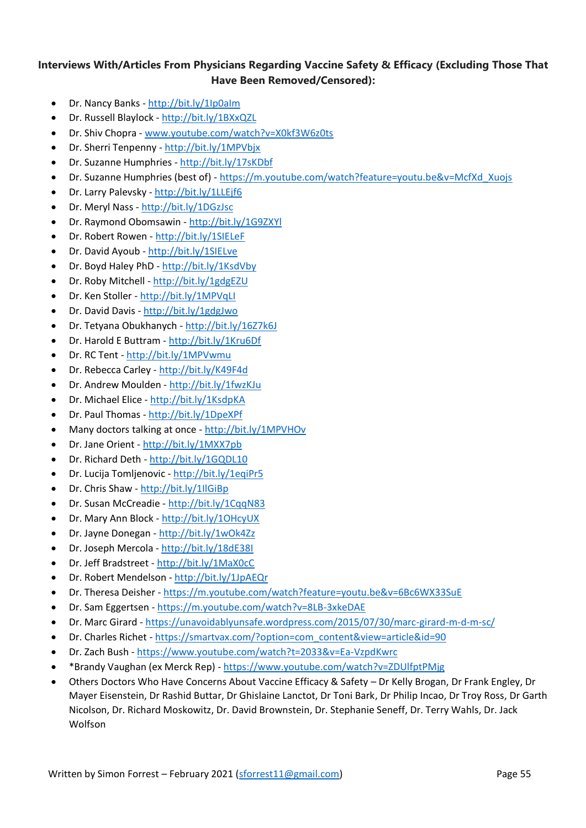# **Interviews With/Articles From Physicians Regarding Vaccine Safety & Efficacy (Excluding Those That Have Been Removed/Censored):**

- Dr. Nancy Banks <http://bit.ly/1Ip0aIm>
- Dr. Russell Blaylock <http://bit.ly/1BXxQZL>
- Dr. Shiv Chopra www.youtube.com/watch?v=X0kf3W6z0ts
- Dr. Sherri Tenpenny <http://bit.ly/1MPVbjx>
- Dr. Suzanne Humphries <http://bit.ly/17sKDbf>
- Dr. Suzanne Humphries (best of) [https://m.youtube.com/watch?feature=youtu.be&v=McfXd\\_Xuojs](https://m.youtube.com/watch?feature=youtu.be&v=McfXd_Xuojs)
- Dr. Larry Palevsky <http://bit.ly/1LLEjf6>
- Dr. Meryl Nass <http://bit.ly/1DGzJsc>
- Dr. Raymond Obomsawin <http://bit.ly/1G9ZXYl>
- Dr. Robert Rowen <http://bit.ly/1SIELeF>
- Dr. David Ayoub <http://bit.ly/1SIELve>
- Dr. Boyd Haley PhD <http://bit.ly/1KsdVby>
- Dr. Roby Mitchell <http://bit.ly/1gdgEZU>
- Dr. Ken Stoller <http://bit.ly/1MPVqLI>
- Dr. David Davis <http://bit.ly/1gdgJwo>
- Dr. Tetyana Obukhanych <http://bit.ly/16Z7k6J>
- Dr. Harold E Buttram <http://bit.ly/1Kru6Df>
- Dr. RC Tent <http://bit.ly/1MPVwmu>
- Dr. Rebecca Carley <http://bit.ly/K49F4d>
- Dr. Andrew Moulden <http://bit.ly/1fwzKJu>
- Dr. Michael Elice <http://bit.ly/1KsdpKA>
- Dr. Paul Thomas <http://bit.ly/1DpeXPf>
- Many doctors talking at once <http://bit.ly/1MPVHOv>
- Dr. Jane Orient <http://bit.ly/1MXX7pb>
- Dr. Richard Deth <http://bit.ly/1GQDL10>
- Dr. Lucija Tomljenovic <http://bit.ly/1eqiPr5>
- Dr. Chris Shaw <http://bit.ly/1IlGiBp>
- Dr. Susan McCreadie <http://bit.ly/1CqqN83>
- Dr. Mary Ann Block <http://bit.ly/1OHcyUX>
- Dr. Jayne Donegan <http://bit.ly/1wOk4Zz>
- Dr. Joseph Mercola <http://bit.ly/18dE38I>
- Dr. Jeff Bradstreet <http://bit.ly/1MaX0cC>
- Dr. Robert Mendelson <http://bit.ly/1JpAEQr>
- Dr. Theresa Deisher <https://m.youtube.com/watch?feature=youtu.be&v=6Bc6WX33SuE>
- Dr. Sam Eggertsen <https://m.youtube.com/watch?v=8LB-3xkeDAE>
- Dr. Marc Girard <https://unavoidablyunsafe.wordpress.com/2015/07/30/marc-girard-m-d-m-sc/>
- Dr. Charles Richet [https://smartvax.com/?option=com\\_content&view=article&id=90](https://smartvax.com/?option=com_content&view=article&id=90)
- Dr. Zach Bush <https://www.youtube.com/watch?t=2033&v=Ea-VzpdKwrc>
- \*Brandy Vaughan (ex Merck Rep) <https://www.youtube.com/watch?v=ZDUlfptPMjg>
- Others Doctors Who Have Concerns About Vaccine Efficacy & Safety Dr Kelly Brogan, Dr Frank Engley, Dr Mayer Eisenstein, Dr Rashid Buttar, Dr Ghislaine Lanctot, Dr Toni Bark, Dr Philip Incao, Dr Troy Ross, Dr Garth Nicolson, Dr. Richard Moskowitz, Dr. David Brownstein, Dr. Stephanie Seneff, Dr. Terry Wahls, Dr. Jack Wolfson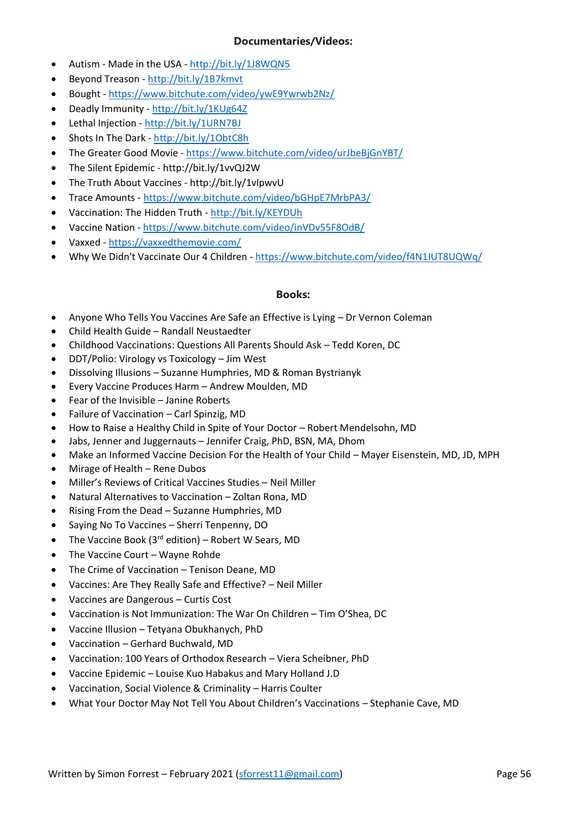## **Documentaries/Videos:**

- Autism Made in the USA <http://bit.ly/1J8WQN5>
- Beyond Treason <http://bit.ly/1B7kmvt>
- Bought <https://www.bitchute.com/video/ywE9Ywrwb2Nz/>
- Deadly Immunity <http://bit.ly/1KUg64Z>
- Lethal Injection <http://bit.ly/1URN7BJ>
- Shots In The Dark <http://bit.ly/1ObtC8h>
- The Greater Good Movie <https://www.bitchute.com/video/urJbeBjGnYBT/>
- The Silent Epidemic http://bit.ly/1vvQJ2W
- The Truth About Vaccines http://bit.ly/1vlpwvU
- Trace Amounts https://www.bitchute.com/video/bGHpE7MrbPA3/
- Vaccination: The Hidden Truth <http://bit.ly/KEYDUh>
- Vaccine Nation <https://www.bitchute.com/video/inVDv55F8OdB/>
- Vaxxed <https://vaxxedthemovie.com/>
- Why We Didn't Vaccinate Our 4 Children <https://www.bitchute.com/video/f4N1IUT8UQWq/>

## **Books:**

- Anyone Who Tells You Vaccines Are Safe an Effective is Lying Dr Vernon Coleman
- Child Health Guide Randall Neustaedter
- Childhood Vaccinations: Questions All Parents Should Ask Tedd Koren, DC
- DDT/Polio: Virology vs Toxicology Jim West
- Dissolving Illusions Suzanne Humphries, MD & Roman Bystrianyk
- Every Vaccine Produces Harm Andrew Moulden, MD
- Fear of the Invisible Janine Roberts
- Failure of Vaccination Carl Spinzig, MD
- How to Raise a Healthy Child in Spite of Your Doctor Robert Mendelsohn, MD
- Jabs, Jenner and Juggernauts Jennifer Craig, PhD, BSN, MA, Dhom
- Make an Informed Vaccine Decision For the Health of Your Child Mayer Eisenstein, MD, JD, MPH
- Mirage of Health Rene Dubos
- Miller's Reviews of Critical Vaccines Studies Neil Miller
- Natural Alternatives to Vaccination Zoltan Rona, MD
- Rising From the Dead Suzanne Humphries, MD
- Saying No To Vaccines Sherri Tenpenny, DO
- The Vaccine Book ( $3<sup>rd</sup>$  edition) Robert W Sears, MD
- The Vaccine Court Wayne Rohde
- The Crime of Vaccination Tenison Deane, MD
- Vaccines: Are They Really Safe and Effective? Neil Miller
- Vaccines are Dangerous Curtis Cost
- Vaccination is Not Immunization: The War On Children Tim O'Shea, DC
- Vaccine Illusion Tetyana Obukhanych, PhD
- Vaccination Gerhard Buchwald, MD
- Vaccination: 100 Years of Orthodox Research Viera Scheibner, PhD
- Vaccine Epidemic Louise Kuo Habakus and Mary Holland J.D
- Vaccination, Social Violence & Criminality Harris Coulter
- What Your Doctor May Not Tell You About Children's Vaccinations Stephanie Cave, MD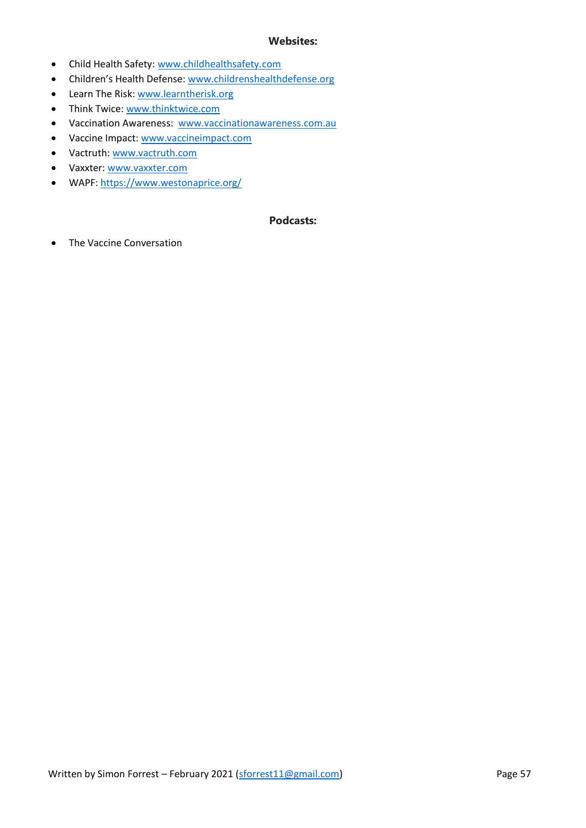## **Websites:**

- Child Health Safety: [www.childhealthsafety.com](http://www.childhealthsafety.com/)
- Children's Health Defense: [www.childrenshealthdefense.org](http://www.childrenshealthdefense.org/)
- Learn The Risk: [www.learntherisk.org](http://www.learntherisk.org/)
- Think Twice: [www.thinktwice.com](http://www.thinktwice.com/)
- Vaccination Awareness: [www.vaccinationawareness.com.au](http://www.vaccinationawareness.com.au/)
- Vaccine Impact: [www.vaccineimpact.com](http://www.vaccineimpact.com/)
- Vactruth: [www.vactruth.com](http://www.vactruth.com/)
- Vaxxter: [www.vaxxter.com](http://www.vaxxter.com/)
- WAPF:<https://www.westonaprice.org/>

## **Podcasts:**

• The Vaccine Conversation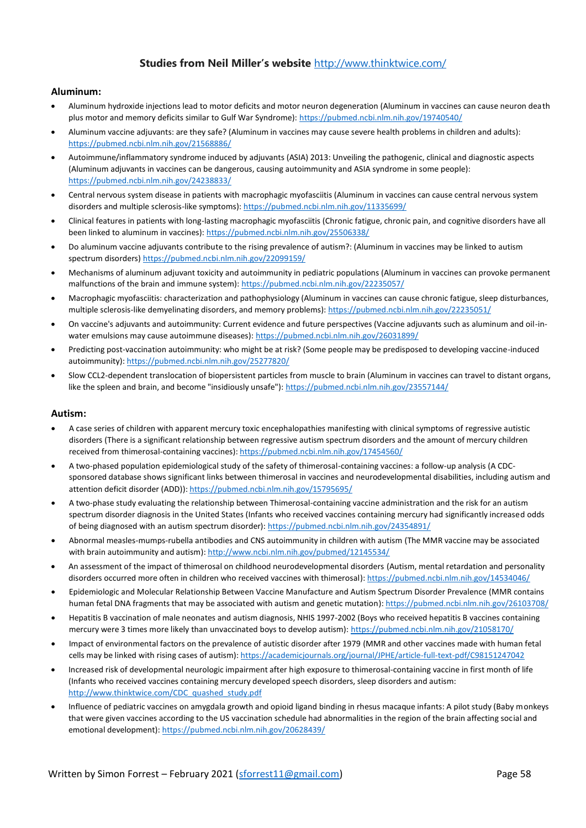# **Studies from Neil Miller's website** <http://www.thinktwice.com/>

## **Aluminum:**

- Aluminum hydroxide injections lead to motor deficits and motor neuron degeneration (Aluminum in vaccines can cause neuron death plus motor and memory deficits similar to Gulf War Syndrome):<https://pubmed.ncbi.nlm.nih.gov/19740540/>
- Aluminum vaccine adjuvants: are they safe? (Aluminum in vaccines may cause severe health problems in children and adults): <https://pubmed.ncbi.nlm.nih.gov/21568886/>
- Autoimmune/inflammatory syndrome induced by adjuvants (ASIA) 2013: Unveiling the pathogenic, clinical and diagnostic aspects (Aluminum adjuvants in vaccines can be dangerous, causing autoimmunity and ASIA syndrome in some people): <https://pubmed.ncbi.nlm.nih.gov/24238833/>
- Central nervous system disease in patients with macrophagic myofasciitis (Aluminum in vaccines can cause central nervous system disorders and multiple sclerosis-like symptoms)[: https://pubmed.ncbi.nlm.nih.gov/11335699/](https://pubmed.ncbi.nlm.nih.gov/11335699/)
- Clinical features in patients with long-lasting macrophagic myofasciitis (Chronic fatigue, chronic pain, and cognitive disorders have all been linked to aluminum in vaccines):<https://pubmed.ncbi.nlm.nih.gov/25506338/>
- Do aluminum vaccine adjuvants contribute to the rising prevalence of autism?: (Aluminum in vaccines may be linked to autism spectrum disorders[\) https://pubmed.ncbi.nlm.nih.gov/22099159/](https://pubmed.ncbi.nlm.nih.gov/22099159/)
- Mechanisms of aluminum adjuvant toxicity and autoimmunity in pediatric populations (Aluminum in vaccines can provoke permanent malfunctions of the brain and immune system)[: https://pubmed.ncbi.nlm.nih.gov/22235057/](https://pubmed.ncbi.nlm.nih.gov/22235057/)
- Macrophagic myofasciitis: characterization and pathophysiology (Aluminum in vaccines can cause chronic fatigue, sleep disturbances, multiple sclerosis-like demyelinating disorders, and memory problems)[: https://pubmed.ncbi.nlm.nih.gov/22235051/](https://pubmed.ncbi.nlm.nih.gov/22235051/)
- On vaccine's adjuvants and autoimmunity: Current evidence and future perspectives (Vaccine adjuvants such as aluminum and oil-inwater emulsions may cause autoimmune diseases)[: https://pubmed.ncbi.nlm.nih.gov/26031899/](https://pubmed.ncbi.nlm.nih.gov/26031899/)
- Predicting post-vaccination autoimmunity: who might be at risk? (Some people may be predisposed to developing vaccine-induced autoimmunity)[: https://pubmed.ncbi.nlm.nih.gov/25277820/](https://pubmed.ncbi.nlm.nih.gov/25277820/)
- Slow CCL2-dependent translocation of biopersistent particles from muscle to brain (Aluminum in vaccines can travel to distant organs, like the spleen and brain, and become "insidiously unsafe")[: https://pubmed.ncbi.nlm.nih.gov/23557144/](https://pubmed.ncbi.nlm.nih.gov/23557144/)

## **Autism:**

- A case series of children with apparent mercury toxic encephalopathies manifesting with clinical symptoms of regressive autistic disorders (There is a significant relationship between regressive autism spectrum disorders and the amount of mercury children received from thimerosal-containing vaccines)[: https://pubmed.ncbi.nlm.nih.gov/17454560/](https://pubmed.ncbi.nlm.nih.gov/17454560/)
- A two-phased population epidemiological study of the safety of thimerosal-containing vaccines: a follow-up analysis (A CDCsponsored database shows significant links between thimerosal in vaccines and neurodevelopmental disabilities, including autism and attention deficit disorder (ADD))[: https://pubmed.ncbi.nlm.nih.gov/15795695/](https://pubmed.ncbi.nlm.nih.gov/15795695/)
- A two-phase study evaluating the relationship between Thimerosal-containing vaccine administration and the risk for an autism spectrum disorder diagnosis in the United States (Infants who received vaccines containing mercury had significantly increased odds of being diagnosed with an autism spectrum disorder):<https://pubmed.ncbi.nlm.nih.gov/24354891/>
- Abnormal measles-mumps-rubella antibodies and CNS autoimmunity in children with autism (The MMR vaccine may be associated with brain autoimmunity and autism)[: http://www.ncbi.nlm.nih.gov/pubmed/12145534/](http://www.ncbi.nlm.nih.gov/pubmed/12145534/)
- An assessment of the impact of thimerosal on childhood neurodevelopmental disorders (Autism, mental retardation and personality disorders occurred more often in children who received vaccines with thimerosal)[: https://pubmed.ncbi.nlm.nih.gov/14534046/](https://pubmed.ncbi.nlm.nih.gov/14534046/)
- Epidemiologic and Molecular Relationship Between Vaccine Manufacture and Autism Spectrum Disorder Prevalence (MMR contains human fetal DNA fragments that may be associated with autism and genetic mutation)[: https://pubmed.ncbi.nlm.nih.gov/26103708/](https://pubmed.ncbi.nlm.nih.gov/26103708/)
- Hepatitis B vaccination of male neonates and autism diagnosis, NHIS 1997-2002 (Boys who received hepatitis B vaccines containing mercury were 3 times more likely than unvaccinated boys to develop autism)[: https://pubmed.ncbi.nlm.nih.gov/21058170/](https://pubmed.ncbi.nlm.nih.gov/21058170/)
- Impact of environmental factors on the prevalence of autistic disorder after 1979 (MMR and other vaccines made with human fetal cells may be linked with rising cases of autism)[: https://academicjournals.org/journal/JPHE/article-full-text-pdf/C98151247042](https://academicjournals.org/journal/JPHE/article-full-text-pdf/C98151247042)
- Increased risk of developmental neurologic impairment after high exposure to thimerosal-containing vaccine in first month of life (Infants who received vaccines containing mercury developed speech disorders, sleep disorders and autism: [http://www.thinktwice.com/CDC\\_quashed\\_study.pdf](http://www.thinktwice.com/CDC_quashed_study.pdf)
- Influence of pediatric vaccines on amygdala growth and opioid ligand binding in rhesus macaque infants: A pilot study (Baby monkeys that were given vaccines according to the US vaccination schedule had abnormalities in the region of the brain affecting social and emotional development):<https://pubmed.ncbi.nlm.nih.gov/20628439/>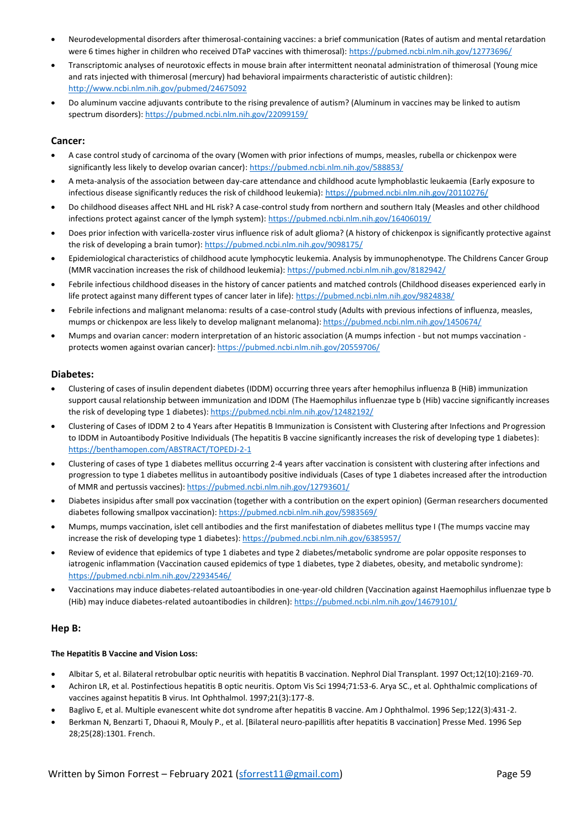- Neurodevelopmental disorders after thimerosal-containing vaccines: a brief communication (Rates of autism and mental retardation were 6 times higher in children who received DTaP vaccines with thimerosal):<https://pubmed.ncbi.nlm.nih.gov/12773696/>
- Transcriptomic analyses of neurotoxic effects in mouse brain after intermittent neonatal administration of thimerosal (Young mice and rats injected with thimerosal (mercury) had behavioral impairments characteristic of autistic children): <http://www.ncbi.nlm.nih.gov/pubmed/24675092>
- Do aluminum vaccine adjuvants contribute to the rising prevalence of autism? (Aluminum in vaccines may be linked to autism spectrum disorders)[: https://pubmed.ncbi.nlm.nih.gov/22099159/](https://pubmed.ncbi.nlm.nih.gov/22099159/)

## **Cancer:**

- A case control study of carcinoma of the ovary (Women with prior infections of mumps, measles, rubella or chickenpox were significantly less likely to develop ovarian cancer)[: https://pubmed.ncbi.nlm.nih.gov/588853/](https://pubmed.ncbi.nlm.nih.gov/588853/)
- A meta-analysis of the association between day-care attendance and childhood acute lymphoblastic leukaemia (Early exposure to infectious disease significantly reduces the risk of childhood leukemia): <https://pubmed.ncbi.nlm.nih.gov/20110276/>
- Do childhood diseases affect NHL and HL risk? A case-control study from northern and southern Italy (Measles and other childhood infections protect against cancer of the lymph system)[: https://pubmed.ncbi.nlm.nih.gov/16406019/](https://pubmed.ncbi.nlm.nih.gov/16406019/)
- Does prior infection with varicella-zoster virus influence risk of adult glioma? (A history of chickenpox is significantly protective against the risk of developing a brain tumor):<https://pubmed.ncbi.nlm.nih.gov/9098175/>
- Epidemiological characteristics of childhood acute lymphocytic leukemia. Analysis by immunophenotype. The Childrens Cancer Group (MMR vaccination increases the risk of childhood leukemia):<https://pubmed.ncbi.nlm.nih.gov/8182942/>
- Febrile infectious childhood diseases in the history of cancer patients and matched controls (Childhood diseases experienced early in life protect against many different types of cancer later in life):<https://pubmed.ncbi.nlm.nih.gov/9824838/>
- Febrile infections and malignant melanoma: results of a case-control study (Adults with previous infections of influenza, measles, mumps or chickenpox are less likely to develop malignant melanoma)[: https://pubmed.ncbi.nlm.nih.gov/1450674/](https://pubmed.ncbi.nlm.nih.gov/1450674/)
- Mumps and ovarian cancer: modern interpretation of an historic association (A mumps infection but not mumps vaccination protects women against ovarian cancer): https://pubmed.ncbi.nlm.nih.gov/20559706/

## **Diabetes:**

- Clustering of cases of insulin dependent diabetes (IDDM) occurring three years after hemophilus influenza B (HiB) immunization support causal relationship between immunization and IDDM (The Haemophilus influenzae type b (Hib) vaccine significantly increases the risk of developing type 1 diabetes)[: https://pubmed.ncbi.nlm.nih.gov/12482192/](https://pubmed.ncbi.nlm.nih.gov/12482192/)
- Clustering of Cases of IDDM 2 to 4 Years after Hepatitis B Immunization is Consistent with Clustering after Infections and Progression to IDDM in Autoantibody Positive Individuals (The hepatitis B vaccine significantly increases the risk of developing type 1 diabetes): <https://benthamopen.com/ABSTRACT/TOPEDJ-2-1>
- Clustering of cases of type 1 diabetes mellitus occurring 2-4 years after vaccination is consistent with clustering after infections and progression to type 1 diabetes mellitus in autoantibody positive individuals (Cases of type 1 diabetes increased after the introduction of MMR and pertussis vaccines)[: https://pubmed.ncbi.nlm.nih.gov/12793601/](https://pubmed.ncbi.nlm.nih.gov/12793601/)
- Diabetes insipidus after small pox vaccination (together with a contribution on the expert opinion) (German researchers documented diabetes following smallpox vaccination)[: https://pubmed.ncbi.nlm.nih.gov/5983569/](https://pubmed.ncbi.nlm.nih.gov/5983569/)
- Mumps, mumps vaccination, islet cell antibodies and the first manifestation of diabetes mellitus type I (The mumps vaccine may increase the risk of developing type 1 diabetes)[: https://pubmed.ncbi.nlm.nih.gov/6385957/](https://pubmed.ncbi.nlm.nih.gov/6385957/)
- Review of evidence that epidemics of type 1 diabetes and type 2 diabetes/metabolic syndrome are polar opposite responses to iatrogenic inflammation (Vaccination caused epidemics of type 1 diabetes, type 2 diabetes, obesity, and metabolic syndrome): <https://pubmed.ncbi.nlm.nih.gov/22934546/>
- Vaccinations may induce diabetes-related autoantibodies in one-year-old children (Vaccination against Haemophilus influenzae type b (Hib) may induce diabetes-related autoantibodies in children):<https://pubmed.ncbi.nlm.nih.gov/14679101/>

## **Hep B:**

## **The Hepatitis B Vaccine and Vision Loss:**

- Albitar S, et al. Bilateral retrobulbar optic neuritis with hepatitis B vaccination. Nephrol Dial Transplant. 1997 Oct;12(10):2169-70.
- Achiron LR, et al. Postinfectious hepatitis B optic neuritis. Optom Vis Sci 1994;71:53-6. Arya SC., et al. Ophthalmic complications of vaccines against hepatitis B virus. Int Ophthalmol. 1997;21(3):177-8.
- Baglivo E, et al. Multiple evanescent white dot syndrome after hepatitis B vaccine. Am J Ophthalmol. 1996 Sep;122(3):431-2.
- Berkman N, Benzarti T, Dhaoui R, Mouly P., et al. [Bilateral neuro-papillitis after hepatitis B vaccination] Presse Med. 1996 Sep 28;25(28):1301. French.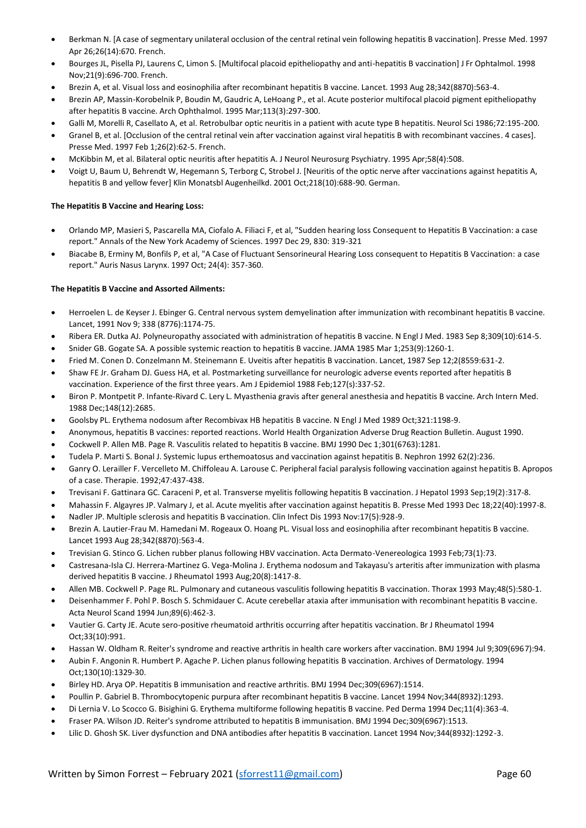- Berkman N. [A case of segmentary unilateral occlusion of the central retinal vein following hepatitis B vaccination]. Presse Med. 1997 Apr 26;26(14):670. French.
- Bourges JL, Pisella PJ, Laurens C, Limon S. [Multifocal placoid epitheliopathy and anti-hepatitis B vaccination] J Fr Ophtalmol. 1998 Nov;21(9):696-700. French.
- Brezin A, et al. Visual loss and eosinophilia after recombinant hepatitis B vaccine. Lancet. 1993 Aug 28;342(8870):563-4.
- Brezin AP, Massin-Korobelnik P, Boudin M, Gaudric A, LeHoang P., et al. Acute posterior multifocal placoid pigment epitheliopathy after hepatitis B vaccine. Arch Ophthalmol. 1995 Mar;113(3):297-300.
- Galli M, Morelli R, Casellato A, et al. Retrobulbar optic neuritis in a patient with acute type B hepatitis. Neurol Sci 1986;72:195-200.
- Granel B, et al. [Occlusion of the central retinal vein after vaccination against viral hepatitis B with recombinant vaccines. 4 cases]. Presse Med. 1997 Feb 1;26(2):62-5. French.
- McKibbin M, et al. Bilateral optic neuritis after hepatitis A. J Neurol Neurosurg Psychiatry. 1995 Apr;58(4):508.
- Voigt U, Baum U, Behrendt W, Hegemann S, Terborg C, Strobel J. [Neuritis of the optic nerve after vaccinations against hepatitis A, hepatitis B and yellow fever] Klin Monatsbl Augenheilkd. 2001 Oct;218(10):688-90. German.

## **The Hepatitis B Vaccine and Hearing Loss:**

- Orlando MP, Masieri S, Pascarella MA, Ciofalo A. Filiaci F, et al, "Sudden hearing loss Consequent to Hepatitis B Vaccination: a case report." Annals of the New York Academy of Sciences. 1997 Dec 29, 830: 319-321
- Biacabe B, Erminy M, Bonfils P, et al, "A Case of Fluctuant Sensorineural Hearing Loss consequent to Hepatitis B Vaccination: a case report." Auris Nasus Larynx. 1997 Oct; 24(4): 357-360.

## **The Hepatitis B Vaccine and Assorted Ailments:**

- Herroelen L. de Keyser J. Ebinger G. Central nervous system demyelination after immunization with recombinant hepatitis B vaccine. Lancet, 1991 Nov 9; 338 (8776):1174-75.
- Ribera ER. Dutka AJ. Polyneuropathy associated with administration of hepatitis B vaccine. N Engl J Med. 1983 Sep 8;309(10):614-5.
- Snider GB. Gogate SA. A possible systemic reaction to hepatitis B vaccine. JAMA 1985 Mar 1;253(9):1260-1.
- Fried M. Conen D. Conzelmann M. Steinemann E. Uveitis after hepatitis B vaccination. Lancet, 1987 Sep 12;2(8559:631-2.
- Shaw FE Jr. Graham DJ. Guess HA, et al. Postmarketing surveillance for neurologic adverse events reported after hepatitis B vaccination. Experience of the first three years. Am J Epidemiol 1988 Feb;127(s):337-52.
- Biron P. Montpetit P. Infante-Rivard C. Lery L. Myasthenia gravis after general anesthesia and hepatitis B vaccine. Arch Intern Med. 1988 Dec;148(12):2685.
- Goolsby PL. Erythema nodosum after Recombivax HB hepatitis B vaccine. N Engl J Med 1989 Oct;321:1198-9.
- Anonymous, hepatitis B vaccines: reported reactions. World Health Organization Adverse Drug Reaction Bulletin. August 1990.
- Cockwell P. Allen MB. Page R. Vasculitis related to hepatitis B vaccine. BMJ 1990 Dec 1;301(6763):1281.
- Tudela P. Marti S. Bonal J. Systemic lupus erthemoatosus and vaccination against hepatitis B. Nephron 1992 62(2):236.
- Ganry O. Lerailler F. Vercelleto M. Chiffoleau A. Larouse C. Peripheral facial paralysis following vaccination against hepatitis B. Apropos of a case. Therapie. 1992;47:437-438.
- Trevisani F. Gattinara GC. Caraceni P, et al. Transverse myelitis following hepatitis B vaccination. J Hepatol 1993 Sep;19(2):317-8.
- Mahassin F. Algayres JP. Valmary J, et al. Acute myelitis after vaccination against hepatitis B. Presse Med 1993 Dec 18;22(40):1997-8.
- Nadler JP. Multiple sclerosis and hepatitis B vaccination. Clin Infect Dis 1993 Nov:17(5):928-9.
- Brezin A. Lautier-Frau M. Hamedani M. Rogeaux O. Hoang PL. Visual loss and eosinophilia after recombinant hepatitis B vaccine. Lancet 1993 Aug 28;342(8870):563-4.
- Trevisian G. Stinco G. Lichen rubber planus following HBV vaccination. Acta Dermato-Venereologica 1993 Feb;73(1):73.
- Castresana-Isla CJ. Herrera-Martinez G. Vega-Molina J. Erythema nodosum and Takayasu's arteritis after immunization with plasma derived hepatitis B vaccine. J Rheumatol 1993 Aug;20(8):1417-8.
- Allen MB. Cockwell P. Page RL. Pulmonary and cutaneous vasculitis following hepatitis B vaccination. Thorax 1993 May;48(5):580-1.
- Deisenhammer F. Pohl P. Bosch S. Schmidauer C. Acute cerebellar ataxia after immunisation with recombinant hepatitis B vaccine. Acta Neurol Scand 1994 Jun;89(6):462-3.
- Vautier G. Carty JE. Acute sero-positive rheumatoid arthritis occurring after hepatitis vaccination. Br J Rheumatol 1994 Oct;33(10):991.
- Hassan W. Oldham R. Reiter's syndrome and reactive arthritis in health care workers after vaccination. BMJ 1994 Jul 9;309(6967):94.
- Aubin F. Angonin R. Humbert P. Agache P. Lichen planus following hepatitis B vaccination. Archives of Dermatology. 1994 Oct;130(10):1329-30.
- Birley HD. Arya OP. Hepatitis B immunisation and reactive arthritis. BMJ 1994 Dec;309(6967):1514.
- Poullin P. Gabriel B. Thrombocytopenic purpura after recombinant hepatitis B vaccine. Lancet 1994 Nov;344(8932):1293.
- Di Lernia V. Lo Scocco G. Bisighini G. Erythema multiforme following hepatitis B vaccine. Ped Derma 1994 Dec;11(4):363-4.
- Fraser PA. Wilson JD. Reiter's syndrome attributed to hepatitis B immunisation. BMJ 1994 Dec;309(6967):1513.
- Lilic D. Ghosh SK. Liver dysfunction and DNA antibodies after hepatitis B vaccination. Lancet 1994 Nov;344(8932):1292-3.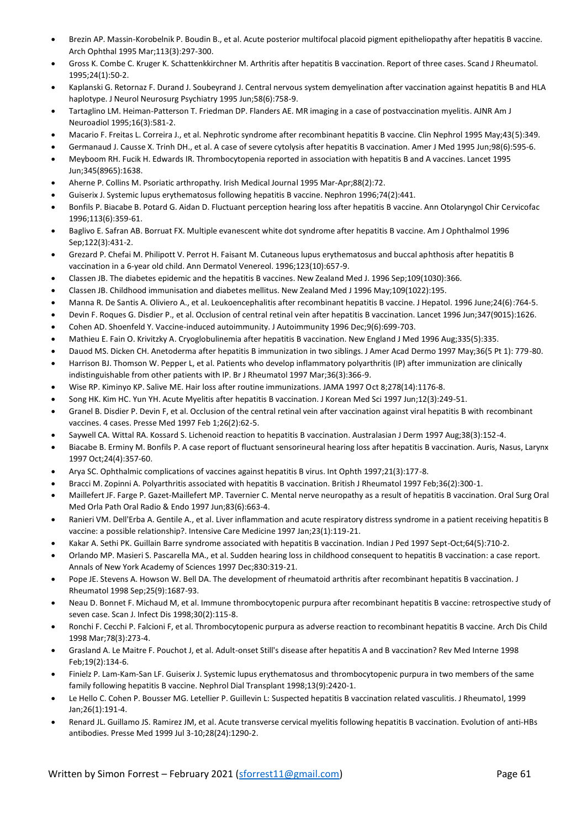- Brezin AP. Massin-Korobelnik P. Boudin B., et al. Acute posterior multifocal placoid pigment epitheliopathy after hepatitis B vaccine. Arch Ophthal 1995 Mar;113(3):297-300.
- Gross K. Combe C. Kruger K. Schattenkkirchner M. Arthritis after hepatitis B vaccination. Report of three cases. Scand J Rheumatol. 1995;24(1):50-2.
- Kaplanski G. Retornaz F. Durand J. Soubeyrand J. Central nervous system demyelination after vaccination against hepatitis B and HLA haplotype. J Neurol Neurosurg Psychiatry 1995 Jun;58(6):758-9.
- Tartaglino LM. Heiman-Patterson T. Friedman DP. Flanders AE. MR imaging in a case of postvaccination myelitis. AJNR Am J Neuroadiol 1995;16(3):581-2.
- Macario F. Freitas L. Correira J., et al. Nephrotic syndrome after recombinant hepatitis B vaccine. Clin Nephrol 1995 May;43(5):349.
- Germanaud J. Causse X. Trinh DH., et al. A case of severe cytolysis after hepatitis B vaccination. Amer J Med 1995 Jun;98(6):595-6.
- Meyboom RH. Fucik H. Edwards IR. Thrombocytopenia reported in association with hepatitis B and A vaccines. Lancet 1995 Jun;345(8965):1638.
- Aherne P. Collins M. Psoriatic arthropathy. Irish Medical Journal 1995 Mar-Apr;88(2):72.
- Guiserix J. Systemic lupus erythematosus following hepatitis B vaccine. Nephron 1996;74(2):441.
- Bonfils P. Biacabe B. Potard G. Aidan D. Fluctuant perception hearing loss after hepatitis B vaccine. Ann Otolaryngol Chir Cervicofac 1996;113(6):359-61.
- Baglivo E. Safran AB. Borruat FX. Multiple evanescent white dot syndrome after hepatitis B vaccine. Am J Ophthalmol 1996 Sep;122(3):431-2.
- Grezard P. Chefai M. Philipott V. Perrot H. Faisant M. Cutaneous lupus erythematosus and buccal aphthosis after hepatitis B vaccination in a 6-year old child. Ann Dermatol Venereol. 1996;123(10):657-9.
- Classen JB. The diabetes epidemic and the hepatitis B vaccines. New Zealand Med J. 1996 Sep;109(1030):366.
- Classen JB. Childhood immunisation and diabetes mellitus. New Zealand Med J 1996 May;109(1022):195.
- Manna R. De Santis A. Oliviero A., et al. Leukoencephalitis after recombinant hepatitis B vaccine. J Hepatol. 1996 June;24(6):764-5.
- Devin F. Roques G. Disdier P., et al. Occlusion of central retinal vein after hepatitis B vaccination. Lancet 1996 Jun;347(9015):1626.
- Cohen AD. Shoenfeld Y. Vaccine-induced autoimmunity. J Autoimmunity 1996 Dec;9(6):699-703.
- Mathieu E. Fain O. Krivitzky A. Cryoglobulinemia after hepatitis B vaccination. New England J Med 1996 Aug;335(5):335.
- Dauod MS. Dicken CH. Anetoderma after hepatitis B immunization in two siblings. J Amer Acad Dermo 1997 May;36(5 Pt 1): 779-80.
- Harrison BJ. Thomson W. Pepper L, et al. Patients who develop inflammatory polyarthritis (IP) after immunization are clinically indistinguishable from other patients with IP. Br J Rheumatol 1997 Mar;36(3):366-9.
- Wise RP. Kiminyo KP. Salive ME. Hair loss after routine immunizations. JAMA 1997 Oct 8;278(14):1176-8.
- Song HK. Kim HC. Yun YH. Acute Myelitis after hepatitis B vaccination. J Korean Med Sci 1997 Jun;12(3):249-51.
- Granel B. Disdier P. Devin F, et al. Occlusion of the central retinal vein after vaccination against viral hepatitis B with recombinant vaccines. 4 cases. Presse Med 1997 Feb 1;26(2):62-5.
- Saywell CA. Wittal RA. Kossard S. Lichenoid reaction to hepatitis B vaccination. Australasian J Derm 1997 Aug;38(3):152-4.
- Biacabe B. Erminy M. Bonfils P. A case report of fluctuant sensorineural hearing loss after hepatitis B vaccination. Auris, Nasus, Larynx 1997 Oct;24(4):357-60.
- Arya SC. Ophthalmic complications of vaccines against hepatitis B virus. Int Ophth 1997;21(3):177-8.
- Bracci M. Zopinni A. Polyarthritis associated with hepatitis B vaccination. British J Rheumatol 1997 Feb;36(2):300-1.
- Maillefert JF. Farge P. Gazet-Maillefert MP. Tavernier C. Mental nerve neuropathy as a result of hepatitis B vaccination. Oral Surg Oral Med Orla Path Oral Radio & Endo 1997 Jun;83(6):663-4.
- Ranieri VM. Dell'Erba A. Gentile A., et al. Liver inflammation and acute respiratory distress syndrome in a patient receiving hepatitis B vaccine: a possible relationship?. Intensive Care Medicine 1997 Jan;23(1):119-21.
- Kakar A. Sethi PK. Guillain Barre syndrome associated with hepatitis B vaccination. Indian J Ped 1997 Sept-Oct;64(5):710-2.
- Orlando MP. Masieri S. Pascarella MA., et al. Sudden hearing loss in childhood consequent to hepatitis B vaccination: a case report. Annals of New York Academy of Sciences 1997 Dec;830:319-21.
- Pope JE. Stevens A. Howson W. Bell DA. The development of rheumatoid arthritis after recombinant hepatitis B vaccination. J Rheumatol 1998 Sep;25(9):1687-93.
- Neau D. Bonnet F. Michaud M, et al. Immune thrombocytopenic purpura after recombinant hepatitis B vaccine: retrospective study of seven case. Scan J. Infect Dis 1998;30(2):115-8.
- Ronchi F. Cecchi P. Falcioni F, et al. Thrombocytopenic purpura as adverse reaction to recombinant hepatitis B vaccine. Arch Dis Child 1998 Mar;78(3):273-4.
- Grasland A. Le Maitre F. Pouchot J, et al. Adult-onset Still's disease after hepatitis A and B vaccination? Rev Med Interne 1998 Feb;19(2):134-6.
- Finielz P. Lam-Kam-San LF. Guiserix J. Systemic lupus erythematosus and thrombocytopenic purpura in two members of the same family following hepatitis B vaccine. Nephrol Dial Transplant 1998;13(9):2420-1.
- Le Hello C. Cohen P. Bousser MG. Letellier P. Guillevin L: Suspected hepatitis B vaccination related vasculitis. J Rheumatol, 1999 Jan;26(1):191-4.
- Renard JL. Guillamo JS. Ramirez JM, et al. Acute transverse cervical myelitis following hepatitis B vaccination. Evolution of anti-HBs antibodies. Presse Med 1999 Jul 3-10;28(24):1290-2.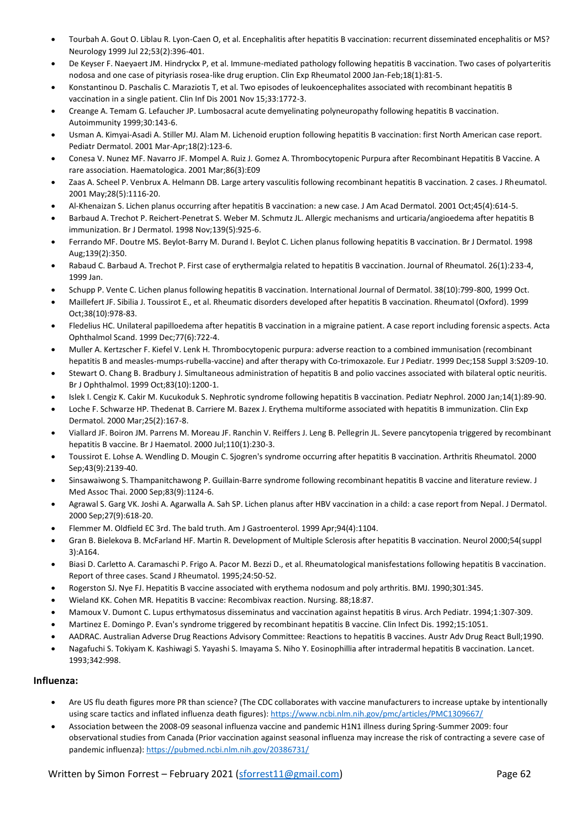- Tourbah A. Gout O. Liblau R. Lyon-Caen O, et al. Encephalitis after hepatitis B vaccination: recurrent disseminated encephalitis or MS? Neurology 1999 Jul 22;53(2):396-401.
- De Keyser F. Naeyaert JM. Hindryckx P, et al. Immune-mediated pathology following hepatitis B vaccination. Two cases of polyarteritis nodosa and one case of pityriasis rosea-like drug eruption. Clin Exp Rheumatol 2000 Jan-Feb;18(1):81-5.
- Konstantinou D. Paschalis C. Maraziotis T, et al. Two episodes of leukoencephalites associated with recombinant hepatitis B vaccination in a single patient. Clin Inf Dis 2001 Nov 15;33:1772-3.
- Creange A. Temam G. Lefaucher JP. Lumbosacral acute demyelinating polyneuropathy following hepatitis B vaccination. Autoimmunity 1999;30:143-6.
- Usman A. Kimyai-Asadi A. Stiller MJ. Alam M. Lichenoid eruption following hepatitis B vaccination: first North American case report. Pediatr Dermatol. 2001 Mar-Apr;18(2):123-6.
- Conesa V. Nunez MF. Navarro JF. Mompel A. Ruiz J. Gomez A. Thrombocytopenic Purpura after Recombinant Hepatitis B Vaccine. A rare association. Haematologica. 2001 Mar;86(3):E09
- Zaas A. Scheel P. Venbrux A. Helmann DB. Large artery vasculitis following recombinant hepatitis B vaccination. 2 cases. J Rheumatol. 2001 May;28(5):1116-20.
- Al-Khenaizan S. Lichen planus occurring after hepatitis B vaccination: a new case. J Am Acad Dermatol. 2001 Oct;45(4):614-5.
- Barbaud A. Trechot P. Reichert-Penetrat S. Weber M. Schmutz JL. Allergic mechanisms and urticaria/angioedema after hepatitis B immunization. Br J Dermatol. 1998 Nov;139(5):925-6.
- Ferrando MF. Doutre MS. Beylot-Barry M. Durand I. Beylot C. Lichen planus following hepatitis B vaccination. Br J Dermatol. 1998 Aug;139(2):350.
- Rabaud C. Barbaud A. Trechot P. First case of erythermalgia related to hepatitis B vaccination. Journal of Rheumatol. 26(1):233-4, 1999 Jan.
- Schupp P. Vente C. Lichen planus following hepatitis B vaccination. International Journal of Dermatol. 38(10):799-800, 1999 Oct.
- Maillefert JF. Sibilia J. Toussirot E., et al. Rheumatic disorders developed after hepatitis B vaccination. Rheumatol (Oxford). 1999 Oct;38(10):978-83.
- Fledelius HC. Unilateral papilloedema after hepatitis B vaccination in a migraine patient. A case report including forensic aspects. Acta Ophthalmol Scand. 1999 Dec;77(6):722-4.
- Muller A. Kertzscher F. Kiefel V. Lenk H. Thrombocytopenic purpura: adverse reaction to a combined immunisation (recombinant hepatitis B and measles-mumps-rubella-vaccine) and after therapy with Co-trimoxazole. Eur J Pediatr. 1999 Dec;158 Suppl 3:S209-10.
- Stewart O. Chang B. Bradbury J. Simultaneous administration of hepatitis B and polio vaccines associated with bilateral optic neuritis. Br J Ophthalmol. 1999 Oct;83(10):1200-1.
- Islek I. Cengiz K. Cakir M. Kucukoduk S. Nephrotic syndrome following hepatitis B vaccination. Pediatr Nephrol. 2000 Jan;14(1):89-90.
- Loche F. Schwarze HP. Thedenat B. Carriere M. Bazex J. Erythema multiforme associated with hepatitis B immunization. Clin Exp Dermatol. 2000 Mar;25(2):167-8.
- Viallard JF. Boiron JM. Parrens M. Moreau JF. Ranchin V. Reiffers J. Leng B. Pellegrin JL. Severe pancytopenia triggered by recombinant hepatitis B vaccine. Br J Haematol. 2000 Jul;110(1):230-3.
- Toussirot E. Lohse A. Wendling D. Mougin C. Sjogren's syndrome occurring after hepatitis B vaccination. Arthritis Rheumatol. 2000 Sep;43(9):2139-40.
- Sinsawaiwong S. Thampanitchawong P. Guillain-Barre syndrome following recombinant hepatitis B vaccine and literature review. J Med Assoc Thai. 2000 Sep;83(9):1124-6.
- Agrawal S. Garg VK. Joshi A. Agarwalla A. Sah SP. Lichen planus after HBV vaccination in a child: a case report from Nepal. J Dermatol. 2000 Sep;27(9):618-20.
- Flemmer M. Oldfield EC 3rd. The bald truth. Am J Gastroenterol. 1999 Apr;94(4):1104.
- Gran B. Bielekova B. McFarland HF. Martin R. Development of Multiple Sclerosis after hepatitis B vaccination. Neurol 2000;54(suppl 3):A164.
- Biasi D. Carletto A. Caramaschi P. Frigo A. Pacor M. Bezzi D., et al. Rheumatological manisfestations following hepatitis B vaccination. Report of three cases. Scand J Rheumatol. 1995;24:50-52.
- Rogerston SJ. Nye FJ. Hepatitis B vaccine associated with erythema nodosum and poly arthritis. BMJ. 1990;301:345.
- Wieland KK. Cohen MR. Hepatitis B vaccine: Recombivax reaction. Nursing. 88;18:87.
- Mamoux V. Dumont C. Lupus erthymatosus disseminatus and vaccination against hepatitis B virus. Arch Pediatr. 1994;1:307-309.
- Martinez E. Domingo P. Evan's syndrome triggered by recombinant hepatitis B vaccine. Clin Infect Dis. 1992;15:1051.
- AADRAC. Australian Adverse Drug Reactions Advisory Committee: Reactions to hepatitis B vaccines. Austr Adv Drug React Bull;1990.
- Nagafuchi S. Tokiyam K. Kashiwagi S. Yayashi S. Imayama S. Niho Y. Eosinophillia after intradermal hepatitis B vaccination. Lancet. 1993;342:998.

## **Influenza:**

- Are US flu death figures more PR than science? (The CDC collaborates with vaccine manufacturers to increase uptake by intentionally using scare tactics and inflated influenza death figures): https://www.ncbi.nlm.nih.gov/pmc/articles/PMC1309667/
- Association between the 2008-09 seasonal influenza vaccine and pandemic H1N1 illness during Spring-Summer 2009: four observational studies from Canada (Prior vaccination against seasonal influenza may increase the risk of contracting a severe case of pandemic influenza)[: https://pubmed.ncbi.nlm.nih.gov/20386731/](https://pubmed.ncbi.nlm.nih.gov/20386731/)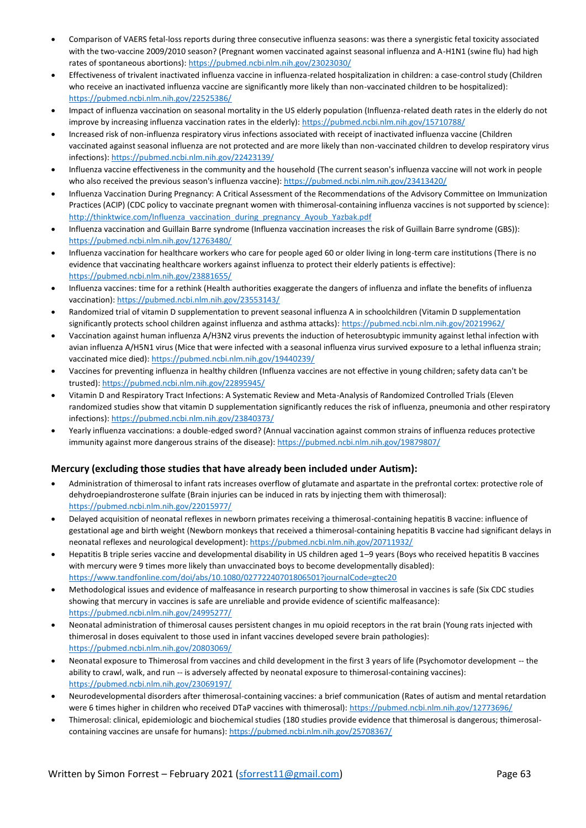- Comparison of VAERS fetal-loss reports during three consecutive influenza seasons: was there a synergistic fetal toxicity associated with the two-vaccine 2009/2010 season? (Pregnant women vaccinated against seasonal influenza and A-H1N1 (swine flu) had high rates of spontaneous abortions)[: https://pubmed.ncbi.nlm.nih.gov/23023030/](https://pubmed.ncbi.nlm.nih.gov/23023030/)
- Effectiveness of trivalent inactivated influenza vaccine in influenza-related hospitalization in children: a case-control study (Children who receive an inactivated influenza vaccine are significantly more likely than non-vaccinated children to be hospitalized): <https://pubmed.ncbi.nlm.nih.gov/22525386/>
- Impact of influenza vaccination on seasonal mortality in the US elderly population (Influenza-related death rates in the elderly do not improve by increasing influenza vaccination rates in the elderly): https://pubmed.ncbi.nlm.nih.gov/15710788/
- Increased risk of non-influenza respiratory virus infections associated with receipt of inactivated influenza vaccine (Children vaccinated against seasonal influenza are not protected and are more likely than non-vaccinated children to develop respiratory virus infections)[: https://pubmed.ncbi.nlm.nih.gov/22423139/](https://pubmed.ncbi.nlm.nih.gov/22423139/)
- Influenza vaccine effectiveness in the community and the household (The current season's influenza vaccine will not work in people who also received the previous season's influenza vaccine)[: https://pubmed.ncbi.nlm.nih.gov/23413420/](https://pubmed.ncbi.nlm.nih.gov/23413420/)
- Influenza Vaccination During Pregnancy: A Critical Assessment of the Recommendations of the Advisory Committee on Immunization Practices (ACIP) (CDC policy to vaccinate pregnant women with thimerosal-containing influenza vaccines is not supported by science): [http://thinktwice.com/Influenza\\_vaccination\\_during\\_pregnancy\\_Ayoub\\_Yazbak.pdf](http://thinktwice.com/Influenza_vaccination_during_pregnancy_Ayoub_Yazbak.pdf)
- Influenza vaccination and Guillain Barre syndrome (Influenza vaccination increases the risk of Guillain Barre syndrome (GBS)): <https://pubmed.ncbi.nlm.nih.gov/12763480/>
- Influenza vaccination for healthcare workers who care for people aged 60 or older living in long-term care institutions (There is no evidence that vaccinating healthcare workers against influenza to protect their elderly patients is effective): <https://pubmed.ncbi.nlm.nih.gov/23881655/>
- Influenza vaccines: time for a rethink (Health authorities exaggerate the dangers of influenza and inflate the benefits of influenza vaccination):<https://pubmed.ncbi.nlm.nih.gov/23553143/>
- Randomized trial of vitamin D supplementation to prevent seasonal influenza A in schoolchildren (Vitamin D supplementation significantly protects school children against influenza and asthma attacks)[: https://pubmed.ncbi.nlm.nih.gov/20219962/](https://pubmed.ncbi.nlm.nih.gov/20219962/)
- Vaccination against human influenza A/H3N2 virus prevents the induction of heterosubtypic immunity against lethal infection with avian influenza A/H5N1 virus (Mice that were infected with a seasonal influenza virus survived exposure to a lethal influenza strain; vaccinated mice died):<https://pubmed.ncbi.nlm.nih.gov/19440239/>
- Vaccines for preventing influenza in healthy children (Influenza vaccines are not effective in young children; safety data can't be trusted):<https://pubmed.ncbi.nlm.nih.gov/22895945/>
- Vitamin D and Respiratory Tract Infections: A Systematic Review and Meta-Analysis of Randomized Controlled Trials (Eleven randomized studies show that vitamin D supplementation significantly reduces the risk of influenza, pneumonia and other respiratory infections)[: https://pubmed.ncbi.nlm.nih.gov/23840373/](https://pubmed.ncbi.nlm.nih.gov/23840373/)
- Yearly influenza vaccinations: a double-edged sword? (Annual vaccination against common strains of influenza reduces protective immunity against more dangerous strains of the disease):<https://pubmed.ncbi.nlm.nih.gov/19879807/>

## **Mercury (excluding those studies that have already been included under Autism):**

- Administration of thimerosal to infant rats increases overflow of glutamate and aspartate in the prefrontal cortex: protective role of dehydroepiandrosterone sulfate (Brain injuries can be induced in rats by injecting them with thimerosal): <https://pubmed.ncbi.nlm.nih.gov/22015977/>
- Delayed acquisition of neonatal reflexes in newborn primates receiving a thimerosal-containing hepatitis B vaccine: influence of gestational age and birth weight (Newborn monkeys that received a thimerosal-containing hepatitis B vaccine had significant delays in neonatal reflexes and neurological development)[: https://pubmed.ncbi.nlm.nih.gov/20711932/](https://pubmed.ncbi.nlm.nih.gov/20711932/)
- Hepatitis B triple series vaccine and developmental disability in US children aged 1–9 years (Boys who received hepatitis B vaccines with mercury were 9 times more likely than unvaccinated boys to become developmentally disabled): <https://www.tandfonline.com/doi/abs/10.1080/02772240701806501?journalCode=gtec20>
- Methodological issues and evidence of malfeasance in research purporting to show thimerosal in vaccines is safe (Six CDC studies showing that mercury in vaccines is safe are unreliable and provide evidence of scientific malfeasance): <https://pubmed.ncbi.nlm.nih.gov/24995277/>
- Neonatal administration of thimerosal causes persistent changes in mu opioid receptors in the rat brain (Young rats injected with thimerosal in doses equivalent to those used in infant vaccines developed severe brain pathologies): <https://pubmed.ncbi.nlm.nih.gov/20803069/>
- Neonatal exposure to Thimerosal from vaccines and child development in the first 3 years of life (Psychomotor development -- the ability to crawl, walk, and run -- is adversely affected by neonatal exposure to thimerosal-containing vaccines): <https://pubmed.ncbi.nlm.nih.gov/23069197/>
- Neurodevelopmental disorders after thimerosal-containing vaccines: a brief communication (Rates of autism and mental retardation were 6 times higher in children who received DTaP vaccines with thimerosal):<https://pubmed.ncbi.nlm.nih.gov/12773696/>
- Thimerosal: clinical, epidemiologic and biochemical studies (180 studies provide evidence that thimerosal is dangerous; thimerosalcontaining vaccines are unsafe for humans):<https://pubmed.ncbi.nlm.nih.gov/25708367/>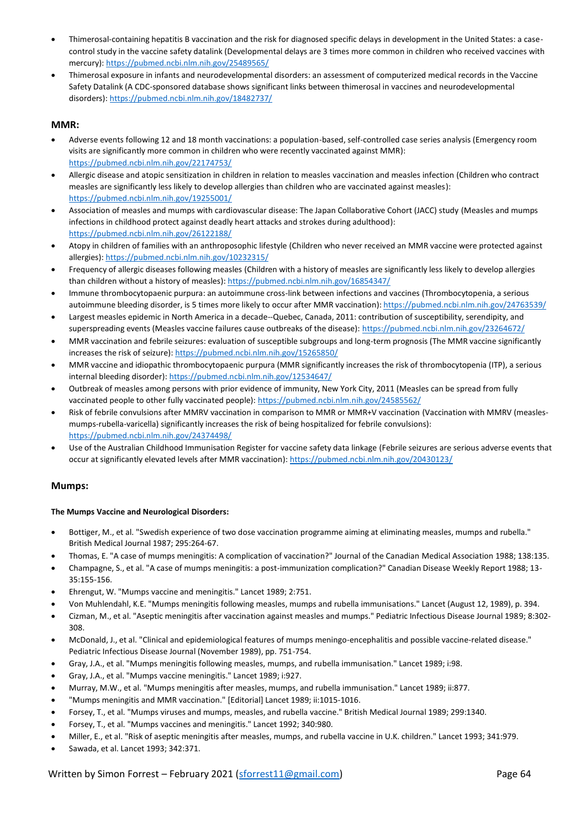- Thimerosal-containing hepatitis B vaccination and the risk for diagnosed specific delays in development in the United States: a casecontrol study in the vaccine safety datalink (Developmental delays are 3 times more common in children who received vaccines with mercury)[: https://pubmed.ncbi.nlm.nih.gov/25489565/](https://pubmed.ncbi.nlm.nih.gov/25489565/)
- Thimerosal exposure in infants and neurodevelopmental disorders: an assessment of computerized medical records in the Vaccine Safety Datalink (A CDC-sponsored database shows significant links between thimerosal in vaccines and neurodevelopmental disorders)[: https://pubmed.ncbi.nlm.nih.gov/18482737/](https://pubmed.ncbi.nlm.nih.gov/18482737/)

## **MMR:**

- Adverse events following 12 and 18 month vaccinations: a population-based, self-controlled case series analysis (Emergency room visits are significantly more common in children who were recently vaccinated against MMR): <https://pubmed.ncbi.nlm.nih.gov/22174753/>
- Allergic disease and atopic sensitization in children in relation to measles vaccination and measles infection (Children who contract measles are significantly less likely to develop allergies than children who are vaccinated against measles): <https://pubmed.ncbi.nlm.nih.gov/19255001/>
- Association of measles and mumps with cardiovascular disease: The Japan Collaborative Cohort (JACC) study (Measles and mumps infections in childhood protect against deadly heart attacks and strokes during adulthood): <https://pubmed.ncbi.nlm.nih.gov/26122188/>
- Atopy in children of families with an anthroposophic lifestyle (Children who never received an MMR vaccine were protected against allergies)[: https://pubmed.ncbi.nlm.nih.gov/10232315/](https://pubmed.ncbi.nlm.nih.gov/10232315/)
- Frequency of allergic diseases following measles (Children with a history of measles are significantly less likely to develop allergies than children without a history of measles)[: https://pubmed.ncbi.nlm.nih.gov/16854347/](https://pubmed.ncbi.nlm.nih.gov/16854347/)
- Immune thrombocytopaenic purpura: an autoimmune cross-link between infections and vaccines (Thrombocytopenia, a serious autoimmune bleeding disorder, is 5 times more likely to occur after MMR vaccination)[: https://pubmed.ncbi.nlm.nih.gov/24763539/](https://pubmed.ncbi.nlm.nih.gov/24763539/)
- Largest measles epidemic in North America in a decade--Quebec, Canada, 2011: contribution of susceptibility, serendipity, and superspreading events (Measles vaccine failures cause outbreaks of the disease):<https://pubmed.ncbi.nlm.nih.gov/23264672/>
- MMR vaccination and febrile seizures: evaluation of susceptible subgroups and long-term prognosis (The MMR vaccine significantly increases the risk of seizure)[: https://pubmed.ncbi.nlm.nih.gov/15265850/](https://pubmed.ncbi.nlm.nih.gov/15265850/)
- MMR vaccine and idiopathic thrombocytopaenic purpura (MMR significantly increases the risk of thrombocytopenia (ITP), a serious internal bleeding disorder)[: https://pubmed.ncbi.nlm.nih.gov/12534647/](https://pubmed.ncbi.nlm.nih.gov/12534647/)
- Outbreak of measles among persons with prior evidence of immunity, New York City, 2011 (Measles can be spread from fully vaccinated people to other fully vaccinated people):<https://pubmed.ncbi.nlm.nih.gov/24585562/>
- Risk of febrile convulsions after MMRV vaccination in comparison to MMR or MMR+V vaccination (Vaccination with MMRV (measlesmumps-rubella-varicella) significantly increases the risk of being hospitalized for febrile convulsions): <https://pubmed.ncbi.nlm.nih.gov/24374498/>
- Use of the Australian Childhood Immunisation Register for vaccine safety data linkage (Febrile seizures are serious adverse events that occur at significantly elevated levels after MMR vaccination)[: https://pubmed.ncbi.nlm.nih.gov/20430123/](https://pubmed.ncbi.nlm.nih.gov/20430123/)

## **Mumps:**

## **The Mumps Vaccine and Neurological Disorders:**

- Bottiger, M., et al. "Swedish experience of two dose vaccination programme aiming at eliminating measles, mumps and rubella." British Medical Journal 1987; 295:264-67.
- Thomas, E. "A case of mumps meningitis: A complication of vaccination?" Journal of the Canadian Medical Association 1988; 138:135.
- Champagne, S., et al. "A case of mumps meningitis: a post-immunization complication?" Canadian Disease Weekly Report 1988; 13- 35:155-156.
- Ehrengut, W. "Mumps vaccine and meningitis." Lancet 1989; 2:751.
- Von Muhlendahl, K.E. "Mumps meningitis following measles, mumps and rubella immunisations." Lancet (August 12, 1989), p. 394.
- Cizman, M., et al. "Aseptic meningitis after vaccination against measles and mumps." Pediatric Infectious Disease Journal 1989; 8:302- 308.
- McDonald, J., et al. "Clinical and epidemiological features of mumps meningo-encephalitis and possible vaccine-related disease." Pediatric Infectious Disease Journal (November 1989), pp. 751-754.
- Gray, J.A., et al. "Mumps meningitis following measles, mumps, and rubella immunisation." Lancet 1989; i:98.
- Gray, J.A., et al. "Mumps vaccine meningitis." Lancet 1989; i:927.
- Murray, M.W., et al. "Mumps meningitis after measles, mumps, and rubella immunisation." Lancet 1989; ii:877.
- "Mumps meningitis and MMR vaccination." [Editorial] Lancet 1989; ii:1015-1016.
- Forsey, T., et al. "Mumps viruses and mumps, measles, and rubella vaccine." British Medical Journal 1989; 299:1340.
- Forsey, T., et al. "Mumps vaccines and meningitis." Lancet 1992; 340:980.
- Miller, E., et al. "Risk of aseptic meningitis after measles, mumps, and rubella vaccine in U.K. children." Lancet 1993; 341:979.
- Sawada, et al. Lancet 1993; 342:371.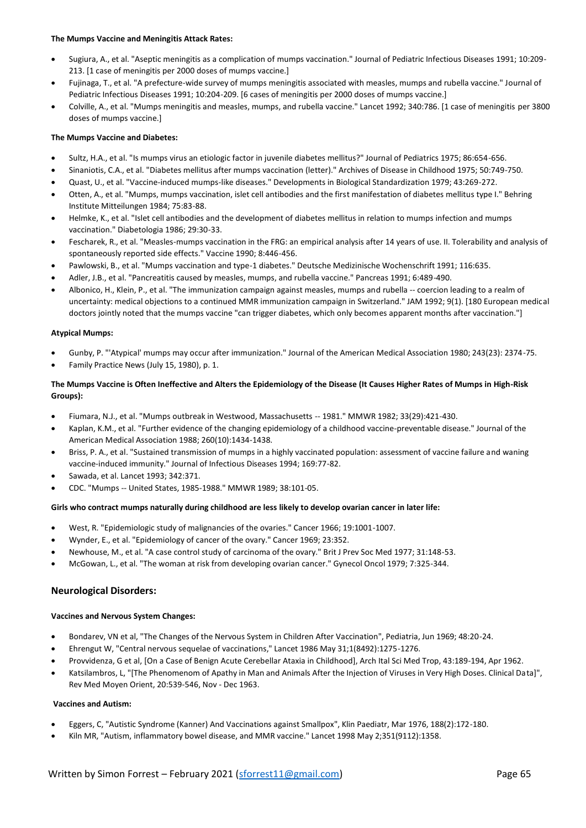## **The Mumps Vaccine and Meningitis Attack Rates:**

- Sugiura, A., et al. "Aseptic meningitis as a complication of mumps vaccination." Journal of Pediatric Infectious Diseases 1991; 10:209- 213. [1 case of meningitis per 2000 doses of mumps vaccine.]
- Fujinaga, T., et al. "A prefecture-wide survey of mumps meningitis associated with measles, mumps and rubella vaccine." Journal of Pediatric Infectious Diseases 1991; 10:204-209. [6 cases of meningitis per 2000 doses of mumps vaccine.]
- Colville, A., et al. "Mumps meningitis and measles, mumps, and rubella vaccine." Lancet 1992; 340:786. [1 case of meningitis per 3800 doses of mumps vaccine.]

## **The Mumps Vaccine and Diabetes:**

- Sultz, H.A., et al. "Is mumps virus an etiologic factor in juvenile diabetes mellitus?" Journal of Pediatrics 1975; 86:654-656.
- Sinaniotis, C.A., et al. "Diabetes mellitus after mumps vaccination (letter)." Archives of Disease in Childhood 1975; 50:749-750.
- Quast, U., et al. "Vaccine-induced mumps-like diseases." Developments in Biological Standardization 1979; 43:269-272.
- Otten, A., et al. "Mumps, mumps vaccination, islet cell antibodies and the first manifestation of diabetes mellitus type I." Behring Institute Mitteilungen 1984; 75:83-88.
- Helmke, K., et al. "Islet cell antibodies and the development of diabetes mellitus in relation to mumps infection and mumps vaccination." Diabetologia 1986; 29:30-33.
- Fescharek, R., et al. "Measles-mumps vaccination in the FRG: an empirical analysis after 14 years of use. II. Tolerability and analysis of spontaneously reported side effects." Vaccine 1990; 8:446-456.
- Pawlowski, B., et al. "Mumps vaccination and type-1 diabetes." Deutsche Medizinische Wochenschrift 1991; 116:635.
- Adler, J.B., et al. "Pancreatitis caused by measles, mumps, and rubella vaccine." Pancreas 1991; 6:489-490.
- Albonico, H., Klein, P., et al. "The immunization campaign against measles, mumps and rubella -- coercion leading to a realm of uncertainty: medical objections to a continued MMR immunization campaign in Switzerland." JAM 1992; 9(1). [180 European medical doctors jointly noted that the mumps vaccine "can trigger diabetes, which only becomes apparent months after vaccination."]

#### **Atypical Mumps:**

- Gunby, P. "'Atypical' mumps may occur after immunization." Journal of the American Medical Association 1980; 243(23): 2374-75.
- Family Practice News (July 15, 1980), p. 1.

## **The Mumps Vaccine is Often Ineffective and Alters the Epidemiology of the Disease (It Causes Higher Rates of Mumps in High-Risk Groups):**

- Fiumara, N.J., et al. "Mumps outbreak in Westwood, Massachusetts -- 1981." MMWR 1982; 33(29):421-430.
- Kaplan, K.M., et al. "Further evidence of the changing epidemiology of a childhood vaccine-preventable disease." Journal of the American Medical Association 1988; 260(10):1434-1438.
- Briss, P. A., et al. "Sustained transmission of mumps in a highly vaccinated population: assessment of vaccine failure and waning vaccine-induced immunity." Journal of Infectious Diseases 1994; 169:77-82.
- Sawada, et al. Lancet 1993; 342:371.
- CDC. "Mumps -- United States, 1985-1988." MMWR 1989; 38:101-05.

#### **Girls who contract mumps naturally during childhood are less likely to develop ovarian cancer in later life:**

- West, R. "Epidemiologic study of malignancies of the ovaries." Cancer 1966; 19:1001-1007.
- Wynder, E., et al. "Epidemiology of cancer of the ovary." Cancer 1969; 23:352.
- Newhouse, M., et al. "A case control study of carcinoma of the ovary." Brit J Prev Soc Med 1977; 31:148-53.
- McGowan, L., et al. "The woman at risk from developing ovarian cancer." Gynecol Oncol 1979; 7:325-344.

## **Neurological Disorders:**

#### **Vaccines and Nervous System Changes:**

- Bondarev, VN et al, "The Changes of the Nervous System in Children After Vaccination", Pediatria, Jun 1969; 48:20-24.
- Ehrengut W, "Central nervous sequelae of vaccinations," Lancet 1986 May 31;1(8492):1275-1276.
- Provvidenza, G et al, [On a Case of Benign Acute Cerebellar Ataxia in Childhood], Arch Ital Sci Med Trop, 43:189-194, Apr 1962.
- Katsilambros, L, "[The Phenomenom of Apathy in Man and Animals After the Injection of Viruses in Very High Doses. Clinical Data]", Rev Med Moyen Orient, 20:539-546, Nov - Dec 1963.

#### **Vaccines and Autism:**

- Eggers, C, "Autistic Syndrome (Kanner) And Vaccinations against Smallpox", Klin Paediatr, Mar 1976, 188(2):172-180.
- Kiln MR, "Autism, inflammatory bowel disease, and MMR vaccine." Lancet 1998 May 2;351(9112):1358.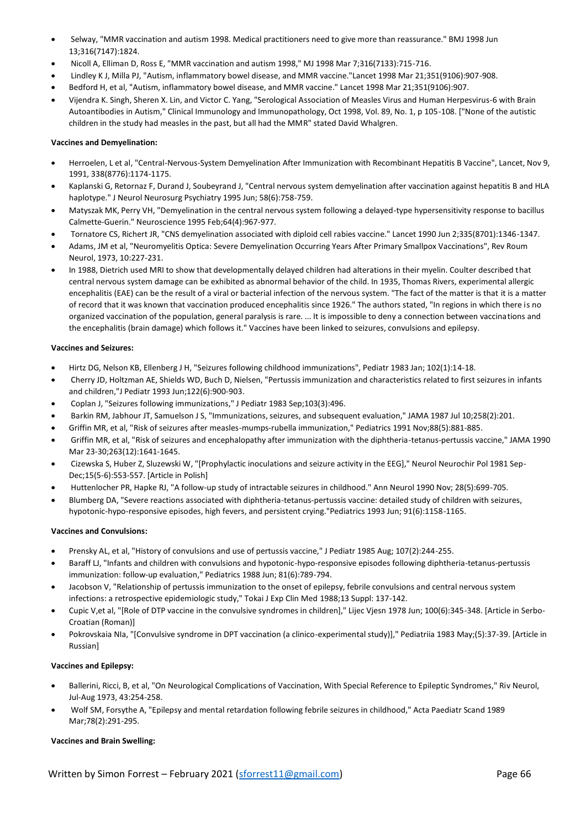- Selway, "MMR vaccination and autism 1998. Medical practitioners need to give more than reassurance." BMJ 1998 Jun 13;316(7147):1824.
- Nicoll A, Elliman D, Ross E, "MMR vaccination and autism 1998," MJ 1998 Mar 7;316(7133):715-716.
- Lindley K J, Milla PJ, "Autism, inflammatory bowel disease, and MMR vaccine."Lancet 1998 Mar 21;351(9106):907-908.
- Bedford H, et al, "Autism, inflammatory bowel disease, and MMR vaccine." Lancet 1998 Mar 21;351(9106):907.
- Vijendra K. Singh, Sheren X. Lin, and Victor C. Yang, "Serological Association of Measles Virus and Human Herpesvirus-6 with Brain Autoantibodies in Autism," Clinical Immunology and Immunopathology, Oct 1998, Vol. 89, No. 1, p 105-108. ["None of the autistic children in the study had measles in the past, but all had the MMR" stated David Whalgren.

## **Vaccines and Demyelination:**

- Herroelen, L et al, "Central-Nervous-System Demyelination After Immunization with Recombinant Hepatitis B Vaccine", Lancet, Nov 9, 1991, 338(8776):1174-1175.
- Kaplanski G, Retornaz F, Durand J, Soubeyrand J, "Central nervous system demyelination after vaccination against hepatitis B and HLA haplotype." J Neurol Neurosurg Psychiatry 1995 Jun; 58(6):758-759.
- Matyszak MK, Perry VH, "Demyelination in the central nervous system following a delayed-type hypersensitivity response to bacillus Calmette-Guerin." Neuroscience 1995 Feb;64(4):967-977.
- Tornatore CS, Richert JR, "CNS demyelination associated with diploid cell rabies vaccine." Lancet 1990 Jun 2;335(8701):1346-1347.
- Adams, JM et al, "Neuromyelitis Optica: Severe Demyelination Occurring Years After Primary Smallpox Vaccinations", Rev Roum Neurol, 1973, 10:227-231.
- In 1988, Dietrich used MRI to show that developmentally delayed children had alterations in their myelin. Coulter described that central nervous system damage can be exhibited as abnormal behavior of the child. In 1935, Thomas Rivers, experimental allergic encephalitis (EAE) can be the result of a viral or bacterial infection of the nervous system. "The fact of the matter is that it is a matter of record that it was known that vaccination produced encephalitis since 1926." The authors stated, "In regions in which there is no organized vaccination of the population, general paralysis is rare. ... It is impossible to deny a connection between vaccinations and the encephalitis (brain damage) which follows it." Vaccines have been linked to seizures, convulsions and epilepsy.

## **Vaccines and Seizures:**

- Hirtz DG, Nelson KB, Ellenberg J H, "Seizures following childhood immunizations", Pediatr 1983 Jan; 102(1):14-18.
- Cherry JD, Holtzman AE, Shields WD, Buch D, Nielsen, "Pertussis immunization and characteristics related to first seizures in infants and children,"J Pediatr 1993 Jun;122(6):900-903.
- Coplan J, "Seizures following immunizations," J Pediatr 1983 Sep;103(3):496.
- Barkin RM, Jabhour JT, Samuelson J S, "Immunizations, seizures, and subsequent evaluation," JAMA 1987 Jul 10;258(2):201.
- Griffin MR, et al, "Risk of seizures after measles-mumps-rubella immunization," Pediatrics 1991 Nov;88(5):881-885.
- Griffin MR, et al, "Risk of seizures and encephalopathy after immunization with the diphtheria-tetanus-pertussis vaccine," JAMA 1990 Mar 23-30;263(12):1641-1645.
- Cizewska S, Huber Z, Sluzewski W, "[Prophylactic inoculations and seizure activity in the EEG]," Neurol Neurochir Pol 1981 Sep-Dec;15(5-6):553-557. [Article in Polish]
- Huttenlocher PR, Hapke RJ, "A follow-up study of intractable seizures in childhood." Ann Neurol 1990 Nov; 28(5):699-705.
- Blumberg DA, "Severe reactions associated with diphtheria-tetanus-pertussis vaccine: detailed study of children with seizures, hypotonic-hypo-responsive episodes, high fevers, and persistent crying."Pediatrics 1993 Jun; 91(6):1158-1165.

## **Vaccines and Convulsions:**

- Prensky AL, et al, "History of convulsions and use of pertussis vaccine," J Pediatr 1985 Aug; 107(2):244-255.
- Baraff LJ, "Infants and children with convulsions and hypotonic-hypo-responsive episodes following diphtheria-tetanus-pertussis immunization: follow-up evaluation," Pediatrics 1988 Jun; 81(6):789-794.
- Jacobson V, "Relationship of pertussis immunization to the onset of epilepsy, febrile convulsions and central nervous system infections: a retrospective epidemiologic study," Tokai J Exp Clin Med 1988;13 Suppl: 137-142.
- Cupic V,et al, "[Role of DTP vaccine in the convulsive syndromes in children]," Lijec Vjesn 1978 Jun; 100(6):345-348. [Article in Serbo-Croatian (Roman)]
- Pokrovskaia NIa, "[Convulsive syndrome in DPT vaccination (a clinico-experimental study)]," Pediatriia 1983 May;(5):37-39. [Article in Russian]

## **Vaccines and Epilepsy:**

- Ballerini, Ricci, B, et al, "On Neurological Complications of Vaccination, With Special Reference to Epileptic Syndromes," Riv Neurol, Jul-Aug 1973, 43:254-258.
- Wolf SM, Forsythe A, "Epilepsy and mental retardation following febrile seizures in childhood," Acta Paediatr Scand 1989 Mar;78(2):291-295.

## **Vaccines and Brain Swelling:**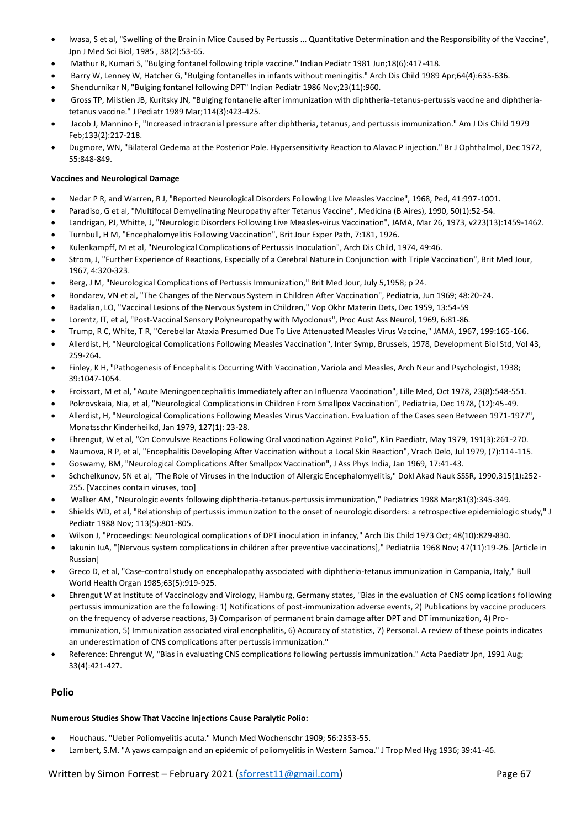- Iwasa, S et al, "Swelling of the Brain in Mice Caused by Pertussis ... Quantitative Determination and the Responsibility of the Vaccine", Jpn J Med Sci Biol, 1985 , 38(2):53-65.
- Mathur R, Kumari S, "Bulging fontanel following triple vaccine." Indian Pediatr 1981 Jun;18(6):417-418.
- Barry W, Lenney W, Hatcher G, "Bulging fontanelles in infants without meningitis." Arch Dis Child 1989 Apr;64(4):635-636.
- Shendurnikar N, "Bulging fontanel following DPT" Indian Pediatr 1986 Nov;23(11):960.
- Gross TP, Milstien JB, Kuritsky JN, "Bulging fontanelle after immunization with diphtheria-tetanus-pertussis vaccine and diphtheriatetanus vaccine." J Pediatr 1989 Mar;114(3):423-425.
- Jacob J, Mannino F, "Increased intracranial pressure after diphtheria, tetanus, and pertussis immunization." Am J Dis Child 1979 Feb;133(2):217-218.
- Dugmore, WN, "Bilateral Oedema at the Posterior Pole. Hypersensitivity Reaction to Alavac P injection." Br J Ophthalmol, Dec 1972, 55:848-849.

## **Vaccines and Neurological Damage**

- Nedar P R, and Warren, R J, "Reported Neurological Disorders Following Live Measles Vaccine", 1968, Ped, 41:997-1001.
- Paradiso, G et al, "Multifocal Demyelinating Neuropathy after Tetanus Vaccine", Medicina (B Aires), 1990, 50(1):52-54.
- Landrigan, PJ, Whitte, J, "Neurologic Disorders Following Live Measles-virus Vaccination", JAMA, Mar 26, 1973, v223(13):1459-1462.
- Turnbull, H M, "Encephalomyelitis Following Vaccination", Brit Jour Exper Path, 7:181, 1926.
- Kulenkampff, M et al, "Neurological Complications of Pertussis Inoculation", Arch Dis Child, 1974, 49:46.
- Strom, J, "Further Experience of Reactions, Especially of a Cerebral Nature in Conjunction with Triple Vaccination", Brit Med Jour, 1967, 4:320-323.
- Berg, J M, "Neurological Complications of Pertussis Immunization," Brit Med Jour, July 5,1958; p 24.
- Bondarev, VN et al, "The Changes of the Nervous System in Children After Vaccination", Pediatria, Jun 1969; 48:20-24.
- Badalian, LO, "Vaccinal Lesions of the Nervous System in Children," Vop Okhr Materin Dets, Dec 1959, 13:54-59
- Lorentz, IT, et al, "Post-Vaccinal Sensory Polyneuropathy with Myoclonus", Proc Aust Ass Neurol, 1969, 6:81-86.
- Trump, R C, White, T R, "Cerebellar Ataxia Presumed Due To Live Attenuated Measles Virus Vaccine," JAMA, 1967, 199:165-166.
- Allerdist, H, "Neurological Complications Following Measles Vaccination", Inter Symp, Brussels, 1978, Development Biol Std, Vol 43, 259-264.
- Finley, K H, "Pathogenesis of Encephalitis Occurring With Vaccination, Variola and Measles, Arch Neur and Psychologist, 1938; 39:1047-1054.
- Froissart, M et al, "Acute Meningoencephalitis Immediately after an Influenza Vaccination", Lille Med, Oct 1978, 23(8):548-551.
- Pokrovskaia, Nia, et al, "Neurological Complications in Children From Smallpox Vaccination", Pediatriia, Dec 1978, (12):45-49.
- Allerdist, H, "Neurological Complications Following Measles Virus Vaccination. Evaluation of the Cases seen Between 1971-1977", Monatsschr Kinderheilkd, Jan 1979, 127(1): 23-28.
- Ehrengut, W et al, "On Convulsive Reactions Following Oral vaccination Against Polio", Klin Paediatr, May 1979, 191(3):261-270.
- Naumova, R P, et al, "Encephalitis Developing After Vaccination without a Local Skin Reaction", Vrach Delo, Jul 1979, (7):114-115.
- Goswamy, BM, "Neurological Complications After Smallpox Vaccination", J Ass Phys India, Jan 1969, 17:41-43.
- Schchelkunov, SN et al, "The Role of Viruses in the Induction of Allergic Encephalomyelitis," Dokl Akad Nauk SSSR, 1990,315(1):252- 255. [Vaccines contain viruses, too]
- Walker AM, "Neurologic events following diphtheria-tetanus-pertussis immunization," Pediatrics 1988 Mar;81(3):345-349.
- Shields WD, et al, "Relationship of pertussis immunization to the onset of neurologic disorders: a retrospective epidemiologic study," J Pediatr 1988 Nov; 113(5):801-805.
- Wilson J, "Proceedings: Neurological complications of DPT inoculation in infancy," Arch Dis Child 1973 Oct; 48(10):829-830.
- Iakunin IuA, "[Nervous system complications in children after preventive vaccinations]," Pediatriia 1968 Nov; 47(11):19-26. [Article in Russian]
- Greco D, et al, "Case-control study on encephalopathy associated with diphtheria-tetanus immunization in Campania, Italy," Bull World Health Organ 1985;63(5):919-925.
- Ehrengut W at Institute of Vaccinology and Virology, Hamburg, Germany states, "Bias in the evaluation of CNS complications following pertussis immunization are the following: 1) Notifications of post-immunization adverse events, 2) Publications by vaccine producers on the frequency of adverse reactions, 3) Comparison of permanent brain damage after DPT and DT immunization, 4) Proimmunization, 5) Immunization associated viral encephalitis, 6) Accuracy of statistics, 7) Personal. A review of these points indicates an underestimation of CNS complications after pertussis immunization."
- Reference: Ehrengut W, "Bias in evaluating CNS complications following pertussis immunization." Acta Paediatr Jpn, 1991 Aug; 33(4):421-427.

## **Polio**

## **Numerous Studies Show That Vaccine Injections Cause Paralytic Polio:**

- Houchaus. "Ueber Poliomyelitis acuta." Munch Med Wochenschr 1909; 56:2353-55.
- Lambert, S.M. "A yaws campaign and an epidemic of poliomyelitis in Western Samoa." J Trop Med Hyg 1936; 39:41-46.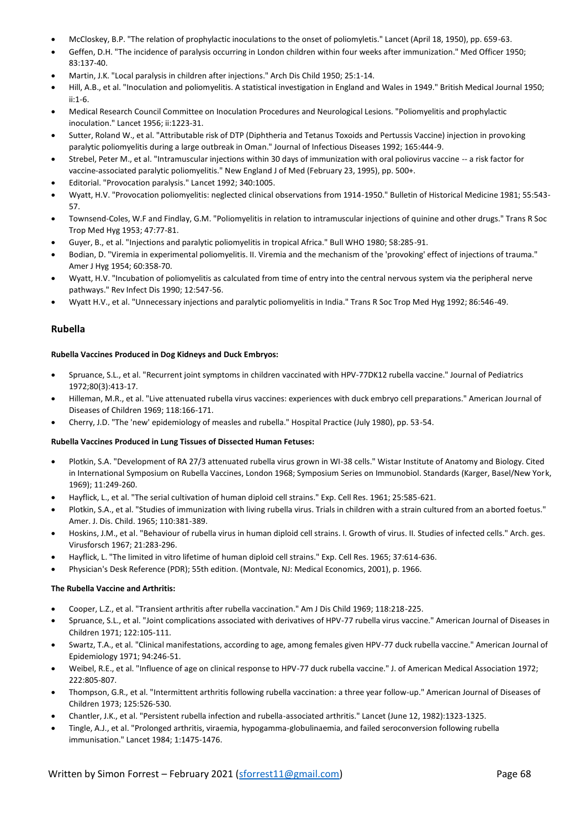- McCloskey, B.P. "The relation of prophylactic inoculations to the onset of poliomyletis." Lancet (April 18, 1950), pp. 659-63.
- Geffen, D.H. "The incidence of paralysis occurring in London children within four weeks after immunization." Med Officer 1950; 83:137-40.
- Martin, J.K. "Local paralysis in children after injections." Arch Dis Child 1950; 25:1-14.
- Hill, A.B., et al. "Inoculation and poliomyelitis. A statistical investigation in England and Wales in 1949." British Medical Journal 1950; ii:1-6.
- Medical Research Council Committee on Inoculation Procedures and Neurological Lesions. "Poliomyelitis and prophylactic inoculation." Lancet 1956; ii:1223-31.
- Sutter, Roland W., et al. "Attributable risk of DTP (Diphtheria and Tetanus Toxoids and Pertussis Vaccine) injection in provoking paralytic poliomyelitis during a large outbreak in Oman." Journal of Infectious Diseases 1992; 165:444-9.
- Strebel, Peter M., et al. "Intramuscular injections within 30 days of immunization with oral poliovirus vaccine -- a risk factor for vaccine-associated paralytic poliomyelitis." New England J of Med (February 23, 1995), pp. 500+.
- Editorial. "Provocation paralysis." Lancet 1992; 340:1005.
- Wyatt, H.V. "Provocation poliomyelitis: neglected clinical observations from 1914-1950." Bulletin of Historical Medicine 1981; 55:543- 57.
- Townsend-Coles, W.F and Findlay, G.M. "Poliomyelitis in relation to intramuscular injections of quinine and other drugs." Trans R Soc Trop Med Hyg 1953; 47:77-81.
- Guyer, B., et al. "Injections and paralytic poliomyelitis in tropical Africa." Bull WHO 1980; 58:285-91.
- Bodian, D. "Viremia in experimental poliomyelitis. II. Viremia and the mechanism of the 'provoking' effect of injections of trauma." Amer J Hyg 1954; 60:358-70.
- Wyatt, H.V. "Incubation of poliomyelitis as calculated from time of entry into the central nervous system via the peripheral nerve pathways." Rev Infect Dis 1990; 12:547-56.
- Wyatt H.V., et al. "Unnecessary injections and paralytic poliomyelitis in India." Trans R Soc Trop Med Hyg 1992; 86:546-49.

## **Rubella**

## **Rubella Vaccines Produced in Dog Kidneys and Duck Embryos:**

- Spruance, S.L., et al. "Recurrent joint symptoms in children vaccinated with HPV-77DK12 rubella vaccine." Journal of Pediatrics 1972;80(3):413-17.
- Hilleman, M.R., et al. "Live attenuated rubella virus vaccines: experiences with duck embryo cell preparations." American Journal of Diseases of Children 1969; 118:166-171.
- Cherry, J.D. "The 'new' epidemiology of measles and rubella." Hospital Practice (July 1980), pp. 53-54.

## **Rubella Vaccines Produced in Lung Tissues of Dissected Human Fetuses:**

- Plotkin, S.A. "Development of RA 27/3 attenuated rubella virus grown in WI-38 cells." Wistar Institute of Anatomy and Biology. Cited in International Symposium on Rubella Vaccines, London 1968; Symposium Series on Immunobiol. Standards (Karger, Basel/New York, 1969); 11:249-260.
- Hayflick, L., et al. "The serial cultivation of human diploid cell strains." Exp. Cell Res. 1961; 25:585-621.
- Plotkin, S.A., et al. "Studies of immunization with living rubella virus. Trials in children with a strain cultured from an aborted foetus." Amer. J. Dis. Child. 1965; 110:381-389.
- Hoskins, J.M., et al. "Behaviour of rubella virus in human diploid cell strains. I. Growth of virus. II. Studies of infected cells." Arch. ges. Virusforsch 1967; 21:283-296.
- Hayflick, L. "The limited in vitro lifetime of human diploid cell strains." Exp. Cell Res. 1965; 37:614-636.
- Physician's Desk Reference (PDR); 55th edition. (Montvale, NJ: Medical Economics, 2001), p. 1966.

## **The Rubella Vaccine and Arthritis:**

- Cooper, L.Z., et al. "Transient arthritis after rubella vaccination." Am J Dis Child 1969; 118:218-225.
- Spruance, S.L., et al. "Joint complications associated with derivatives of HPV-77 rubella virus vaccine." American Journal of Diseases in Children 1971; 122:105-111.
- Swartz, T.A., et al. "Clinical manifestations, according to age, among females given HPV-77 duck rubella vaccine." American Journal of Epidemiology 1971; 94:246-51.
- Weibel, R.E., et al. "Influence of age on clinical response to HPV-77 duck rubella vaccine." J. of American Medical Association 1972; 222:805-807.
- Thompson, G.R., et al. "Intermittent arthritis following rubella vaccination: a three year follow-up." American Journal of Diseases of Children 1973; 125:526-530.
- Chantler, J.K., et al. "Persistent rubella infection and rubella-associated arthritis." Lancet (June 12, 1982):1323-1325.
- Tingle, A.J., et al. "Prolonged arthritis, viraemia, hypogamma-globulinaemia, and failed seroconversion following rubella immunisation." Lancet 1984; 1:1475-1476.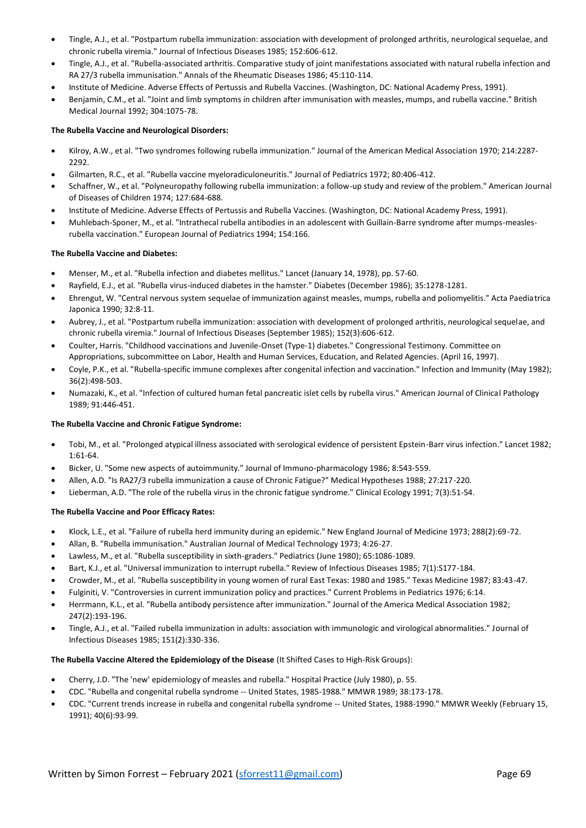- Tingle, A.J., et al. "Postpartum rubella immunization: association with development of prolonged arthritis, neurological sequelae, and chronic rubella viremia." Journal of Infectious Diseases 1985; 152:606-612.
- Tingle, A.J., et al. "Rubella-associated arthritis. Comparative study of joint manifestations associated with natural rubella infection and RA 27/3 rubella immunisation." Annals of the Rheumatic Diseases 1986; 45:110-114.
- Institute of Medicine. Adverse Effects of Pertussis and Rubella Vaccines. (Washington, DC: National Academy Press, 1991).
- Benjamin, C.M., et al. "Joint and limb symptoms in children after immunisation with measles, mumps, and rubella vaccine." British Medical Journal 1992; 304:1075-78.

## **The Rubella Vaccine and Neurological Disorders:**

- Kilroy, A.W., et al. "Two syndromes following rubella immunization." Journal of the American Medical Association 1970; 214:2287- 2292.
- Gilmarten, R.C., et al. "Rubella vaccine myeloradiculoneuritis." Journal of Pediatrics 1972; 80:406-412.
- Schaffner, W., et al. "Polyneuropathy following rubella immunization: a follow-up study and review of the problem." American Journal of Diseases of Children 1974; 127:684-688.
- Institute of Medicine. Adverse Effects of Pertussis and Rubella Vaccines. (Washington, DC: National Academy Press, 1991).
- Muhlebach-Sponer, M., et al. "Intrathecal rubella antibodies in an adolescent with Guillain-Barre syndrome after mumps-measlesrubella vaccination." European Journal of Pediatrics 1994; 154:166.

## **The Rubella Vaccine and Diabetes:**

- Menser, M., et al. "Rubella infection and diabetes mellitus." Lancet (January 14, 1978), pp. 57-60.
- Rayfield, E.J., et al. "Rubella virus-induced diabetes in the hamster." Diabetes (December 1986); 35:1278-1281.
- Ehrengut, W. "Central nervous system sequelae of immunization against measles, mumps, rubella and poliomyelitis." Acta Paediatrica Japonica 1990; 32:8-11.
- Aubrey, J., et al. "Postpartum rubella immunization: association with development of prolonged arthritis, neurological sequelae, and chronic rubella viremia." Journal of Infectious Diseases (September 1985); 152(3):606-612.
- Coulter, Harris. "Childhood vaccinations and Juvenile-Onset (Type-1) diabetes." Congressional Testimony. Committee on Appropriations, subcommittee on Labor, Health and Human Services, Education, and Related Agencies. (April 16, 1997).
- Coyle, P.K., et al. "Rubella-specific immune complexes after congenital infection and vaccination." Infection and Immunity (May 1982); 36(2):498-503.
- Numazaki, K., et al. "Infection of cultured human fetal pancreatic islet cells by rubella virus." American Journal of Clinical Pathology 1989; 91:446-451.

## **The Rubella Vaccine and Chronic Fatigue Syndrome:**

- Tobi, M., et al. "Prolonged atypical illness associated with serological evidence of persistent Epstein-Barr virus infection." Lancet 1982; 1:61-64.
- Bicker, U. "Some new aspects of autoimmunity." Journal of Immuno-pharmacology 1986; 8:543-559.
- Allen, A.D. "Is RA27/3 rubella immunization a cause of Chronic Fatigue?" Medical Hypotheses 1988; 27:217-220.
- Lieberman, A.D. "The role of the rubella virus in the chronic fatigue syndrome." Clinical Ecology 1991; 7(3):51-54.

## **The Rubella Vaccine and Poor Efficacy Rates:**

- Klock, L.E., et al. "Failure of rubella herd immunity during an epidemic." New England Journal of Medicine 1973; 288(2):69-72.
- Allan, B. "Rubella immunisation." Australian Journal of Medical Technology 1973; 4:26-27.
- Lawless, M., et al. "Rubella susceptibility in sixth-graders." Pediatrics (June 1980); 65:1086-1089.
- Bart, K.J., et al. "Universal immunization to interrupt rubella." Review of Infectious Diseases 1985; 7(1):S177-184.
- Crowder, M., et al. "Rubella susceptibility in young women of rural East Texas: 1980 and 1985." Texas Medicine 1987; 83:43-47.
- Fulginiti, V. "Controversies in current immunization policy and practices." Current Problems in Pediatrics 1976; 6:14.
- Herrmann, K.L., et al. "Rubella antibody persistence after immunization." Journal of the America Medical Association 1982; 247(2):193-196.
- Tingle, A.J., et al. "Failed rubella immunization in adults: association with immunologic and virological abnormalities." Journal of Infectious Diseases 1985; 151(2):330-336.

## **The Rubella Vaccine Altered the Epidemiology of the Disease** (It Shifted Cases to High-Risk Groups):

- Cherry, J.D. "The 'new' epidemiology of measles and rubella." Hospital Practice (July 1980), p. 55.
- CDC. "Rubella and congenital rubella syndrome -- United States, 1985-1988." MMWR 1989; 38:173-178.
- CDC. "Current trends increase in rubella and congenital rubella syndrome -- United States, 1988-1990." MMWR Weekly (February 15, 1991); 40(6):93-99.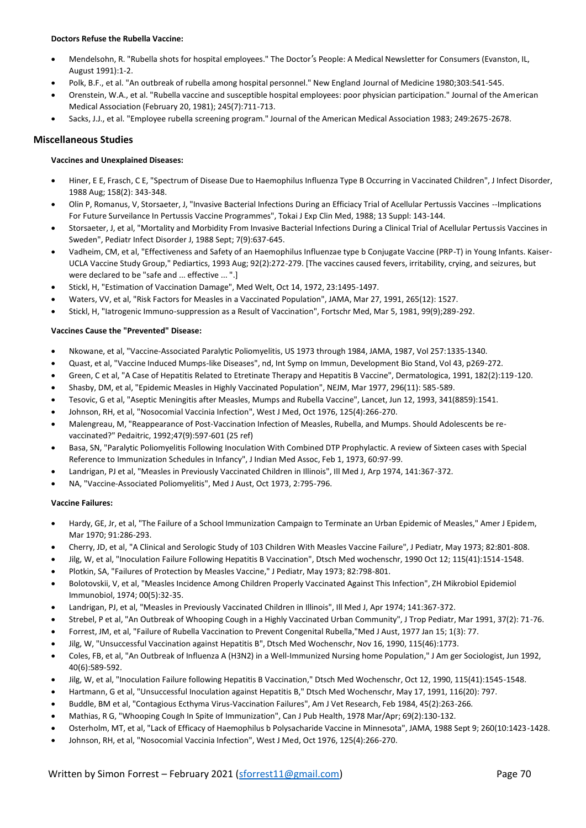## **Doctors Refuse the Rubella Vaccine:**

- Mendelsohn, R. "Rubella shots for hospital employees." The Doctor's People: A Medical Newsletter for Consumers (Evanston, IL, August 1991):1-2.
- Polk, B.F., et al. "An outbreak of rubella among hospital personnel." New England Journal of Medicine 1980;303:541-545.
- Orenstein, W.A., et al. "Rubella vaccine and susceptible hospital employees: poor physician participation." Journal of the American Medical Association (February 20, 1981); 245(7):711-713.
- Sacks, J.J., et al. "Employee rubella screening program." Journal of the American Medical Association 1983; 249:2675-2678.

## **Miscellaneous Studies**

## **Vaccines and Unexplained Diseases:**

- Hiner, E E, Frasch, C E, "Spectrum of Disease Due to Haemophilus Influenza Type B Occurring in Vaccinated Children", J Infect Disorder, 1988 Aug; 158(2): 343-348.
- Olin P, Romanus, V, Storsaeter, J, "Invasive Bacterial Infections During an Efficiacy Trial of Acellular Pertussis Vaccines --Implications For Future Surveilance In Pertussis Vaccine Programmes", Tokai J Exp Clin Med, 1988; 13 Suppl: 143-144.
- Storsaeter, J, et al, "Mortality and Morbidity From Invasive Bacterial Infections During a Clinical Trial of Acellular Pertussis Vaccines in Sweden", Pediatr Infect Disorder J, 1988 Sept; 7(9):637-645.
- Vadheim, CM, et al, "Effectiveness and Safety of an Haemophilus Influenzae type b Conjugate Vaccine (PRP-T) in Young Infants. Kaiser-UCLA Vaccine Study Group," Pediartics, 1993 Aug; 92(2):272-279. [The vaccines caused fevers, irritability, crying, and seizures, but were declared to be "safe and ... effective ... ".]
- Stickl, H, "Estimation of Vaccination Damage", Med Welt, Oct 14, 1972, 23:1495-1497.
- Waters, VV, et al, "Risk Factors for Measles in a Vaccinated Population", JAMA, Mar 27, 1991, 265(12): 1527.
- Stickl, H, "Iatrogenic Immuno-suppression as a Result of Vaccination", Fortschr Med, Mar 5, 1981, 99(9);289-292.

## **Vaccines Cause the "Prevented" Disease:**

- Nkowane, et al, "Vaccine-Associated Paralytic Poliomyelitis, US 1973 through 1984, JAMA, 1987, Vol 257:1335-1340.
- Quast, et al, "Vaccine Induced Mumps-like Diseases", nd, Int Symp on Immun, Development Bio Stand, Vol 43, p269-272.
- Green, C et al, "A Case of Hepatitis Related to Etretinate Therapy and Hepatitis B Vaccine", Dermatologica, 1991, 182(2):119-120.
- Shasby, DM, et al, "Epidemic Measles in Highly Vaccinated Population", NEJM, Mar 1977, 296(11): 585-589.
- Tesovic, G et al, "Aseptic Meningitis after Measles, Mumps and Rubella Vaccine", Lancet, Jun 12, 1993, 341(8859):1541.
- Johnson, RH, et al, "Nosocomial Vaccinia Infection", West J Med, Oct 1976, 125(4):266-270.
- Malengreau, M, "Reappearance of Post-Vaccination Infection of Measles, Rubella, and Mumps. Should Adolescents be revaccinated?" Pedaitric, 1992;47(9):597-601 (25 ref)
- Basa, SN, "Paralytic Poliomyelitis Following Inoculation With Combined DTP Prophylactic. A review of Sixteen cases with Special Reference to Immunization Schedules in Infancy", J Indian Med Assoc, Feb 1, 1973, 60:97-99.
- Landrigan, PJ et al, "Measles in Previously Vaccinated Children in Illinois", Ill Med J, Arp 1974, 141:367-372.
- NA, "Vaccine-Associated Poliomyelitis", Med J Aust, Oct 1973, 2:795-796.

## **Vaccine Failures:**

- Hardy, GE, Jr, et al, "The Failure of a School Immunization Campaign to Terminate an Urban Epidemic of Measles," Amer J Epidem, Mar 1970; 91:286-293.
- Cherry, JD, et al, "A Clinical and Serologic Study of 103 Children With Measles Vaccine Failure", J Pediatr, May 1973; 82:801-808.
- Jilg, W, et al, "Inoculation Failure Following Hepatitis B Vaccination", Dtsch Med wochenschr, 1990 Oct 12; 115(41):1514-1548.
- Plotkin, SA, "Failures of Protection by Measles Vaccine," J Pediatr, May 1973; 82:798-801.
- Bolotovskii, V, et al, "Measles Incidence Among Children Properly Vaccinated Against This Infection", ZH Mikrobiol Epidemiol Immunobiol, 1974; 00(5):32-35.
- Landrigan, PJ, et al, "Measles in Previously Vaccinated Children in Illinois", Ill Med J, Apr 1974; 141:367-372.
- Strebel, P et al, "An Outbreak of Whooping Cough in a Highly Vaccinated Urban Community", J Trop Pediatr, Mar 1991, 37(2): 71-76.
- Forrest, JM, et al, "Failure of Rubella Vaccination to Prevent Congenital Rubella,"Med J Aust, 1977 Jan 15; 1(3): 77.
- Jilg, W, "Unsuccessful Vaccination against Hepatitis B", Dtsch Med Wochenschr, Nov 16, 1990, 115(46):1773.
- Coles, FB, et al, "An Outbreak of Influenza A (H3N2) in a Well-Immunized Nursing home Population," J Am ger Sociologist, Jun 1992, 40(6):589-592.
- Jilg, W, et al, "Inoculation Failure following Hepatitis B Vaccination," Dtsch Med Wochenschr, Oct 12, 1990, 115(41):1545-1548.
- Hartmann, G et al, "Unsuccessful Inoculation against Hepatitis B," Dtsch Med Wochenschr, May 17, 1991, 116(20): 797.
- Buddle, BM et al, "Contagious Ecthyma Virus-Vaccination Failures", Am J Vet Research, Feb 1984, 45(2):263-266.
- Mathias, R G, "Whooping Cough In Spite of Immunization", Can J Pub Health, 1978 Mar/Apr; 69(2):130-132.
- Osterholm, MT, et al, "Lack of Efficacy of Haemophilus b Polysacharide Vaccine in Minnesota", JAMA, 1988 Sept 9; 260(10:1423-1428.
- Johnson, RH, et al, "Nosocomial Vaccinia Infection", West J Med, Oct 1976, 125(4):266-270.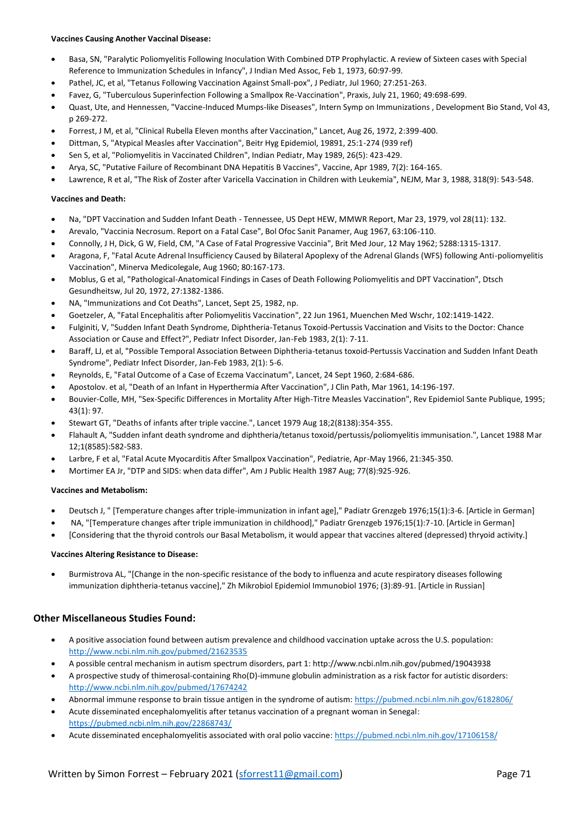## **Vaccines Causing Another Vaccinal Disease:**

- Basa, SN, "Paralytic Poliomyelitis Following Inoculation With Combined DTP Prophylactic. A review of Sixteen cases with Special Reference to Immunization Schedules in Infancy", J Indian Med Assoc, Feb 1, 1973, 60:97-99.
- Pathel, JC, et al, "Tetanus Following Vaccination Against Small-pox", J Pediatr, Jul 1960; 27:251-263.
- Favez, G, "Tuberculous Superinfection Following a Smallpox Re-Vaccination", Praxis, July 21, 1960; 49:698-699.
- Quast, Ute, and Hennessen, "Vaccine-Induced Mumps-like Diseases", Intern Symp on Immunizations , Development Bio Stand, Vol 43, p 269-272.
- Forrest, J M, et al, "Clinical Rubella Eleven months after Vaccination," Lancet, Aug 26, 1972, 2:399-400.
- Dittman, S, "Atypical Measles after Vaccination", Beitr Hyg Epidemiol, 19891, 25:1-274 (939 ref)
- Sen S, et al, "Poliomyelitis in Vaccinated Children", Indian Pediatr, May 1989, 26(5): 423-429.
- Arya, SC, "Putative Failure of Recombinant DNA Hepatitis B Vaccines", Vaccine, Apr 1989, 7(2): 164-165.
- Lawrence, R et al, "The Risk of Zoster after Varicella Vaccination in Children with Leukemia", NEJM, Mar 3, 1988, 318(9): 543-548.

#### **Vaccines and Death:**

- Na, "DPT Vaccination and Sudden Infant Death Tennessee, US Dept HEW, MMWR Report, Mar 23, 1979, vol 28(11): 132.
- Arevalo, "Vaccinia Necrosum. Report on a Fatal Case", Bol Ofoc Sanit Panamer, Aug 1967, 63:106-110.
- Connolly, J H, Dick, G W, Field, CM, "A Case of Fatal Progressive Vaccinia", Brit Med Jour, 12 May 1962; 5288:1315-1317.
- Aragona, F, "Fatal Acute Adrenal Insufficiency Caused by Bilateral Apoplexy of the Adrenal Glands (WFS) following Anti-poliomyelitis Vaccination", Minerva Medicolegale, Aug 1960; 80:167-173.
- Moblus, G et al, "Pathological-Anatomical Findings in Cases of Death Following Poliomyelitis and DPT Vaccination", Dtsch Gesundheitsw, Jul 20, 1972, 27:1382-1386.
- NA, "Immunizations and Cot Deaths", Lancet, Sept 25, 1982, np.
- Goetzeler, A, "Fatal Encephalitis after Poliomyelitis Vaccination", 22 Jun 1961, Muenchen Med Wschr, 102:1419-1422.
- Fulginiti, V, "Sudden Infant Death Syndrome, Diphtheria-Tetanus Toxoid-Pertussis Vaccination and Visits to the Doctor: Chance Association or Cause and Effect?", Pediatr Infect Disorder, Jan-Feb 1983, 2(1): 7-11.
- Baraff, LJ, et al, "Possible Temporal Association Between Diphtheria-tetanus toxoid-Pertussis Vaccination and Sudden Infant Death Syndrome", Pediatr Infect Disorder, Jan-Feb 1983, 2(1): 5-6.
- Reynolds, E, "Fatal Outcome of a Case of Eczema Vaccinatum", Lancet, 24 Sept 1960, 2:684-686.
- Apostolov. et al, "Death of an Infant in Hyperthermia After Vaccination", J Clin Path, Mar 1961, 14:196-197.
- Bouvier-Colle, MH, "Sex-Specific Differences in Mortality After High-Titre Measles Vaccination", Rev Epidemiol Sante Publique, 1995; 43(1): 97.
- Stewart GT, "Deaths of infants after triple vaccine.", Lancet 1979 Aug 18;2(8138):354-355.
- Flahault A, "Sudden infant death syndrome and diphtheria/tetanus toxoid/pertussis/poliomyelitis immunisation.", Lancet 1988 Mar 12;1(8585):582-583.
- Larbre, F et al, "Fatal Acute Myocarditis After Smallpox Vaccination", Pediatrie, Apr-May 1966, 21:345-350.
- Mortimer EA Jr, "DTP and SIDS: when data differ", Am J Public Health 1987 Aug; 77(8):925-926.

## **Vaccines and Metabolism:**

- Deutsch J, " [Temperature changes after triple-immunization in infant age]," Padiatr Grenzgeb 1976;15(1):3-6. [Article in German]
- NA, "[Temperature changes after triple immunization in childhood]," Padiatr Grenzgeb 1976;15(1):7-10. [Article in German]
- [Considering that the thyroid controls our Basal Metabolism, it would appear that vaccines altered (depressed) thryoid activity.]

#### **Vaccines Altering Resistance to Disease:**

• Burmistrova AL, "[Change in the non-specific resistance of the body to influenza and acute respiratory diseases following immunization diphtheria-tetanus vaccine]," Zh Mikrobiol Epidemiol Immunobiol 1976; (3):89-91. [Article in Russian]

## **Other Miscellaneous Studies Found:**

- A positive association found between autism prevalence and childhood vaccination uptake across the U.S. population: <http://www.ncbi.nlm.nih.gov/pubmed/21623535>
- A possible central mechanism in autism spectrum disorders, part 1[: http://www.ncbi.nlm.nih.gov/pubmed/19043938](http://www.ncbi.nlm.nih.gov/pubmed/19043938)
- A prospective study of thimerosal-containing Rho(D)-immune globulin administration as a risk factor for autistic disorders: <http://www.ncbi.nlm.nih.gov/pubmed/17674242>
- Abnormal immune response to brain tissue antigen in the syndrome of autism[: https://pubmed.ncbi.nlm.nih.gov/6182806/](https://pubmed.ncbi.nlm.nih.gov/6182806/)
- Acute disseminated encephalomyelitis after tetanus vaccination of a pregnant woman in Senegal: <https://pubmed.ncbi.nlm.nih.gov/22868743/>
- Acute disseminated encephalomyelitis associated with oral polio vaccine[: https://pubmed.ncbi.nlm.nih.gov/17106158/](https://pubmed.ncbi.nlm.nih.gov/17106158/)